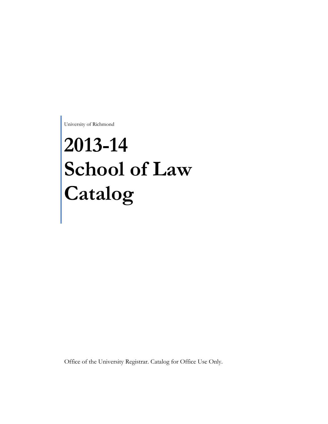University of Richmond

# **2013-14 School of Law Catalog**

Office of the University Registrar. Catalog for Office Use Only.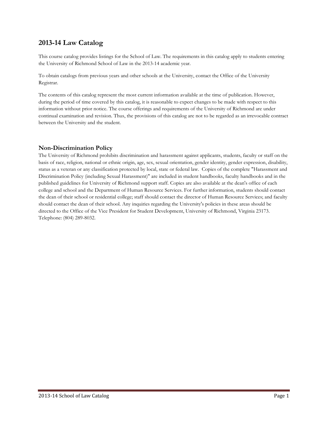# **2013-14 Law Catalog**

This course catalog provides listings for the School of Law. The requirements in this catalog apply to students entering the University of Richmond School of Law in the 2013-14 academic year.

To obtain catalogs from previous years and other schools at the University, contact the Office of the University Registrar.

The contents of this catalog represent the most current information available at the time of publication. However, during the period of time covered by this catalog, it is reasonable to expect changes to be made with respect to this information without prior notice. The course offerings and requirements of the University of Richmond are under continual examination and revision. Thus, the provisions of this catalog are not to be regarded as an irrevocable contract between the University and the student.

# **Non-Discrimination Policy**

The University of Richmond prohibits discrimination and harassment against applicants, students, faculty or staff on the basis of race, religion, national or ethnic origin, age, sex, sexual orientation, gender identity, gender expression, disability, status as a veteran or any classification protected by local, state or federal law. Copies of the complete "Harassment and Discrimination Policy (including Sexual Harassment)" are included in student handbooks, faculty handbooks and in the published guidelines for University of Richmond support staff. Copies are also available at the dean's office of each college and school and the Department of Human Resource Services. For further information, students should contact the dean of their school or residential college; staff should contact the director of Human Resource Services; and faculty should contact the dean of their school. Any inquiries regarding the University's policies in these areas should be directed to the Office of the Vice President for Student Development, University of Richmond, Virginia 23173. Telephone: (804) 289-8032.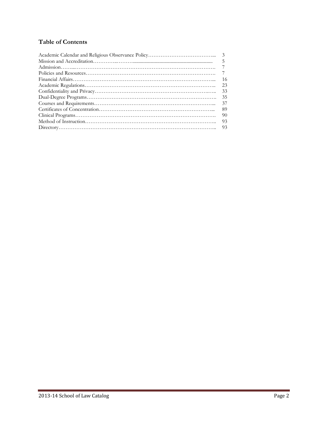# **Table of Contents**

| .5  |
|-----|
|     |
|     |
| 16  |
| 23  |
| 33  |
| 35  |
| 37  |
| 89  |
| -90 |
| -93 |
|     |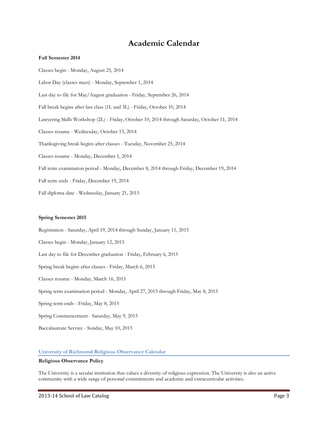# **Academic Calendar**

### **Fall Semester 2014**

Classes begin - Monday, August 25, 2014 Labor Day (classes meet) - Monday, September 1, 2014 Last day to file for May/August graduation - Friday, September 26, 2014 Fall break begins after last class (1L and 3L) - Friday, October 10, 2014 Lawyering Skills Workshop (2L) - Friday, October 10, 2014 through Saturday, October 11, 2014 Classes resume - Wednesday, October 15, 2014 Thanksgiving break begins after classes - Tuesday, November 25, 2014 Classes resume - Monday, December 1, 2014 Fall term examination period - Monday, December 8, 2014 through Friday, December 19, 2014 Fall term ends - Friday, December 19, 2014 Fall diploma date - Wednesday, January 21, 2015

### **Spring Semester 2015**

Registration - Saturday, April 19, 2014 through Sunday, January 11, 2015 Classes begin - Monday, January 12, 2015 Last day to file for December graduation - Friday, February 6, 2015 Spring break begins after classes - Friday, March 6, 2015 Classes resume - Monday, March 16, 2015 Spring term examination period - Monday, April 27, 2015 through Friday, May 8, 2015 Spring term ends - Friday, May 8, 2015 Spring Commencement - Saturday, May 9, 2015 Baccalaureate Service - Sunday, May 10, 2015

### **University of Richmond Religious Observance Calendar**

### **Religious Observance Policy**

The University is a secular institution that values a diversity of religious expression. The University is also an active community with a wide range of personal commitments and academic and extracurricular activities.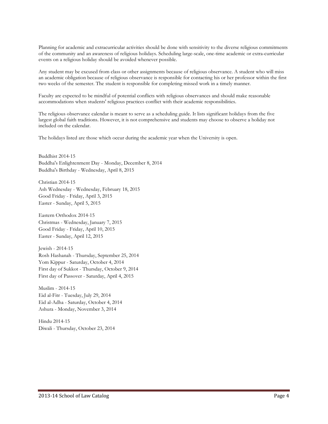Planning for academic and extracurricular activities should be done with sensitivity to the diverse religious commitments of the community and an awareness of religious holidays. Scheduling large-scale, one-time academic or extra-curricular events on a religious holiday should be avoided whenever possible.

Any student may be excused from class or other assignments because of religious observance. A student who will miss an academic obligation because of religious observance is responsible for contacting his or her professor within the first two weeks of the semester. The student is responsible for completing missed work in a timely manner.

Faculty are expected to be mindful of potential conflicts with religious observances and should make reasonable accommodations when students' religious practices conflict with their academic responsibilities.

The religious observance calendar is meant to serve as a scheduling guide. It lists significant holidays from the five largest global faith traditions. However, it is not comprehensive and students may choose to observe a holiday not included on the calendar.

The holidays listed are those which occur during the academic year when the University is open.

Buddhist 2014-15 Buddha's Enlightenment Day - Monday, December 8, 2014 Buddha's Birthday - Wednesday, April 8, 2015

Christian 2014-15 Ash Wednesday - Wednesday, February 18, 2015 Good Friday - Friday, April 3, 2015 Easter - Sunday, April 5, 2015

Eastern Orthodox 2014-15 Christmas - Wednesday, January 7, 2015 Good Friday - Friday, April 10, 2015 Easter - Sunday, April 12, 2015

Jewish - 2014-15 Rosh Hashanah - Thursday, September 25, 2014 Yom Kippur - Saturday, October 4, 2014 First day of Sukkot - Thursday, October 9, 2014 First day of Passover - Saturday, April 4, 2015

Muslim - 2014-15 Eid al-Fitr - Tuesday, July 29, 2014 Eid al-Adha - Saturday, October 4, 2014 Ashura - Monday, November 3, 2014

Hindu 2014-15 Diwali - Thursday, October 23, 2014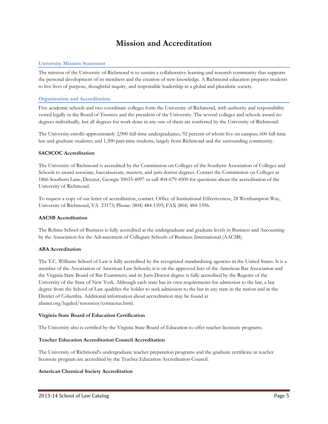# **Mission and Accreditation**

### **University Mission Statement**

The mission of the University of Richmond is to sustain a collaborative learning and research community that supports the personal development of its members and the creation of new knowledge. A Richmond education prepares students to live lives of purpose, thoughtful inquiry, and responsible leadership in a global and pluralistic society.

### **Organization and Accreditation**

Five academic schools and two coordinate colleges form the University of Richmond, with authority and responsibility vested legally in the Board of Trustees and the president of the University. The several colleges and schools award no degrees individually, but all degrees for work done in any one of them are conferred by the University of Richmond.

The University enrolls approximately 2,900 full-time undergraduates, 92 percent of whom live on campus; 600 full-time law and graduate students; and 1,300 part-time students, largely from Richmond and the surrounding community.

### **SACSCOC Accreditation**

The University of Richmond is accredited by the Commission on Colleges of the Southern Association of Colleges and Schools to award associate, baccalaureate, masters, and juris doctor degrees. Contact the Commission on Colleges at 1866 Southern Lane, Decatur, Georgia 30033-4097 or call 404-679-4500 for questions about the accreditation of the University of Richmond.

To request a copy of our letter of accreditation, contact: Office of Institutional Effectiveness, 28 Westhampton Way, University of Richmond, VA 23173; Phone: (804) 484-1595; FAX (804) 484-1596.

### **AACSB Accreditation**

The Robins School of Business is fully accredited at the undergraduate and graduate levels in Business and Accounting by the Association for the Advancement of Collegiate Schools of Business International (AACSB).

### **ABA Accreditation**

The T.C. Williams School of Law is fully accredited by the recognized standardizing agencies in the United States. It is a member of the Association of American Law Schools; it is on the approved lists of the American Bar Association and the Virginia State Board of Bar Examiners; and its Juris Doctor degree is fully accredited by the Regents of the University of the State of New York. Although each state has its own requirements for admission to the bar, a law degree from the School of Law qualifies the holder to seek admission to the bar in any state in the nation and in the District of Columbia. Additional information about accreditation may be found at abanet.org/legaled/resources/contactus.html.

### **Virginia State Board of Education Certification**

The University also is certified by the Virginia State Board of Education to offer teacher licensure programs.

### **Teacher Education Accreditation Council Accreditation**

The University of Richmond's undergraduate teacher preparation programs and the graduate certificate in teacher licensure program are accredited by the Teacher Education Accreditation Council.

### **American Chemical Society Accreditation**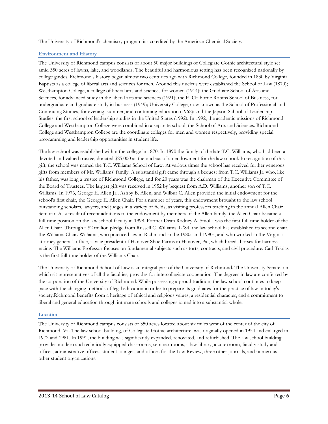The University of Richmond's chemistry program is accredited by the American Chemical Society.

### **Environment and History**

The University of Richmond campus consists of about 50 major buildings of Collegiate Gothic architectural style set amid 350 acres of lawns, lake, and woodlands. The beautiful and harmonious setting has been recognized nationally by college guides. Richmond's history began almost two centuries ago with Richmond College, founded in 1830 by Virginia Baptists as a college of liberal arts and sciences for men. Around this nucleus were established the School of Law (1870); Westhampton College, a college of liberal arts and sciences for women (1914); the Graduate School of Arts and Sciences, for advanced study in the liberal arts and sciences (1921); the E. Claiborne Robins School of Business, for undergraduate and graduate study in business (1949); University College, now known as the School of Professional and Continuing Studies, for evening, summer, and continuing education (1962); and the Jepson School of Leadership Studies, the first school of leadership studies in the United States (1992). In 1992, the academic missions of Richmond College and Westhampton College were combined in a separate school, the School of Arts and Sciences. Richmond College and Westhampton College are the coordinate colleges for men and women respectively, providing special programming and leadership opportunities in student life.

The law school was established within the college in 1870. In 1890 the family of the late T.C. Williams, who had been a devoted and valued trustee, donated \$25,000 as the nucleus of an endowment for the law school. In recognition of this gift, the school was named the T.C. Williams School of Law. At various times the school has received further generous gifts from members of Mr. Williams' family. A substantial gift came through a bequest from T.C. Williams Jr. who, like his father, was long a trustee of Richmond College, and for 20 years was the chairman of the Executive Committee of the Board of Trustees. The largest gift was received in 1952 by bequest from A.D. Williams, another son of T.C. Williams. In 1976, George E. Allen Jr., Ashby B. Allen, and Wilbur C. Allen provided the initial endowment for the school's first chair, the George E. Allen Chair. For a number of years, this endowment brought to the law school outstanding scholars, lawyers, and judges in a variety of fields, as visiting professors teaching in the annual Allen Chair Seminar. As a result of recent additions to the endowment by members of the Allen family, the Allen Chair became a full-time position on the law school faculty in 1998. Former Dean Rodney A. Smolla was the first full-time holder of the Allen Chair. Through a \$2 million pledge from Russell C. Williams, L '84, the law school has established its second chair, the Williams Chair. Williams, who practiced law in Richmond in the 1980s and 1990s, and who worked in the Virginia attorney general's office, is vice president of Hanover Shoe Farms in Hanover, Pa., which breeds horses for harness racing. The Williams Professor focuses on fundamental subjects such as torts, contracts, and civil procedure. Carl Tobias is the first full-time holder of the Williams Chair.

The University of Richmond School of Law is an integral part of the University of Richmond. The University Senate, on which sit representatives of all the faculties, provides for intercollegiate cooperation. The degrees in law are conferred by the corporation of the University of Richmond. While possessing a proud tradition, the law school continues to keep pace with the changing methods of legal education in order to prepare its graduates for the practice of law in today's society.Richmond benefits from a heritage of ethical and religious values, a residential character, and a commitment to liberal and general education through intimate schools and colleges joined into a substantial whole.

### **Location**

The University of Richmond campus consists of 350 acres located about six miles west of the center of the city of Richmond, Va. The law school building, of Collegiate Gothic architecture, was originally opened in 1954 and enlarged in 1972 and 1981. In 1991, the building was significantly expanded, renovated, and refurbished. The law school building provides modern and technically equipped classrooms, seminar rooms, a law library, a courtroom, faculty study and offices, administrative offices, student lounges, and offices for the Law Review, three other journals, and numerous other student organizations.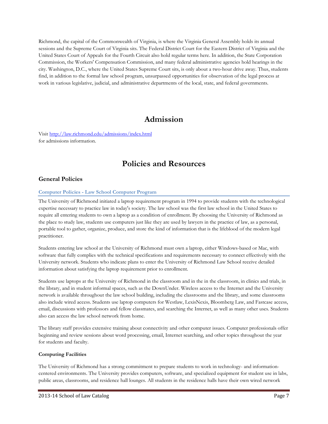Richmond, the capital of the Commonwealth of Virginia, is where the Virginia General Assembly holds its annual sessions and the Supreme Court of Virginia sits. The Federal District Court for the Eastern District of Virginia and the United States Court of Appeals for the Fourth Circuit also hold regular terms here. In addition, the State Corporation Commission, the Workers' Compensation Commission, and many federal administrative agencies hold hearings in the city. Washington, D.C., where the United States Supreme Court sits, is only about a two-hour drive away. Thus, students find, in addition to the formal law school program, unsurpassed opportunities for observation of the legal process at work in various legislative, judicial, and administrative departments of the local, state, and federal governments.

# **Admission**

Visit<http://law.richmond.edu/admissions/index.html> for admissions information.

# **Policies and Resources**

# **General Policies**

### **Computer Policies - Law School Computer Program**

The University of Richmond initiated a laptop requirement program in 1994 to provide students with the technological expertise necessary to practice law in today's society. The law school was the first law school in the United States to require all entering students to own a laptop as a condition of enrollment. By choosing the University of Richmond as the place to study law, students use computers just like they are used by lawyers in the practice of law, as a personal, portable tool to gather, organize, produce, and store the kind of information that is the lifeblood of the modern legal practitioner.

Students entering law school at the University of Richmond must own a laptop, either Windows-based or Mac, with software that fully complies with the technical specifications and requirements necessary to connect effectively with the University network. Students who indicate plans to enter the University of Richmond Law School receive detailed information about satisfying the laptop requirement prior to enrollment.

Students use laptops at the University of Richmond in the classroom and in the in the classroom, in clinics and trials, in the library, and in student informal spaces, such as the DownUnder. Wireless access to the Internet and the University network is available throughout the law school building, including the classrooms and the library, and some classrooms also include wired access. Students use laptop computers for Westlaw, LexisNexis, Bloomberg Law, and Fastcase access, email, discussions with professors and fellow classmates, and searching the Internet, as well as many other uses. Students also can access the law school network from home.

The library staff provides extensive training about connectivity and other computer issues. Computer professionals offer beginning and review sessions about word processing, email, Internet searching, and other topics throughout the year for students and faculty.

### **Computing Facilities**

The University of Richmond has a strong commitment to prepare students to work in technology- and informationcentered environments. The University provides computers, software, and specialized equipment for student use in labs, public areas, classrooms, and residence hall lounges. All students in the residence halls have their own wired network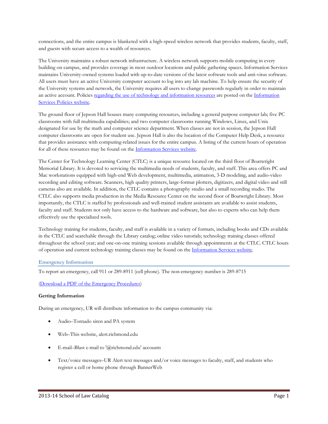connections, and the entire campus is blanketed with a high-speed wireless network that provides students, faculty, staff, and guests with secure access to a wealth of resources.

The University maintains a robust network infrastructure. A wireless network supports mobile computing in every building on campus, and provides coverage in most outdoor locations and public gathering spaces. Information Services maintains University-owned systems loaded with up-to-date versions of the latest software tools and anti-virus software. All users must have an active University computer account to log into any lab machine. To help ensure the security of the University systems and network, the University requires all users to change passwords regularly in order to maintain an active account. Policie[s regarding the use of technology and information resources](http://is.richmond.edu/policies/general/use-of-technology.html) are posted on the [Information](http://is.richmond.edu/policies/index.html)  [Services Policies website.](http://is.richmond.edu/policies/index.html)

The ground floor of Jepson Hall houses many computing resources, including a general purpose computer lab; five PC classrooms with full multimedia capabilities; and two computer classrooms running Windows, Linux, and Unix designated for use by the math and computer science department. When classes are not in session, the Jepson Hall computer classrooms are open for student use. Jepson Hall is also the location of the Computer Help Desk, a resource that provides assistance with computing-related issues for the entire campus. A listing of the current hours of operation for all of these resources may be found on the [Information Services website.](http://is.richmond.edu/)

The Center for Technology Learning Center (CTLC) is a unique resource located on the third floor of Boatwright Memorial Library. It is devoted to servicing the multimedia needs of students, faculty, and staff. This area offers PC and Mac workstations equipped with high-end Web development, multimedia, animation, 3-D modeling, and audio-video recording and editing software. Scanners, high quality printers, large-format plotters, digitizers, and digital video and still cameras also are available. In addition, the CTLC contains a photography studio and a small recording studio. The CTLC also supports media production in the Media Resource Center on the second floor of Boatwright Library. Most importantly, the CTLC is staffed by professionals and well-trained student assistants are available to assist students, faculty and staff. Students not only have access to the hardware and software, but also to experts who can help them effectively use the specialized tools.

Technology training for students, faculty, and staff is available in a variety of formats, including books and CDs available in the CTLC and searchable through the Library catalog; online video tutorials; technology training classes offered throughout the school year; and one-on-one training sessions available through appointments at the CTLC. CTLC hours of operation and current technology training classes may be found on the [Information Services website.](http://is.richmond.edu/training/index.html)

## **Emergency Information**

To report an emergency, call 911 or 289-8911 (cell phone). The non-emergency number is 289-8715

[\(Download a PDF of the Emergency Procedures\)](http://alert.richmond.edu/procedures/UR_Emergency_flyer.pdf)

### **Getting Information**

During an emergency, UR will distribute information to the campus community via:

- Audio–Tornado siren and PA system
- Web–This website, alert.richmond.edu
- E-mail–Blast e-mail to '@richmond.edu' accounts
- Text/voice messages–UR Alert text messages and/or voice messages to faculty, staff, and students who register a cell or home phone through BannerWeb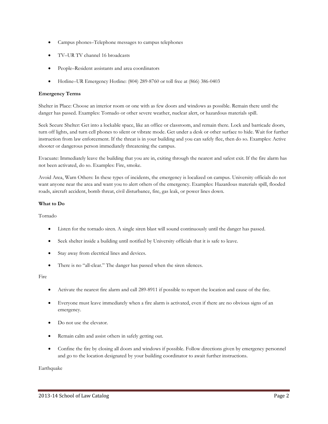- Campus phones–Telephone messages to campus telephones
- TV–UR TV channel 16 broadcasts
- People–Resident assistants and area coordinators
- Hotline–UR Emergency Hotline: (804) 289-8760 or toll free at (866) 386-0403

### **Emergency Terms**

Shelter in Place: Choose an interior room or one with as few doors and windows as possible. Remain there until the danger has passed. Examples: Tornado or other severe weather, nuclear alert, or hazardous materials spill.

Seek Secure Shelter: Get into a lockable space, like an office or classroom, and remain there. Lock and barricade doors, turn off lights, and turn cell phones to silent or vibrate mode. Get under a desk or other surface to hide. Wait for further instruction from law enforcement. If the threat is in your building and you can safely flee, then do so. Examples: Active shooter or dangerous person immediately threatening the campus.

Evacuate: Immediately leave the building that you are in, exiting through the nearest and safest exit. If the fire alarm has not been activated, do so. Examples: Fire, smoke.

Avoid Area, Warn Others: In these types of incidents, the emergency is localized on campus. University officials do not want anyone near the area and want you to alert others of the emergency. Examples: Hazardous materials spill, flooded roads, aircraft accident, bomb threat, civil disturbance, fire, gas leak, or power lines down.

### **What to Do**

Tornado

- Listen for the tornado siren. A single siren blast will sound continuously until the danger has passed.
- Seek shelter inside a building until notified by University officials that it is safe to leave.
- Stay away from electrical lines and devices.
- There is no "all-clear." The danger has passed when the siren silences.

Fire

- Activate the nearest fire alarm and call 289-8911 if possible to report the location and cause of the fire.
- Everyone must leave immediately when a fire alarm is activated, even if there are no obvious signs of an emergency.
- Do not use the elevator.
- Remain calm and assist others in safely getting out.
- Confine the fire by closing all doors and windows if possible. Follow directions given by emergency personnel and go to the location designated by your building coordinator to await further instructions.

Earthquake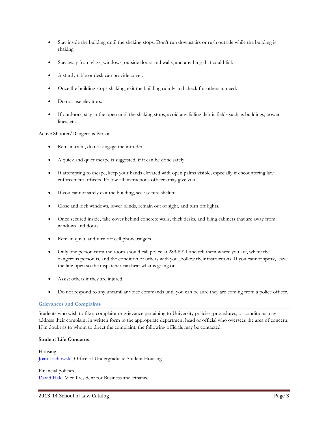- Stay inside the building until the shaking stops. Don't run downstairs or rush outside while the building is shaking.
- Stay away from glass, windows, outside doors and walls, and anything that could fall.
- A sturdy table or desk can provide cover.
- Once the building stops shaking, exit the building calmly and check for others in need.
- Do not use elevators.
- If outdoors, stay in the open until the shaking stops, avoid any falling debris fields such as buildings, power lines, etc.

### Active Shooter/Dangerous Person

- Remain calm, do not engage the intruder.
- A quick and quiet escape is suggested, if it can be done safely.
- If attempting to escape, keep your hands elevated with open palms visible, especially if encountering law enforcement officers. Follow all instructions officers may give you.
- If you cannot safely exit the building, seek secure shelter.
- Close and lock windows, lower blinds, remain out of sight, and turn off lights.
- Once secured inside, take cover behind concrete walls, thick desks, and filing cabinets that are away from windows and doors.
- Remain quiet, and turn off cell phone ringers.
- Only one person from the room should call police at 289-8911 and tell them where you are, where the dangerous person is, and the condition of others with you. Follow their instructions. If you cannot speak, leave the line open so the dispatcher can hear what is going on.
- Assist others if they are injured.
- Do not respond to any unfamiliar voice commands until you can be sure they are coming from a police officer.

### **Grievances and Complaints**

Students who wish to file a complaint or grievance pertaining to University policies, procedures, or conditions may address their complaint in written form to the appropriate department head or official who oversees the area of concern. If in doubt as to whom to direct the complaint, the following officials may be contacted:

### **Student Life Concerns**

Housing [Joan Lachowski,](https://housing.richmond.edu/contact/index.html) Office of Undergraduate Student Housing

Financial policies [David Hale,](http://businessoffice.richmond.edu/contact/index.html) Vice President for Business and Finance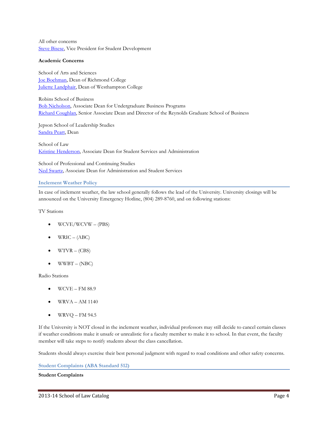All other concerns [Steve Bisese,](mailto:sbisese@richmond.edu) Vice President for Student Development

### **Academic Concerns**

School of Arts and Sciences [Joe Boehman,](http://rc.richmond.edu/contact/jboehman/) Dean of Richmond College [Juliette Landphair,](http://wc.richmond.edu/contact/jlandpha/) Dean of Westhampton College

Robins School of Business [Bob Nicholson,](http://directory.richmond.edu/bios/rnichols/) Associate Dean for Undergraduate Business Programs [Richard Coughlan,](http://directory.richmond.edu/bios/rcoughla/) Senior Associate Dean and Director of the Reynolds Graduate School of Business

Jepson School of Leadership Studies [Sandra Peart,](http://jepson.richmond.edu/faculty/bios/speart/) Dean

School of Law [Kristine Henderson,](http://law.richmond.edu/people/staff/khender3/) Associate Dean for Student Services and Administration

School of Professional and Continuing Studies [Ned Swartz,](http://spcs.richmond.edu/contact/people/nswartz/) Associate Dean for Administration and Student Services

### **Inclement Weather Policy**

In case of inclement weather, the law school generally follows the lead of the University. University closings will be announced on the University Emergency Hotline, (804) 289-8760, and on following stations:

TV Stations

- WCVE/WCVW (PBS)
- $WRIC (ABC)$
- $WTVR (CBS)$
- $\bullet$  WWBT (NBC)

Radio Stations

- $\bullet$  WCVE FM 88.9
- $\bullet$  WRVA AM 1140
- $\bullet$  WRVQ FM 94.5

If the University is NOT closed in the inclement weather, individual professors may still decide to cancel certain classes if weather conditions make it unsafe or unrealistic for a faculty member to make it to school. In that event, the faculty member will take steps to notify students about the class cancellation.

Students should always exercise their best personal judgment with regard to road conditions and other safety concerns.

**Student Complaints (ABA Standard 512)**

### **Student Complaints**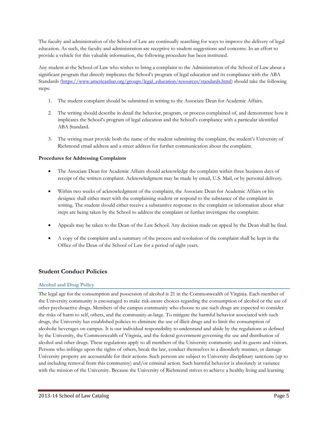The faculty and administration of the School of Law are continually searching for ways to improve the delivery of legal education. As such, the faculty and administration are receptive to student suggestions and concerns. In an effort to provide a vehicle for this valuable information, the following procedure has been instituted.

Any student at the School of Law who wishes to bring a complaint to the Administration of the School of Law about a significant program that directly implicates the School's program of legal education and its compliance with the ABA Standards [\(https://www.americanbar.org/groups/legal\\_education/resources/standards.html\)](https://www.americanbar.org/groups/legal_education/resources/standards.html) should take the following steps:

- 1. The student complaint should be submitted in writing to the Associate Dean for Academic Affairs.
- 2. The writing should describe in detail the behavior, program, or process complained of, and demonstrate how it implicates the School's program of legal education and the School's compliance with a particular identified ABA Standard.
- 3. The writing must provide both the name of the student submitting the complaint, the student's University of Richmond email address and a street address for further communication about the complaint.

# **Procedures for Addressing Complaints**

- The Associate Dean for Academic Affairs should acknowledge the complaint within three business days of receipt of the written complaint. Acknowledgment may be made by email, U.S. Mail, or by personal delivery.
- Within two weeks of acknowledgment of the complaint, the Associate Dean for Academic Affairs or his designee shall either meet with the complaining student or respond to the substance of the complaint in writing. The student should either receive a substantive response to the complaint or information about what steps are being taken by the School to address the complaint or further investigate the complaint.
- Appeals may be taken to the Dean of the Law School. Any decision made on appeal by the Dean shall be final.
- A copy of the complaint and a summary of the process and resolution of the complaint shall be kept in the Office of the Dean of the School of Law for a period of eight years.

# **Student Conduct Policies**

## **Alcohol and Drug Policy**

The legal age for the consumption and possession of alcohol is 21 in the Commonwealth of Virginia. Each member of the University community is encouraged to make risk-aware choices regarding the consumption of alcohol or the use of other psychoactive drugs. Members of the campus community who choose to use such drugs are expected to consider the risks of harm to self, others, and the community-at-large. To mitigate the harmful behavior associated with such drugs, the University has established policies to eliminate the use of illicit drugs and to limit the consumption of alcoholic beverages on campus. It is our individual responsibility to understand and abide by the regulations as defined by the University, the Commonwealth of Virginia, and the federal government governing the use and distribution of alcohol and other drugs. These regulations apply to all members of the University community and its guests and visitors. Persons who infringe upon the rights of others, break the law, conduct themselves in a disorderly manner, or damage University property are accountable for their actions. Such persons are subject to University disciplinary sanctions (up to and including removal from this community) and/or criminal action. Such harmful behavior is absolutely at variance with the mission of the University. Because the University of Richmond strives to achieve a healthy living and learning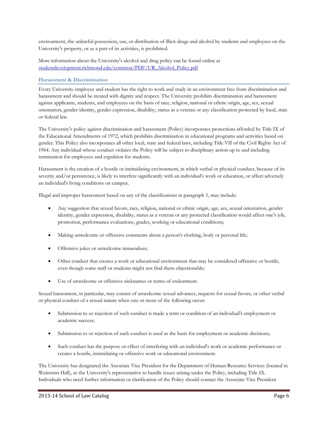environment, the unlawful possession, use, or distribution of illicit drugs and alcohol by students and employees on the University's property, or as a part of its activities, is prohibited.

More information about the University's alcohol and drug policy can be found online at [studentdevelopment.richmond.edu/common/PDF/UR\\_Alcohol\\_Policy.pdf](http://studentdevelopment.richmond.edu/common/PDF/UR_Alcohol_Policy.pdf)

### **Harassment & Discrimination**

Every University employee and student has the right to work and study in an environment free from discrimination and harassment and should be treated with dignity and respect. The University prohibits discrimination and harassment against applicants, students, and employees on the basis of race, religion, national or ethnic origin, age, sex, sexual orientation, gender identity, gender expression, disability, status as a veteran or any classification protected by local, state or federal law.

The University's policy against discrimination and harassment (Policy) incorporates protections afforded by Title IX of the Educational Amendments of 1972, which prohibits discrimination in educational programs and activities based on gender. This Policy also incorporates all other local, state and federal laws, including Title VII of the Civil Rights Act of 1964. Any individual whose conduct violates the Policy will be subject to disciplinary action up to and including termination for employees and expulsion for students.

Harassment is the creation of a hostile or intimidating environment, in which verbal or physical conduct, because of its severity and/or persistence, is likely to interfere significantly with an individual's work or education, or affect adversely an individual's living conditions on campus.

Illegal and improper harassment based on any of the classifications in paragraph 1, may include:

- Any suggestion that sexual favors, race, religion, national or ethnic origin, age, sex, sexual orientation, gender identity, gender expression, disability, status as a veteran or any protected classification would affect one's job, promotion, performance evaluations, grades, working or educational conditions;
- Making unwelcome or offensive comments about a person's clothing, body or personal life;
- Offensive jokes or unwelcome innuendoes;
- Other conduct that creates a work or educational environment that may be considered offensive or hostile, even though some staff or students might not find them objectionable;
- Use of unwelcome or offensive nicknames or terms of endearment.

Sexual harassment, in particular, may consist of unwelcome sexual advances, requests for sexual favors, or other verbal or physical conduct of a sexual nature when one or more of the following occur:

- Submission to or rejection of such conduct is made a term or condition of an individual's employment or academic success;
- Submission to or rejection of such conduct is used as the basis for employment or academic decisions;
- Such conduct has the purpose or effect of interfering with an individual's work or academic performance or creates a hostile, intimidating or offensive work or educational environment.

The University has designated the Associate Vice President for the Department of Human Resource Services (located in Weinstein Hall), as the University's representative to handle issues arising under the Policy, including Title IX. Individuals who need further information or clarification of the Policy should contact the Associate Vice President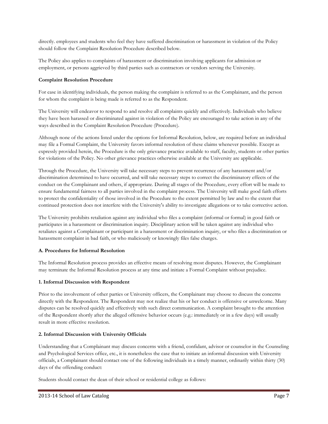directly. employees and students who feel they have suffered discrimination or harassment in violation of the Policy should follow the Complaint Resolution Procedure described below.

The Policy also applies to complaints of harassment or discrimination involving applicants for admission or employment, or persons aggrieved by third parties such as contractors or vendors serving the University.

## **Complaint Resolution Procedure**

For ease in identifying individuals, the person making the complaint is referred to as the Complainant, and the person for whom the complaint is being made is referred to as the Respondent.

The University will endeavor to respond to and resolve all complaints quickly and effectively. Individuals who believe they have been harassed or discriminated against in violation of the Policy are encouraged to take action in any of the ways described in the Complaint Resolution Procedure (Procedure).

Although none of the actions listed under the options for Informal Resolution, below, are required before an individual may file a Formal Complaint, the University favors informal resolution of these claims whenever possible. Except as expressly provided herein, the Procedure is the only grievance practice available to staff, faculty, students or other parties for violations of the Policy. No other grievance practices otherwise available at the University are applicable.

Through the Procedure, the University will take necessary steps to prevent recurrence of any harassment and/or discrimination determined to have occurred, and will take necessary steps to correct the discriminatory effects of the conduct on the Complainant and others, if appropriate. During all stages of the Procedure, every effort will be made to ensure fundamental fairness to all parties involved in the complaint process. The University will make good faith efforts to protect the confidentiality of those involved in the Procedure to the extent permitted by law and to the extent that continued protection does not interfere with the University's ability to investigate allegations or to take corrective action.

The University prohibits retaliation against any individual who files a complaint (informal or formal) in good faith or participates in a harassment or discrimination inquiry. Disciplinary action will be taken against any individual who retaliates against a Complainant or participant in a harassment or discrimination inquiry, or who files a discrimination or harassment complaint in bad faith, or who maliciously or knowingly files false charges.

## **A. Procedures for Informal Resolution**

The Informal Resolution process provides an effective means of resolving most disputes. However, the Complainant may terminate the Informal Resolution process at any time and initiate a Formal Complaint without prejudice.

## **1. Informal Discussion with Respondent**

Prior to the involvement of other parties or University officers, the Complainant may choose to discuss the concerns directly with the Respondent. The Respondent may not realize that his or her conduct is offensive or unwelcome. Many disputes can be resolved quickly and effectively with such direct communication. A complaint brought to the attention of the Respondent shortly after the alleged offensive behavior occurs (e.g.: immediately or in a few days) will usually result in more effective resolution.

## **2. Informal Discussion with University Officials**

Understanding that a Complainant may discuss concerns with a friend, confidant, advisor or counselor in the Counseling and Psychological Services office, etc., it is nonetheless the case that to initiate an informal discussion with University officials, a Complainant should contact one of the following individuals in a timely manner, ordinarily within thirty (30) days of the offending conduct:

Students should contact the dean of their school or residential college as follows: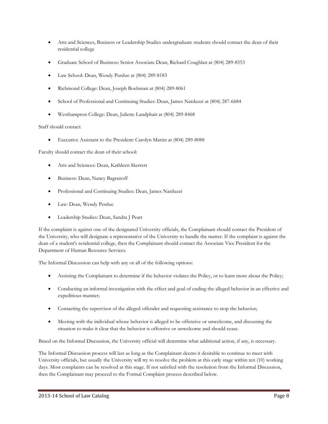- Arts and Sciences, Business or Leadership Studies undergraduate students should contact the dean of their residential college
- Graduate School of Business: Senior Associate Dean, Richard Coughlan at (804) 289-8553
- Law School: Dean, Wendy Purdue at (804) 289-8183
- Richmond College: Dean, Joseph Boehman at (804) 289-8061
- School of Professional and Continuing Studies: Dean, James Narduzzi at (804) 287-6684
- Westhampton College: Dean, Juliette Landphair at (804) 289-8468

### Staff should contact:

• Executive Assistant to the President: Carolyn Martin at (804) 289-8088

Faculty should contact the dean of their school:

- Arts and Sciences: Dean, Kathleen Skerrett
- Business: Dean, Nancy Bagranoff
- Professional and Continuing Studies: Dean, James Narduzzi
- Law: Dean, Wendy Perdue
- Leadership Studies: Dean, Sandra J Peart

If the complaint is against one of the designated University officials, the Complainant should contact the President of the University, who will designate a representative of the University to handle the matter. If the complaint is against the dean of a student's residential college, then the Complainant should contact the Associate Vice President for the Department of Human Resource Services.

The Informal Discussion can help with any or all of the following options:

- Assisting the Complainant to determine if the behavior violates the Policy, or to learn more about the Policy;
- Conducting an informal investigation with the effect and goal of ending the alleged behavior in an effective and expeditious manner;
- Contacting the supervisor of the alleged offender and requesting assistance to stop the behavior;
- Meeting with the individual whose behavior is alleged to be offensive or unwelcome, and discussing the situation to make it clear that the behavior is offensive or unwelcome and should cease.

Based on the Informal Discussion, the University official will determine what additional action, if any, is necessary.

The Informal Discussion process will last as long as the Complainant deems it desirable to continue to meet with University officials, but usually the University will try to resolve the problem at this early stage within ten (10) working days. Most complaints can be resolved at this stage. If not satisfied with the resolution from the Informal Discussion, then the Complainant may proceed to the Formal Complaint process described below.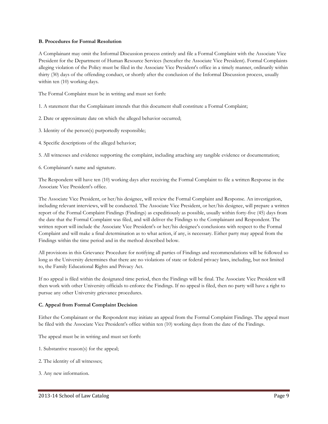### **B. Procedures for Formal Resolution**

A Complainant may omit the Informal Discussion process entirely and file a Formal Complaint with the Associate Vice President for the Department of Human Resource Services (hereafter the Associate Vice President). Formal Complaints alleging violation of the Policy must be filed in the Associate Vice President's office in a timely manner, ordinarily within thirty (30) days of the offending conduct, or shortly after the conclusion of the Informal Discussion process, usually within ten (10) working days.

The Formal Complaint must be in writing and must set forth:

- 1. A statement that the Complainant intends that this document shall constitute a Formal Complaint;
- 2. Date or approximate date on which the alleged behavior occurred;
- 3. Identity of the person(s) purportedly responsible;
- 4. Specific descriptions of the alleged behavior;

5. All witnesses and evidence supporting the complaint, including attaching any tangible evidence or documentation;

6. Complainant's name and signature.

The Respondent will have ten (10) working days after receiving the Formal Complaint to file a written Response in the Associate Vice President's office.

The Associate Vice President, or her/his designee, will review the Formal Complaint and Response. An investigation, including relevant interviews, will be conducted. The Associate Vice President, or her/his designee, will prepare a written report of the Formal Complaint Findings (Findings) as expeditiously as possible, usually within forty-five (45) days from the date that the Formal Complaint was filed, and will deliver the Findings to the Complainant and Respondent. The written report will include the Associate Vice President's or her/his designee's conclusions with respect to the Formal Complaint and will make a final determination as to what action, if any, is necessary. Either party may appeal from the Findings within the time period and in the method described below.

All provisions in this Grievance Procedure for notifying all parties of Findings and recommendations will be followed so long as the University determines that there are no violations of state or federal privacy laws, including, but not limited to, the Family Educational Rights and Privacy Act.

If no appeal is filed within the designated time period, then the Findings will be final. The Associate Vice President will then work with other University officials to enforce the Findings. If no appeal is filed, then no party will have a right to pursue any other University grievance procedures.

### **C. Appeal from Formal Complaint Decision**

Either the Complainant or the Respondent may initiate an appeal from the Formal Complaint Findings. The appeal must be filed with the Associate Vice President's office within ten (10) working days from the date of the Findings.

The appeal must be in writing and must set forth:

- 1. Substantive reason(s) for the appeal;
- 2. The identity of all witnesses;
- 3. Any new information.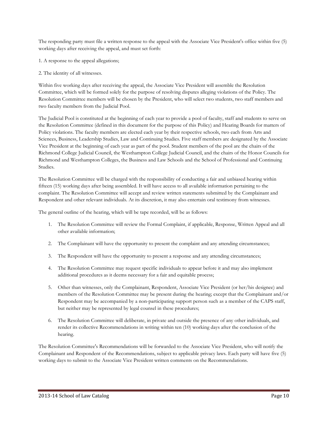The responding party must file a written response to the appeal with the Associate Vice President's office within five (5) working days after receiving the appeal, and must set forth:

- 1. A response to the appeal allegations;
- 2. The identity of all witnesses.

Within five working days after receiving the appeal, the Associate Vice President will assemble the Resolution Committee, which will be formed solely for the purpose of resolving disputes alleging violations of the Policy. The Resolution Committee members will be chosen by the President, who will select two students, two staff members and two faculty members from the Judicial Pool.

The Judicial Pool is constituted at the beginning of each year to provide a pool of faculty, staff and students to serve on the Resolution Committee (defined in this document for the purpose of this Policy) and Hearing Boards for matters of Policy violations. The faculty members are elected each year by their respective schools, two each from Arts and Sciences, Business, Leadership Studies, Law and Continuing Studies. Five staff members are designated by the Associate Vice President at the beginning of each year as part of the pool. Student members of the pool are the chairs of the Richmond College Judicial Council, the Westhampton College Judicial Council, and the chairs of the Honor Councils for Richmond and Westhampton Colleges, the Business and Law Schools and the School of Professional and Continuing Studies.

The Resolution Committee will be charged with the responsibility of conducting a fair and unbiased hearing within fifteen (15) working days after being assembled. It will have access to all available information pertaining to the complaint. The Resolution Committee will accept and review written statements submitted by the Complainant and Respondent and other relevant individuals. At its discretion, it may also entertain oral testimony from witnesses.

The general outline of the hearing, which will be tape recorded, will be as follows:

- 1. The Resolution Committee will review the Formal Complaint, if applicable, Response, Written Appeal and all other available information;
- 2. The Complainant will have the opportunity to present the complaint and any attending circumstances;
- 3. The Respondent will have the opportunity to present a response and any attending circumstances;
- 4. The Resolution Committee may request specific individuals to appear before it and may also implement additional procedures as it deems necessary for a fair and equitable process;
- 5. Other than witnesses, only the Complainant, Respondent, Associate Vice President (or her/his designee) and members of the Resolution Committee may be present during the hearing; except that the Complainant and/or Respondent may be accompanied by a non-participating support person such as a member of the CAPS staff, but neither may be represented by legal counsel in these procedures;
- 6. The Resolution Committee will deliberate, in private and outside the presence of any other individuals, and render its collective Recommendations in writing within ten (10) working days after the conclusion of the hearing.

The Resolution Committee's Recommendations will be forwarded to the Associate Vice President, who will notify the Complainant and Respondent of the Recommendations, subject to applicable privacy laws. Each party will have five (5) working days to submit to the Associate Vice President written comments on the Recommendations.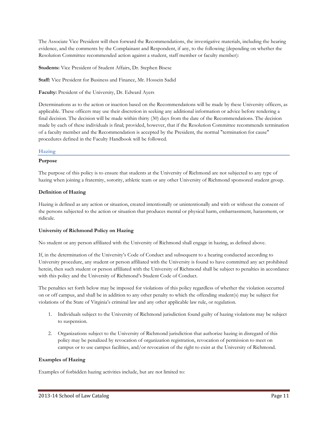The Associate Vice President will then forward the Recommendations, the investigative materials, including the hearing evidence, and the comments by the Complainant and Respondent, if any, to the following (depending on whether the Resolution Committee recommended action against a student, staff member or faculty member):

**Students:** Vice President of Student Affairs, Dr. Stephen Bisese

**Staff:** Vice President for Business and Finance, Mr. Hossein Sadid

**Faculty:** President of the University, Dr. Edward Ayers

Determinations as to the action or inaction based on the Recommendations will be made by these University officers, as applicable. These officers may use their discretion in seeking any additional information or advice before rendering a final decision. The decision will be made within thirty (30) days from the date of the Recommendations. The decision made by each of these individuals is final; provided, however, that if the Resolution Committee recommends termination of a faculty member and the Recommendation is accepted by the President, the normal "termination for cause" procedures defined in the Faculty Handbook will be followed.

### **Hazing**

### **Purpose**

The purpose of this policy is to ensure that students at the University of Richmond are not subjected to any type of hazing when joining a fraternity, sorority, athletic team or any other University of Richmond sponsored student group.

### **Definition of Hazing**

Hazing is defined as any action or situation, created intentionally or unintentionally and with or without the consent of the persons subjected to the action or situation that produces mental or physical harm, embarrassment, harassment, or ridicule.

### **University of Richmond Policy on Hazing**

No student or any person affiliated with the University of Richmond shall engage in hazing, as defined above.

If, in the determination of the University's Code of Conduct and subsequent to a hearing conducted according to University procedure, any student or person affiliated with the University is found to have committed any act prohibited herein, then such student or person affiliated with the University of Richmond shall be subject to penalties in accordance with this policy and the University of Richmond's Student Code of Conduct.

The penalties set forth below may be imposed for violations of this policy regardless of whether the violation occurred on or off campus, and shall be in addition to any other penalty to which the offending student(s) may be subject for violations of the State of Virginia's criminal law and any other applicable law rule, or regulation.

- 1. Individuals subject to the University of Richmond jurisdiction found guilty of hazing violations may be subject to suspension.
- 2. Organizations subject to the University of Richmond jurisdiction that authorize hazing in disregard of this policy may be penalized by revocation of organization registration, revocation of permission to meet on campus or to use campus facilities, and/or revocation of the right to exist at the University of Richmond.

### **Examples of Hazing**

Examples of forbidden hazing activities include, but are not limited to: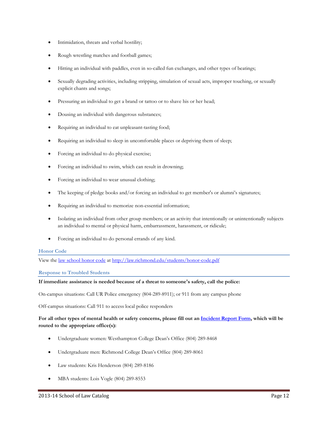- Intimidation, threats and verbal hostility;
- Rough wrestling matches and football games;
- Hitting an individual with paddles, even in so-called fun exchanges, and other types of beatings;
- Sexually degrading activities, including stripping, simulation of sexual acts, improper touching, or sexually explicit chants and songs;
- Pressuring an individual to get a brand or tattoo or to shave his or her head;
- Dousing an individual with dangerous substances;
- Requiring an individual to eat unpleasant-tasting food;
- Requiring an individual to sleep in uncomfortable places or depriving them of sleep;
- Forcing an individual to do physical exercise;
- Forcing an individual to swim, which can result in drowning;
- Forcing an individual to wear unusual clothing;
- The keeping of pledge books and/or forcing an individual to get member's or alumni's signatures;
- Requiring an individual to memorize non-essential information;
- Isolating an individual from other group members; or an activity that intentionally or unintentionally subjects an individual to mental or physical harm, embarrassment, harassment, or ridicule;
- Forcing an individual to do personal errands of any kind.

### **Honor Code**

View the [law school honor code](http://law.richmond.edu/students/PDF/Honor_Code_of_1999_with_2011_Amendments.pdf) at<http://law.richmond.edu/students/honor-code.pdf>

### **Response to Troubled Students**

### **If immediate assistance is needed because of a threat to someone's safety, call the police:**

On-campus situations: Call UR Police emergency (804-289-8911); or 911 from any campus phone

Off-campus situations: Call 911 to access local police responders

### **For all other types of mental health or safety concerns, please fill out an [Incident Report Form,](http://incidentreport.richmond.edu/) which will be routed to the appropriate office(s):**

- Undergraduate women: Westhampton College Dean's Office (804) 289-8468
- Undergraduate men: Richmond College Dean's Office (804) 289-8061
- Law students: Kris Henderson (804) 289-8186
- MBA students: Lois Vogle (804) 289-8553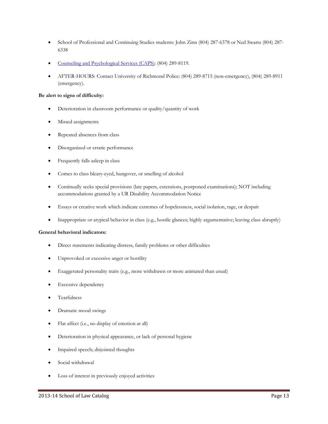- School of Professional and Continuing Studies students: John Zinn (804) 287-6378 or Ned Swartz (804) 287- 6338
- [Counseling and Psychological Services \(CAPS\):](http://caps.richmond.edu/) (804) 289-8119.
- AFTER-HOURS: Contact University of Richmond Police: (804) 289-8715 (non-emergency), (804) 289-8911 (emergency).

### **Be alert to signs of difficulty:**

- Deterioration in classroom performance or quality/quantity of work
- Missed assignments
- Repeated absences from class
- Disorganized or erratic performance
- Frequently falls asleep in class
- Comes to class bleary-eyed, hungover, or smelling of alcohol
- Continually seeks special provisions (late papers, extensions, postponed examinations); NOT including accommodations granted by a UR Disability Accommodation Notice
- Essays or creative work which indicate extremes of hopelessness, social isolation, rage, or despair
- Inappropriate or atypical behavior in class (e.g., hostile glances; highly argumentative; leaving class abruptly)

### **General behavioral indicators:**

- Direct statements indicating distress, family problems or other difficulties
- Unprovoked or excessive anger or hostility
- Exaggerated personality traits (e.g., more withdrawn or more animated than usual)
- Excessive dependency
- Tearfulness
- Dramatic mood swings
- Flat affect (i.e., no display of emotion at all)
- Deterioration in physical appearance, or lack of personal hygiene
- Impaired speech; disjointed thoughts
- Social withdrawal
- Loss of interest in previously enjoyed activities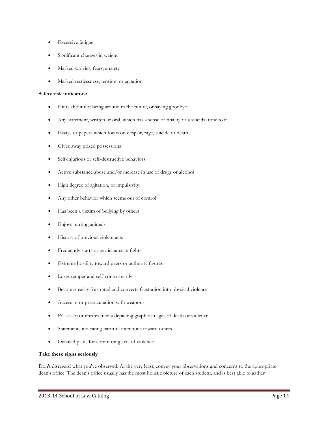- **Excessive fatigue**
- Significant changes in weight
- Marked worries, fears, anxiety
- Marked restlessness, tension, or agitation

### **Safety risk indicators:**

- Hints about not being around in the future, or saying goodbye
- Any statement, written or oral, which has a sense of finality or a suicidal tone to it
- Essays or papers which focus on despair, rage, suicide or death
- Gives away prized possessions
- Self-injurious or self-destructive behaviors
- Active substance abuse and/or increase in use of drugs or alcohol
- High degree of agitation, or impulsivity
- Any other behavior which seems out of control
- Has been a victim of bullying by others
- Enjoys hurting animals
- History of previous violent acts
- Frequently starts or participates in fights
- Extreme hostility toward peers or authority figures
- Loses temper and self-control easily
- Becomes easily frustrated and converts frustration into physical violence
- Access to or preoccupation with weapons
- Possesses or creates media depicting graphic images of death or violence
- Statements indicating harmful intentions toward others
- Detailed plans for committing acts of violence

### **Take these signs seriously**

Don't disregard what you've observed. At the very least, convey your observations and concerns to the appropriate dean's office. The dean's office usually has the most holistic picture of each student, and is best able to gather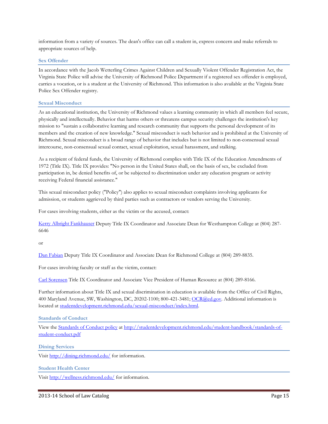information from a variety of sources. The dean's office can call a student in, express concern and make referrals to appropriate sources of help.

### **Sex Offender**

In accordance with the Jacob Wetterling Crimes Against Children and Sexually Violent Offender Registration Act, the Virginia State Police will advise the University of Richmond Police Department if a registered sex offender is employed, carries a vocation, or is a student at the University of Richmond. This information is also available at the Virginia State Police Sex Offender registry.

### **Sexual Misconduct**

As an educational institution, the University of Richmond values a learning community in which all members feel secure, physically and intellectually. Behavior that harms others or threatens campus security challenges the institution's key mission to "sustain a collaborative learning and research community that supports the personal development of its members and the creation of new knowledge." Sexual misconduct is such behavior and is prohibited at the University of Richmond. Sexual misconduct is a broad range of behavior that includes but is not limited to non-consensual sexual intercourse, non-consensual sexual contact, sexual exploitation, sexual harassment, and stalking.

As a recipient of federal funds, the University of Richmond complies with Title IX of the Education Amendments of 1972 (Title IX). Title IX provides: "No person in the United States shall, on the basis of sex, be excluded from participation in, be denied benefits of, or be subjected to discrimination under any education program or activity receiving Federal financial assistance."

This sexual misconduct policy ("Policy") also applies to sexual misconduct complaints involving applicants for admission, or students aggrieved by third parties such as contractors or vendors serving the University.

For cases involving students, either as the victim or the accused, contact:

[Kerry Albright Fankhauser](mailto:kfankhau@richmond.edu) Deputy Title IX Coordinator and Associate Dean for Westhampton College at (804) 287- 6646

or

[Dan Fabian](mailto:dfabian@richmond.edu) Deputy Title IX Coordinator and Associate Dean for Richmond College at (804) 289-8835.

For cases involving faculty or staff as the victim, contact:

[Carl Sorensen](mailto:csorense@richmond.edu) Title IX Coordinator and Associate Vice President of Human Resource at (804) 289-8166.

Further information about Title IX and sexual discrimination in education is available from the Office of Civil Rights, 400 Maryland Avenue, SW, Washington, DC, 20202-1100; 800-421-3481; [OCR@ed.gov.](mailto:OCR@ed.gov) Additional information is located a[t studentdevelopment.richmond.edu/sexual-misconduct/index.html.](http://studentdevelopment.richmond.edu/sexual-misconduct/index.html)

**Standards of Conduct**

View the [Standards of Conduct policy](http://studentdevelopment.richmond.edu/student-handbook/standards-of-student-conduct.pdf) at [http://studentdevelopment.richmond.edu/student-handbook/standards-of](http://studentdevelopment.richmond.edu/student-handbook/standards-of-student-conduct.pdf)[student-conduct.pdf](http://studentdevelopment.richmond.edu/student-handbook/standards-of-student-conduct.pdf)

**Dining Services**

Visit<http://dining.richmond.edu/> for information.

**Student Health Center**

Visit<http://wellness.richmond.edu/> for information.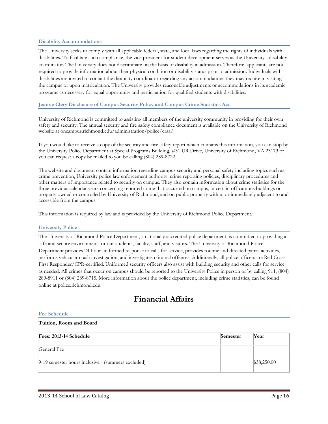### **Disability Accommodations**

The University seeks to comply with all applicable federal, state, and local laws regarding the rights of individuals with disabilities. To facilitate such compliance, the vice president for student development serves as the University's disability coordinator. The University does not discriminate on the basis of disability in admission. Therefore, applicants are not required to provide information about their physical condition or disability status prior to admission. Individuals with disabilities are invited to contact the disability coordinator regarding any accommodations they may require in visiting the campus or upon matriculation. The University provides reasonable adjustments or accommodations in its academic programs as necessary for equal opportunity and participation for qualified students with disabilities.

### **Jeanne Clery Disclosure of Campus Security Policy and Campus Crime Statistics Act**

University of Richmond is committed to assisting all members of the university community in providing for their own safety and security. The annual security and fire safety compliance document is available on the University of Richmond website at oncampus.richmond.edu/administration/police/craa/.

If you would like to receive a copy of the security and fire safety report which contains this information, you can stop by the University Police Department at Special Programs Building, #31 UR Drive, University of Richmond, VA 23173 or you can request a copy be mailed to you be calling (804) 289-8722.

The website and document contain information regarding campus security and personal safety including topics such as: crime prevention, University police law enforcement authority, crime reporting policies, disciplinary procedures and other matters of importance related to security on campus. They also contain information about crime statistics for the three previous calendar years concerning reported crime that occurred on campus, in certain off-campus buildings or property owned or controlled by University of Richmond, and on public property within, or immediately adjacent to and accessible from the campus.

This information is required by law and is provided by the University of Richmond Police Department.

### **University Police**

The University of Richmond Police Department, a nationally accredited police department, is committed to providing a safe and secure environment for our students, faculty, staff, and visitors. The University of Richmond Police Department provides 24-hour uniformed response to calls for service, provides routine and directed patrol activities, performs vehicular crash investigation, and investigates criminal offenses. Additionally, all police officers are Red Cross First Responder/CPR-certified. Uniformed security officers also assist with building security and other calls for service as needed. All crimes that occur on campus should be reported to the University Police in person or by calling 911, (804) 289-8911 or (804) 289-8715. More information about the police department, including crime statistics, can be found online at police.richmond.edu.

# **Financial Affairs**

### **Fee Schedule**

### **Tuition, Room and Board**

| Fees: 2013-14 Schedule                             | Semester | Year        |
|----------------------------------------------------|----------|-------------|
|                                                    |          |             |
| General Fee                                        |          |             |
| 9-19 semester hours inclusive - (summers excluded) |          | \$38,250.00 |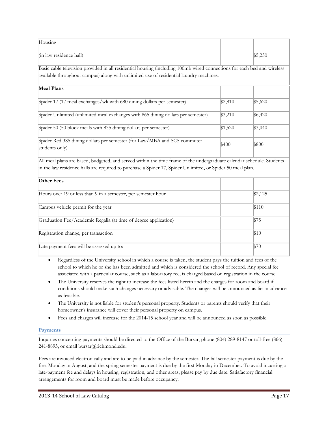| Housing                                                                                                                                                                                                           |         |         |  |  |
|-------------------------------------------------------------------------------------------------------------------------------------------------------------------------------------------------------------------|---------|---------|--|--|
| (in law residence hall)                                                                                                                                                                                           |         | \$5,250 |  |  |
| Basic cable television provided in all residential housing (including 100mb wired connections for each bed and wireless<br>available throughout campus) along with unlimited use of residential laundry machines. |         |         |  |  |
| <b>Meal Plans</b>                                                                                                                                                                                                 |         |         |  |  |
| Spider 17 (17 meal exchanges/wk with 680 dining dollars per semester)                                                                                                                                             | \$2,810 | \$5,620 |  |  |
| Spider Unlimited (unlimited meal exchanges with 865 dining dollars per semester)                                                                                                                                  | \$3,210 | \$6,420 |  |  |
| Spider 50 (50 block meals with 835 dining dollars per semester)                                                                                                                                                   | \$1,520 | \$3,040 |  |  |
| Spider Red 385 dining dollars per semester (for Law/MBA and SCS commuter<br>students only)                                                                                                                        | \$400   | \$800   |  |  |

All meal plans are based, budgeted, and served within the time frame of the undergraduate calendar schedule. Students in the law residence halls are required to purchase a Spider 17, Spider Unlimited, or Spider 50 meal plan.

| <b>Other Fees</b>                                               |         |
|-----------------------------------------------------------------|---------|
| Hours over 19 or less than 9 in a semester, per semester hour   | \$2,125 |
| Campus vehicle permit for the year                              | \$110   |
| Graduation Fee/Academic Regalia (at time of degree application) | \$75    |
| Registration change, per transaction                            | \$10    |
| Late payment fees will be assessed up to:                       | $\$70$  |

- Regardless of the University school in which a course is taken, the student pays the tuition and fees of the school to which he or she has been admitted and which is considered the school of record. Any special fee associated with a particular course, such as a laboratory fee, is charged based on registration in the course.
- The University reserves the right to increase the fees listed herein and the charges for room and board if conditions should make such changes necessary or advisable. The changes will be announced as far in advance as feasible.
- The University is not liable for student's personal property. Students or parents should verify that their homeowner's insurance will cover their personal property on campus.
- Fees and charges will increase for the 2014-15 school year and will be announced as soon as possible.

## **Payments**

Inquiries concerning payments should be directed to the Office of the Bursar, phone (804) 289-8147 or toll-free (866) 241-8893, or email bursar@richmond.edu.

Fees are invoiced electronically and are to be paid in advance by the semester. The fall semester payment is due by the first Monday in August, and the spring semester payment is due by the first Monday in December. To avoid incurring a late-payment fee and delays in housing, registration, and other areas, please pay by due date. Satisfactory financial arrangements for room and board must be made before occupancy.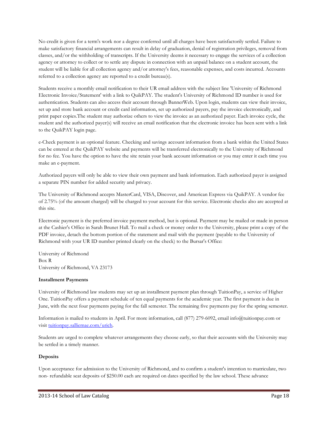No credit is given for a term's work nor a degree conferred until all charges have been satisfactorily settled. Failure to make satisfactory financial arrangements can result in delay of graduation, denial of registration privileges, removal from classes, and/or the withholding of transcripts. If the University deems it necessary to engage the services of a collection agency or attorney to collect or to settle any dispute in connection with an unpaid balance on a student account, the student will be liable for all collection agency and/or attorney's fees, reasonable expenses, and costs incurred. Accounts referred to a collection agency are reported to a credit bureau(s).

Students receive a monthly email notification to their UR email address with the subject line 'University of Richmond Electronic Invoice/Statement' with a link to QuikPAY. The student's University of Richmond ID number is used for authentication. Students can also access their account through BannerWeb. Upon login, students can view their invoice, set up and store bank account or credit card information, set up authorized payers, pay the invoice electronically, and print paper copies.The student may authorize others to view the invoice as an authorized payer. Each invoice cycle, the student and the authorized payer(s) will receive an email notification that the electronic invoice has been sent with a link to the QuikPAY login page.

e-Check payment is an optional feature. Checking and savings account information from a bank within the United States can be entered at the QuikPAY website and payments will be transferred electronically to the University of Richmond for no fee. You have the option to have the site retain your bank account information or you may enter it each time you make an e-payment.

Authorized payers will only be able to view their own payment and bank information. Each authorized payer is assigned a separate PIN number for added security and privacy.

The University of Richmond accepts MasterCard, VISA, Discover, and American Express via QuikPAY. A vendor fee of 2.75% (of the amount charged) will be charged to your account for this service. Electronic checks also are accepted at this site.

Electronic payment is the preferred invoice payment method, but is optional. Payment may be mailed or made in person at the Cashier's Office in Sarah Brunet Hall. To mail a check or money order to the University, please print a copy of the PDF invoice, detach the bottom portion of the statement and mail with the payment (payable to the University of Richmond with your UR ID number printed clearly on the check) to the Bursar's Office:

University of Richmond Box R University of Richmond, VA 23173

### **Installment Payments**

University of Richmond law students may set up an installment payment plan through TuitionPay, a service of Higher One. TuitionPay offers a payment schedule of ten equal payments for the academic year. The first payment is due in June, with the next four payments paying for the fall semester. The remaining five payments pay for the spring semester.

Information is mailed to students in April. For more information, call (877) 279-6092, email info@tuitionpay.com or visit [tuitionpay.salliemae.com/urich.](http://tuitionpay.salliemae.com/urich)

Students are urged to complete whatever arrangements they choose early, so that their accounts with the University may be settled in a timely manner.

### **Deposits**

Upon acceptance for admission to the University of Richmond, and to confirm a student's intention to matriculate, two non- refundable seat deposits of \$250.00 each are required on dates specified by the law school. These advance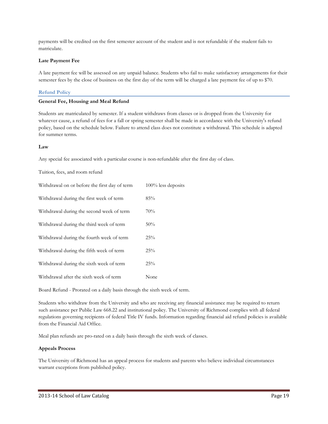payments will be credited on the first semester account of the student and is not refundable if the student fails to matriculate.

### **Late Payment Fee**

A late payment fee will be assessed on any unpaid balance. Students who fail to make satisfactory arrangements for their semester fees by the close of business on the first day of the term will be charged a late payment fee of up to \$70.

### **Refund Policy**

### **General Fee, Housing and Meal Refund**

Students are matriculated by semester. If a student withdraws from classes or is dropped from the University for whatever cause, a refund of fees for a fall or spring semester shall be made in accordance with the University's refund policy, based on the schedule below. Failure to attend class does not constitute a withdrawal. This schedule is adapted for summer terms.

### **Law**

Any special fee associated with a particular course is non-refundable after the first day of class.

### Tuition, fees, and room refund

| Withdrawal on or before the first day of term | $100\%$ less deposits |
|-----------------------------------------------|-----------------------|
| Withdrawal during the first week of term      | 85%                   |
| Withdrawal during the second week of term     | 70%                   |
| Withdrawal during the third week of term      | 50%                   |
| Withdrawal during the fourth week of term     | 25%                   |
| Withdrawal during the fifth week of term      | 25%                   |
| Withdrawal during the sixth week of term      | 25%                   |
| Withdrawal after the sixth week of term       | None                  |

Board Refund - Prorated on a daily basis through the sixth week of term.

Students who withdraw from the University and who are receiving any financial assistance may be required to return such assistance per Public Law 668.22 and institutional policy. The University of Richmond complies with all federal regulations governing recipients of federal Title IV funds. Information regarding financial aid refund policies is available from the Financial Aid Office.

Meal plan refunds are pro-rated on a daily basis through the sixth week of classes.

### **Appeals Process**

The University of Richmond has an appeal process for students and parents who believe individual circumstances warrant exceptions from published policy.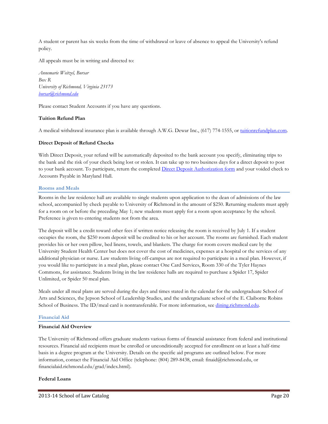A student or parent has six weeks from the time of withdrawal or leave of absence to appeal the University's refund policy.

All appeals must be in writing and directed to:

*Annemarie Weitzel, Bursar Box R University of Richmond, Virginia 23173 [bursar@richmond.edu](mailto:busar@richmond.edu)*

Please contact Student Accounts if you have any questions.

### **Tuition Refund Plan**

A medical withdrawal insurance plan is available through A.W.G. Dewar Inc., (617) 774-1555, or [tuitionrefundplan.com.](http://tuitionrefundplan.com/)

### **Direct Deposit of Refund Checks**

With Direct Deposit, your refund will be automatically deposited to the bank account you specify, eliminating trips to the bank and the risk of your check being lost or stolen. It can take up to two business days for a direct deposit to post to your bank account. To participate, return the completed [Direct Deposit Authorization form](http://controller.richmond.edu/common/pdf/payroll/direct-deposit-student.pdf) and your voided check to Accounts Payable in Maryland Hall.

### **Rooms and Meals**

Rooms in the law residence hall are available to single students upon application to the dean of admissions of the law school, accompanied by check payable to University of Richmond in the amount of \$250. Returning students must apply for a room on or before the preceding May 1; new students must apply for a room upon acceptance by the school. Preference is given to entering students not from the area.

The deposit will be a credit toward other fees if written notice releasing the room is received by July 1. If a student occupies the room, the \$250 room deposit will be credited to his or her account. The rooms are furnished. Each student provides his or her own pillow, bed linens, towels, and blankets. The charge for room covers medical care by the University Student Health Center but does not cover the cost of medicines, expenses at a hospital or the services of any additional physician or nurse. Law students living off-campus are not required to participate in a meal plan. However, if you would like to participate in a meal plan, please contact One Card Services, Room 330 of the Tyler Haynes Commons, for assistance. Students living in the law residence halls are required to purchase a Spider 17, Spider Unlimited, or Spider 50 meal plan.

Meals under all meal plans are served during the days and times stated in the calendar for the undergraduate School of Arts and Sciences, the Jepson School of Leadership Studies, and the undergraduate school of the E. Claiborne Robins School of Business. The ID/meal card is nontransferable. For more information, se[e dining.richmond.edu.](http://dining.richmond.edu/)

### **Financial Aid**

### **Financial Aid Overview**

The University of Richmond offers graduate students various forms of financial assistance from federal and institutional resources. Financial aid recipients must be enrolled or unconditionally accepted for enrollment on at least a half-time basis in a degree program at the University. Details on the specific aid programs are outlined below. For more information, contact the Financial Aid Office (telephone: (804) 289-8438, email: finaid@richmond.edu, or financialaid.richmond.edu/grad/index.html).

### **Federal Loans**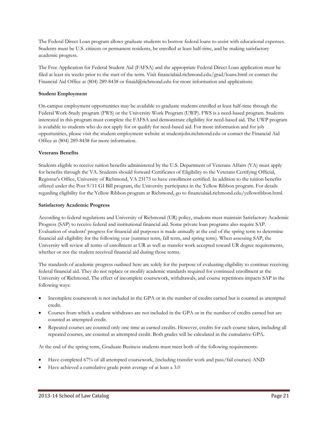The Federal Direct Loan program allows graduate students to borrow federal loans to assist with educational expenses. Students must be U.S. citizens or permanent residents, be enrolled at least half-time, and be making satisfactory academic progress.

The Free Application for Federal Student Aid (FAFSA) and the appropriate Federal Direct Loan application must be filed at least six weeks prior to the start of the term. Visit financialaid.richmond.edu/grad/loans.html or contact the Financial Aid Office at (804) 289-8438 or finaid@richmond.edu for more information and applications.

### **Student Employment**

On-campus employment opportunities may be available to graduate students enrolled at least half-time through the Federal Work-Study program (FWS) or the University Work Program (UWP). FWS is a need-based program. Students interested in this program must complete the FAFSA and demonstrate eligibility for need-based aid. The UWP program is available to students who do not apply for or qualify for need-based aid. For more information and for job opportunities, please visit the student employment website at studentjobs.richmond.edu or contact the Financial Aid Office at (804) 289-8438 for more information.

### **Veterans Benefits**

Students eligible to receive tuition benefits administered by the U.S. Department of Veterans Affairs (VA) must apply for benefits through the VA. Students should forward Certificates of Eligibility to the Veterans Certifying Official, Registrar's Office, University of Richmond, VA 23173 to have enrollment certified. In addition to the tuition benefits offered under the Post 9/11 GI Bill program, the University participates in the Yellow Ribbon program. For details regarding eligibility for the Yellow Ribbon program at Richmond, go to financialaid.richmond.edu/yellowribbon.html.

### **Satisfactory Academic Progress**

According to federal regulations and University of Richmond (UR) policy, students must maintain Satisfactory Academic Progress (SAP) to receive federal and institutional financial aid. Some private loan programs also require SAP. Evaluation of students' progress for financial aid purposes is made annually at the end of the spring term to determine financial aid eligibility for the following year (summer term, fall term, and spring term). When assessing SAP, the University will review all terms of enrollment at UR as well as transfer work accepted toward UR degree requirements, whether or not the student received financial aid during those terms.

The standards of academic progress outlined here are solely for the purpose of evaluating eligibility to continue receiving federal financial aid. They do not replace or modify academic standards required for continued enrollment at the University of Richmond. The effect of incomplete coursework, withdrawals, and course repetitions impacts SAP in the following ways:

- Incomplete coursework is not included in the GPA or in the number of credits earned but is counted as attempted credit.
- Courses from which a student withdraws are not included in the GPA or in the number of credits earned but are counted as attempted credit.
- Repeated courses are counted only one time as earned credits. However, credits for each course taken, including all repeated courses, are counted as attempted credit. Both grades will be calculated in the cumulative GPA.

At the end of the spring term, Graduate Business students must meet both of the following requirements:

- Have completed 67% of all attempted coursework, (including transfer work and pass/fail courses) AND
- Have achieved a cumulative grade point average of at least a 3.0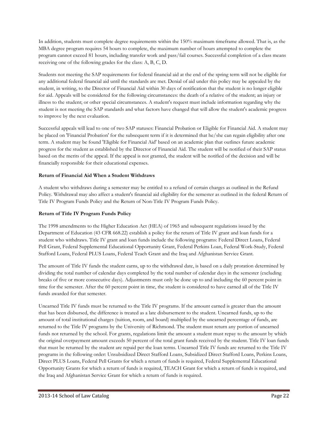In addition, students must complete degree requirements within the 150% maximum timeframe allowed. That is, as the MBA degree program requires 54 hours to complete, the maximum number of hours attempted to complete the program cannot exceed 81 hours, including transfer work and pass/fail courses. Successful completion of a class means receiving one of the following grades for the class: A, B, C, D.

Students not meeting the SAP requirements for federal financial aid at the end of the spring term will not be eligible for any additional federal financial aid until the standards are met. Denial of aid under this policy may be appealed by the student, in writing, to the Director of Financial Aid within 30 days of notification that the student is no longer eligible for aid. Appeals will be considered for the following circumstances: the death of a relative of the student; an injury or illness to the student; or other special circumstances. A student's request must include information regarding why the student is not meeting the SAP standards and what factors have changed that will allow the student's academic progress to improve by the next evaluation.

Successful appeals will lead to one of two SAP statuses: Financial Probation or Eligible for Financial Aid. A student may be placed on 'Financial Probation' for the subsequent term if it is determined that he/she can regain eligibility after one term. A student may be found 'Eligible for Financial Aid' based on an academic plan that outlines future academic progress for the student as established by the Director of Financial Aid. The student will be notified of their SAP status based on the merits of the appeal. If the appeal is not granted, the student will be notified of the decision and will be financially responsible for their educational expenses.

# **Return of Financial Aid When a Student Withdraws**

A student who withdraws during a semester may be entitled to a refund of certain charges as outlined in the Refund Policy. Withdrawal may also affect a student's financial aid eligibility for the semester as outlined in the federal Return of Title IV Program Funds Policy and the Return of Non-Title IV Program Funds Policy.

## **Return of Title IV Program Funds Policy**

The 1998 amendments to the Higher Education Act (HEA) of 1965 and subsequent regulations issued by the Department of Education (43 CFR 668.22) establish a policy for the return of Title IV grant and loan funds for a student who withdraws. Title IV grant and loan funds include the following programs: Federal Direct Loans, Federal Pell Grant, Federal Supplemental Educational Opportunity Grant, Federal Perkins Loan, Federal Work-Study, Federal Stafford Loans, Federal PLUS Loans, Federal Teach Grant and the Iraq and Afghanistan Service Grant.

The amount of Title IV funds the student earns, up to the withdrawal date, is based on a daily proration determined by dividing the total number of calendar days completed by the total number of calendar days in the semester (excluding breaks of five or more consecutive days). Adjustments must only be done up to and including the 60 percent point in time for the semester. After the 60 percent point in time, the student is considered to have earned all of the Title IV funds awarded for that semester.

Unearned Title IV funds must be returned to the Title IV programs. If the amount earned is greater than the amount that has been disbursed, the difference is treated as a late disbursement to the student. Unearned funds, up to the amount of total institutional charges (tuition, room, and board) multiplied by the unearned percentage of funds, are returned to the Title IV programs by the University of Richmond. The student must return any portion of unearned funds not returned by the school. For grants, regulations limit the amount a student must repay to the amount by which the original overpayment amount exceeds 50 percent of the total grant funds received by the student. Title IV loan funds that must be returned by the student are repaid per the loan terms. Unearned Title IV funds are returned to the Title IV programs in the following order: Unsubsidized Direct Stafford Loans, Subsidized Direct Stafford Loans, Perkins Loans, Direct PLUS Loans, Federal Pell Grants for which a return of funds is required, Federal Supplemental Educational Opportunity Grants for which a return of funds is required, TEACH Grant for which a return of funds is required, and the Iraq and Afghanistan Service Grant for which a return of funds is required.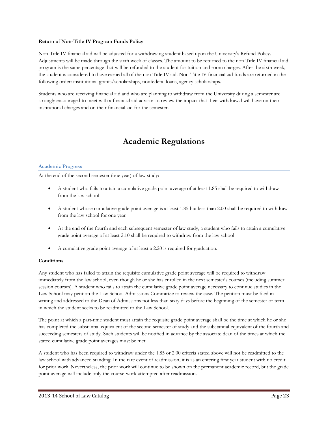### **Return of Non-Title IV Program Funds Policy**

Non-Title IV financial aid will be adjusted for a withdrawing student based upon the University's Refund Policy. Adjustments will be made through the sixth week of classes. The amount to be returned to the non-Title IV financial aid program is the same percentage that will be refunded to the student for tuition and room charges. After the sixth week, the student is considered to have earned all of the non-Title IV aid. Non-Title IV financial aid funds are returned in the following order: institutional grants/scholarships, nonfederal loans, agency scholarships.

Students who are receiving financial aid and who are planning to withdraw from the University during a semester are strongly encouraged to meet with a financial aid advisor to review the impact that their withdrawal will have on their institutional charges and on their financial aid for the semester.

# **Academic Regulations**

### **Academic Progress**

At the end of the second semester (one year) of law study:

- A student who fails to attain a cumulative grade point average of at least 1.85 shall be required to withdraw from the law school
- A student whose cumulative grade point average is at least 1.85 but less than 2.00 shall be required to withdraw from the law school for one year
- At the end of the fourth and each subsequent semester of law study, a student who fails to attain a cumulative grade point average of at least 2.10 shall be required to withdraw from the law school
- A cumulative grade point average of at least a 2.20 is required for graduation.

### **Conditions**

Any student who has failed to attain the requisite cumulative grade point average will be required to withdraw immediately from the law school, even though he or she has enrolled in the next semester's courses (including summer session courses). A student who fails to attain the cumulative grade point average necessary to continue studies in the Law School may petition the Law School Admissions Committee to review the case. The petition must be filed in writing and addressed to the Dean of Admissions not less than sixty days before the beginning of the semester or term in which the student seeks to be readmitted to the Law School.

The point at which a part-time student must attain the requisite grade point average shall be the time at which he or she has completed the substantial equivalent of the second semester of study and the substantial equivalent of the fourth and succeeding semesters of study. Such students will be notified in advance by the associate dean of the times at which the stated cumulative grade point averages must be met.

A student who has been required to withdraw under the 1.85 or 2.00 criteria stated above will not be readmitted to the law school with advanced standing. In the rare event of readmission, it is as an entering first year student with no credit for prior work. Nevertheless, the prior work will continue to be shown on the permanent academic record, but the grade point average will include only the course-work attempted after readmission.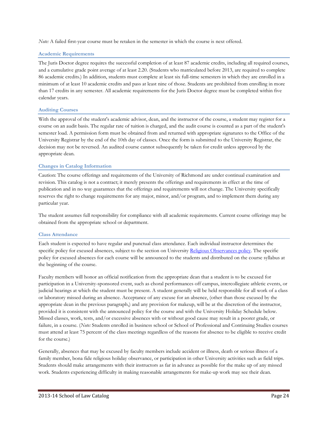*Note:* A failed first-year course must be retaken in the semester in which the course is next offered.

### **Academic Requirements**

The Juris Doctor degree requires the successful completion of at least 87 academic credits, including all required courses, and a cumulative grade point average of at least 2.20. (Students who matriculated before 2013, are required to complete 86 academic credits.) In addition, students must complete at least six full-time semesters in which they are enrolled in a minimum of at least 10 academic credits and pass at least nine of those. Students are prohibited from enrolling in more than 17 credits in any semester. All academic requirements for the Juris Doctor degree must be completed within five calendar years.

### **Auditing Courses**

With the approval of the student's academic advisor, dean, and the instructor of the course, a student may register for a course on an audit basis. The regular rate of tuition is charged, and the audit course is counted as a part of the student's semester load. A permission form must be obtained from and returned with appropriate signatures to the Office of the University Registrar by the end of the 10th day of classes. Once the form is submitted to the University Registrar, the decision may not be reversed. An audited course cannot subsequently be taken for credit unless approved by the appropriate dean.

### **Changes in Catalog Information**

Caution: The course offerings and requirements of the University of Richmond are under continual examination and revision. This catalog is not a contract; it merely presents the offerings and requirements in effect at the time of publication and in no way guarantees that the offerings and requirements will not change. The University specifically reserves the right to change requirements for any major, minor, and/or program, and to implement them during any particular year.

The student assumes full responsibility for compliance with all academic requirements. Current course offerings may be obtained from the appropriate school or department.

### **Class Attendance**

Each student is expected to have regular and punctual class attendance. Each individual instructor determines the specific policy for excused absences, subject to the section on University [Religious Observances policy.](http://registrar.richmond.edu/services/policies/religiousobsv.html) The specific policy for excused absences for each course will be announced to the students and distributed on the course syllabus at the beginning of the course.

Faculty members will honor an official notification from the appropriate dean that a student is to be excused for participation in a University-sponsored event, such as choral performances off campus, intercollegiate athletic events, or judicial hearings at which the student must be present. A student generally will be held responsible for all work of a class or laboratory missed during an absence. Acceptance of any excuse for an absence, (other than those excused by the appropriate dean in the previous paragraph,) and any provision for makeup, will be at the discretion of the instructor, provided it is consistent with the announced policy for the course and with the University Holiday Schedule below. Missed classes, work, tests, and/or excessive absences with or without good cause may result in a poorer grade, or failure, in a course. (*Note:* Students enrolled in business school or School of Professional and Continuing Studies courses must attend at least 75 percent of the class meetings regardless of the reasons for absence to be eligible to receive credit for the course.)

Generally, absences that may be excused by faculty members include accident or illness, death or serious illness of a family member, bona fide religious holiday observance, or participation in other University activities such as field trips. Students should make arrangements with their instructors as far in advance as possible for the make up of any missed work. Students experiencing difficulty in making reasonable arrangements for make-up work may see their dean.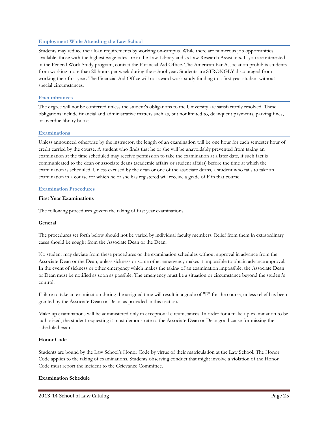### **Employment While Attending the Law School**

Students may reduce their loan requirements by working on-campus. While there are numerous job opportunities available, those with the highest wage rates are in the Law Library and as Law Research Assistants. If you are interested in the Federal Work-Study program, contact the Financial Aid Office. The American Bar Association prohibits students from working more than 20 hours per week during the school year. Students are STRONGLY discouraged from working their first year. The Financial Aid Office will not award work study funding to a first year student without special circumstances.

### **Encumbrances**

The degree will not be conferred unless the student's obligations to the University are satisfactorily resolved. These obligations include financial and administrative matters such as, but not limited to, delinquent payments, parking fines, or overdue library books

### **Examinations**

Unless announced otherwise by the instructor, the length of an examination will be one hour for each semester hour of credit carried by the course. A student who finds that he or she will be unavoidably prevented from taking an examination at the time scheduled may receive permission to take the examination at a later date, if such fact is communicated to the dean or associate deans (academic affairs or student affairs) before the time at which the examination is scheduled. Unless excused by the dean or one of the associate deans, a student who fails to take an examination in a course for which he or she has registered will receive a grade of F in that course.

### **Examination Procedures**

### **First Year Examinations**

The following procedures govern the taking of first year examinations.

### **General**

The procedures set forth below should not be varied by individual faculty members. Relief from them in extraordinary cases should be sought from the Associate Dean or the Dean.

No student may deviate from these procedures or the examination schedules without approval in advance from the Associate Dean or the Dean, unless sickness or some other emergency makes it impossible to obtain advance approval. In the event of sickness or other emergency which makes the taking of an examination impossible, the Associate Dean or Dean must be notified as soon as possible. The emergency must be a situation or circumstance beyond the student's control.

Failure to take an examination during the assigned time will result in a grade of "F" for the course, unless relief has been granted by the Associate Dean or Dean, as provided in this section.

Make-up examinations will be administered only in exceptional circumstances. In order for a make-up examination to be authorized, the student requesting it must demonstrate to the Associate Dean or Dean good cause for missing the scheduled exam.

### **Honor Code**

Students are bound by the Law School's Honor Code by virtue of their matriculation at the Law School. The Honor Code applies to the taking of examinations. Students observing conduct that might involve a violation of the Honor Code must report the incident to the Grievance Committee.

### **Examination Schedule**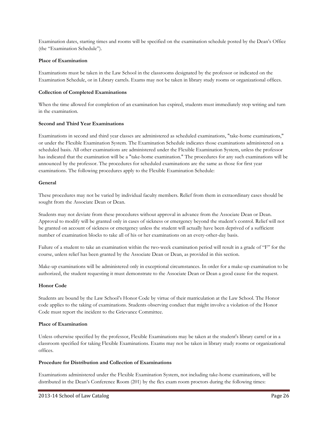Examination dates, starting times and rooms will be specified on the examination schedule posted by the Dean's Office (the "Examination Schedule").

### **Place of Examination**

Examinations must be taken in the Law School in the classrooms designated by the professor or indicated on the Examination Schedule, or in Library carrels. Exams may not be taken in library study rooms or organizational offices.

### **Collection of Completed Examinations**

When the time allowed for completion of an examination has expired, students must immediately stop writing and turn in the examination.

### **Second and Third Year Examinations**

Examinations in second and third year classes are administered as scheduled examinations, "take-home examinations," or under the Flexible Examination System. The Examination Schedule indicates those examinations administered on a scheduled basis. All other examinations are administered under the Flexible Examination System, unless the professor has indicated that the examination will be a "take-home examination." The procedures for any such examinations will be announced by the professor. The procedures for scheduled examinations are the same as those for first year examinations. The following procedures apply to the Flexible Examination Schedule:

### **General**

These procedures may not be varied by individual faculty members. Relief from them in extraordinary cases should be sought from the Associate Dean or Dean.

Students may not deviate from these procedures without approval in advance from the Associate Dean or Dean. Approval to modify will be granted only in cases of sickness or emergency beyond the student's control. Relief will not be granted on account of sickness or emergency unless the student will actually have been deprived of a sufficient number of examination blocks to take all of his or her examinations on an every-other-day basis.

Failure of a student to take an examination within the two-week examination period will result in a grade of "F" for the course, unless relief has been granted by the Associate Dean or Dean, as provided in this section.

Make-up examinations will be administered only in exceptional circumstances. In order for a make-up examination to be authorized, the student requesting it must demonstrate to the Associate Dean or Dean a good cause for the request.

### **Honor Code**

Students are bound by the Law School's Honor Code by virtue of their matriculation at the Law School. The Honor code applies to the taking of examinations. Students observing conduct that might involve a violation of the Honor Code must report the incident to the Grievance Committee.

### **Place of Examination**

Unless otherwise specified by the professor, Flexible Examinations may be taken at the student's library carrel or in a classroom specified for taking Flexible Examinations. Exams may not be taken in library study rooms or organizational offices.

### **Procedure for Distribution and Collection of Examinations**

Examinations administered under the Flexible Examination System, not including take-home examinations, will be distributed in the Dean's Conference Room (201) by the flex exam room proctors during the following times: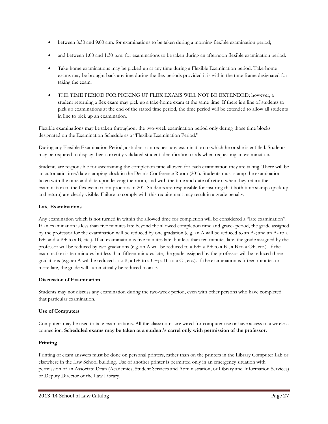- between 8:30 and 9:00 a.m. for examinations to be taken during a morning flexible examination period;
- and between 1:00 and 1:30 p.m. for examinations to be taken during an afternoon flexible examination period.
- Take-home examinations may be picked up at any time during a Flexible Examination period. Take-home exams may be brought back anytime during the flex periods provided it is within the time frame designated for taking the exam.
- THE TIME PERIOD FOR PICKING UP FLEX EXAMS WILL NOT BE EXTENDED; however, a student returning a flex exam may pick up a take-home exam at the same time. If there is a line of students to pick up examinations at the end of the stated time period, the time period will be extended to allow all students in line to pick up an examination.

Flexible examinations may be taken throughout the two-week examination period only during those time blocks designated on the Examination Schedule as a "Flexible Examination Period."

During any Flexible Examination Period, a student can request any examination to which he or she is entitled. Students may be required to display their currently validated student identification cards when requesting an examination.

Students are responsible for ascertaining the completion time allowed for each examination they are taking. There will be an automatic time/date stamping clock in the Dean's Conference Room (201). Students must stamp the examination taken with the time and date upon leaving the room, and with the time and date of return when they return the examination to the flex exam room proctors in 201. Students are responsible for insuring that both time stamps (pick-up and return) are clearly visible. Failure to comply with this requirement may result in a grade penalty.

### **Late Examinations**

Any examination which is not turned in within the allowed time for completion will be considered a "late examination". If an examination is less than five minutes late beyond the allowed completion time and grace- period, the grade assigned by the professor for the examination will be reduced by one gradation (e.g. an A will be reduced to an A-; and an A- to a B+; and a B+ to a B, etc.). If an examination is five minutes late, but less than ten minutes late, the grade assigned by the professor will be reduced by two gradations (e.g. an A will be reduced to a  $B+$ ; a  $B+$  to a  $B-$ ; a B to a  $C+$ , etc.). If the examination is ten minutes but less than fifteen minutes late, the grade assigned by the professor will be reduced three gradations (e.g. an A will be reduced to a B; a B+ to a C+; a B- to a C-; etc.). If the examination is fifteen minutes or more late, the grade will automatically be reduced to an F.

### **Discussion of Examination**

Students may not discuss any examination during the two-week period, even with other persons who have completed that particular examination.

### **Use of Computers**

Computers may be used to take examinations. All the classrooms are wired for computer use or have access to a wireless connection. **Scheduled exams may be taken at a student's carrel only with permission of the professor.**

### **Printing**

Printing of exam answers must be done on personal printers, rather than on the printers in the Library Computer Lab or elsewhere in the Law School building. Use of another printer is permitted only in an emergency situation with permission of an Associate Dean (Academics, Student Services and Administration, or Library and Information Services) or Deputy Director of the Law Library.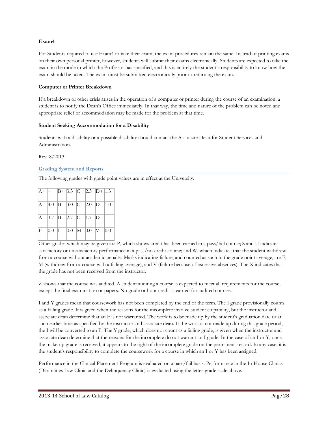### **Exam4**

For Students required to use Exam4 to take their exam, the exam procedures remain the same. Instead of printing exams on their own personal printer, however, students will submit their exams electronically. Students are expected to take the exam in the mode in which the Professor has specified, and this is entirely the student's responsibility to know how the exam should be taken. The exam must be submitted electronically prior to returning the exam.

### **Computer or Printer Breakdown**

If a breakdown or other crisis arises in the operation of a computer or printer during the course of an examination, a student is to notify the Dean's Office immediately. In that way, the time and nature of the problem can be noted and appropriate relief or accommodation may be made for the problem at that time.

### **Student Seeking Accommodation for a Disability**

Students with a disability or a possible disability should contact the Associate Dean for Student Services and Administration.

Rev. 8/2013

### **Grading System and Reports**

The following grades with grade point values are in effect at the University:

|  |  | $ A+ $ -- $ B+ 3.3 C+ 2.3 D+ 1.3 $                                                                 |  |
|--|--|----------------------------------------------------------------------------------------------------|--|
|  |  | $\begin{array}{ c c c c c c c c c } \hline \end{array}$ 4.0 <b>B</b> 3.0 <b>C</b> 2.0 <b>D</b> 1.0 |  |
|  |  | $ A- 3.7 B- 2.7 C- 1.7 D- $                                                                        |  |
|  |  | $\text{F}$ 0.0 I 0.0 M 0.0 V 0.0                                                                   |  |

Other grades which may be given are P, which shows credit has been earned in a pass/fail course; S and U indicate satisfactory or unsatisfactory performance in a pass/no-credit course; and W, which indicates that the student withdrew from a course without academic penalty. Marks indicating failure, and counted as such in the grade point average, are F, M (withdrew from a course with a failing average), and V (failure because of excessive absences). The X indicates that the grade has not been received from the instructor.

Z shows that the course was audited. A student auditing a course is expected to meet all requirements for the course, except the final examination or papers. No grade or hour credit is earned for audited courses.

I and Y grades mean that coursework has not been completed by the end of the term. The I grade provisionally counts as a failing grade. It is given when the reasons for the incomplete involve student culpability, but the instructor and associate dean determine that an F is not warranted. The work is to be made up by the student's graduation date or at such earlier time as specified by the instructor and associate dean. If the work is not made up during this grace period, the I will be converted to an F. The Y grade, which does not count as a failing grade, is given when the instructor and associate dean determine that the reasons for the incomplete do not warrant an I grade. In the case of an I or Y, once the make-up grade is received, it appears to the right of the incomplete grade on the permanent record. In any case, it is the student's responsibility to complete the coursework for a course in which an I or Y has been assigned.

Performance in the Clinical Placement Program is evaluated on a pass/fail basis. Performance in the In-House Clinics (Disabilities Law Clinic and the Delinquency Clinic) is evaluated using the letter-grade scale above.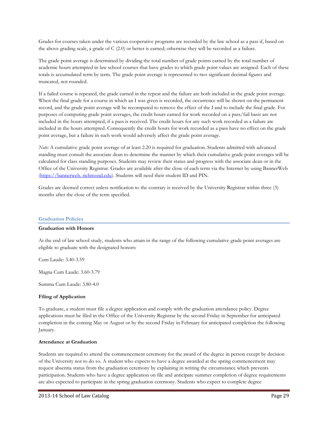Grades for courses taken under the various cooperative programs are recorded by the law school as a pass if, based on the above grading scale, a grade of C (2.0) or better is earned; otherwise they will be recorded as a failure.

The grade point average is determined by dividing the total number of grade points earned by the total number of academic hours attempted in law school courses that have grades to which grade point values are assigned. Each of these totals is accumulated term by term. The grade point average is represented to two significant decimal figures and truncated, not rounded.

If a failed course is repeated, the grade earned in the repeat and the failure are both included in the grade point average. When the final grade for a course in which an I was given is recorded, the occurrence will be shown on the permanent record, and the grade point average will be recomputed to remove the effect of the I and to include the final grade. For purposes of computing grade point averages, the credit hours earned for work recorded on a pass/fail basis are not included in the hours attempted, if a pass is received. The credit hours for any such work recorded as a failure are included in the hours attempted. Consequently the credit hours for work recorded as a pass have no effect on the grade point average, but a failure in such work would adversely affect the grade point average.

*Note:* A cumulative grade point average of at least 2.20 is required for graduation. Students admitted with advanced standing must consult the associate dean to determine the manner by which their cumulative grade point averages will be calculated for class standing purposes. Students may review their status and progress with the associate dean or in the Office of the University Registrar. Grades are available after the close of each term via the Internet by using BannerWeb (https://bannerweb. richmond.edu). Students will need their student ID and PIN.

Grades are deemed correct unless notification to the contrary is received by the University Registrar within three (3) months after the close of the term specified.

## **Graduation Policies**

### **Graduation with Honors**

At the end of law school study, students who attain in the range of the following cumulative grade point averages are eligible to graduate with the designated honors:

Cum Laude: 3.40-3.59

Magna Cum Laude: 3.60-3.79

Summa Cum Laude: 3.80-4.0

## **Filing of Application**

To graduate, a student must file a degree application and comply with the graduation attendance policy. Degree applications must be filed in the Office of the University Registrar by the second Friday in September for anticipated completion in the coming May or August or by the second Friday in February for anticipated completion the following January.

### **Attendance at Graduation**

Students are required to attend the commencement ceremony for the award of the degree in person except by decision of the University not to do so. A student who expects to have a degree awarded at the spring commencement may request absentia status from the graduation ceremony by explaining in writing the circumstance which prevents participation. Students who have a degree application on file and anticipate summer completion of degree requirements are also expected to participate in the spring graduation ceremony. Students who expect to complete degree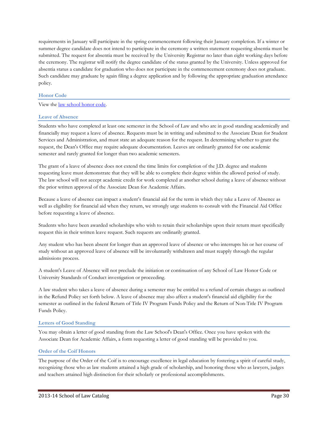requirements in January will participate in the spring commencement following their January completion. If a winter or summer degree candidate does not intend to participate in the ceremony a written statement requesting absentia must be submitted. The request for absentia must be received by the University Registrar no later than eight working days before the ceremony. The registrar will notify the degree candidate of the status granted by the University. Unless approved for absentia status a candidate for graduation who does not participate in the commencement ceremony does not graduate. Such candidate may graduate by again filing a degree application and by following the appropriate graduation attendance policy.

## **Honor Code**

## View the [law school honor code.](http://law.richmond.edu/students/honor-code.pdf)

## **Leave of Absence**

Students who have completed at least one semester in the School of Law and who are in good standing academically and financially may request a leave of absence. Requests must be in writing and submitted to the Associate Dean for Student Services and Administration, and must state an adequate reason for the request. In determining whether to grant the request, the Dean's Office may require adequate documentation. Leaves are ordinarily granted for one academic semester and rarely granted for longer than two academic semesters.

The grant of a leave of absence does not extend the time limits for completion of the J.D. degree and students requesting leave must demonstrate that they will be able to complete their degree within the allowed period of study. The law school will not accept academic credit for work completed at another school during a leave of absence without the prior written approval of the Associate Dean for Academic Affairs.

Because a leave of absence can impact a student's financial aid for the term in which they take a Leave of Absence as well as eligibility for financial aid when they return, we strongly urge students to consult with the Financial Aid Office before requesting a leave of absence.

Students who have been awarded scholarships who wish to retain their scholarships upon their return must specifically request this in their written leave request. Such requests are ordinarily granted.

Any student who has been absent for longer than an approved leave of absence or who interrupts his or her course of study without an approved leave of absence will be involuntarily withdrawn and must reapply through the regular admissions process.

A student's Leave of Absence will not preclude the initiation or continuation of any School of Law Honor Code or University Standards of Conduct investigation or proceeding.

A law student who takes a leave of absence during a semester may be entitled to a refund of certain charges as outlined in the Refund Policy set forth below. A leave of absence may also affect a student's financial aid eligibility for the semester as outlined in the federal Return of Title IV Program Funds Policy and the Return of Non-Title IV Program Funds Policy.

## **Letters of Good Standing**

You may obtain a letter of good standing from the Law School's Dean's Office. Once you have spoken with the Associate Dean for Academic Affairs, a form requesting a letter of good standing will be provided to you.

## **Order of the Coif Honors**

The purpose of the Order of the Coif is to encourage excellence in legal education by fostering a spirit of careful study, recognizing those who as law students attained a high grade of scholarship, and honoring those who as lawyers, judges and teachers attained high distinction for their scholarly or professional accomplishments.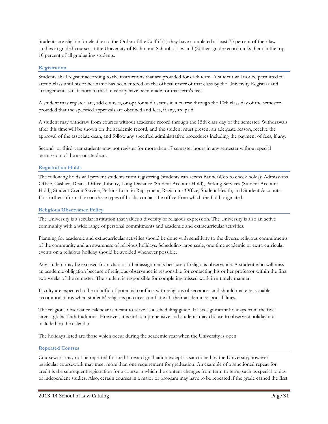Students are eligible for election to the Order of the Coif if (1) they have completed at least 75 percent of their law studies in graded courses at the University of Richmond School of law and (2) their grade record ranks them in the top 10 percent of all graduating students.

## **Registration**

Students shall register according to the instructions that are provided for each term. A student will not be permitted to attend class until his or her name has been entered on the official roster of that class by the University Registrar and arrangements satisfactory to the University have been made for that term's fees.

A student may register late, add courses, or opt for audit status in a course through the 10th class day of the semester provided that the specified approvals are obtained and fees, if any, are paid.

A student may withdraw from courses without academic record through the 15th class day of the semester. Withdrawals after this time will be shown on the academic record, and the student must present an adequate reason, receive the approval of the associate dean, and follow any specified administrative procedures including the payment of fees, if any.

Second- or third-year students may not register for more than 17 semester hours in any semester without special permission of the associate dean.

## **Registration Holds**

The following holds will prevent students from registering (students can access BannerWeb to check holds): Admissions Office, Cashier, Dean's Office, Library, Long-Distance (Student Account Hold), Parking Services (Student Account Hold), Student Credit Service, Perkins Loan in Repayment, Registrar's Office, Student Health, and Student Accounts. For further information on these types of holds, contact the office from which the hold originated.

## **Religious Observance Policy**

The University is a secular institution that values a diversity of religious expression. The University is also an active community with a wide range of personal commitments and academic and extracurricular activities.

Planning for academic and extracurricular activities should be done with sensitivity to the diverse religious commitments of the community and an awareness of religious holidays. Scheduling large-scale, one-time academic or extra-curricular events on a religious holiday should be avoided whenever possible.

Any student may be excused from class or other assignments because of religious observance. A student who will miss an academic obligation because of religious observance is responsible for contacting his or her professor within the first two weeks of the semester. The student is responsible for completing missed work in a timely manner.

Faculty are expected to be mindful of potential conflicts with religious observances and should make reasonable accommodations when students' religious practices conflict with their academic responsibilities.

The religious observance calendar is meant to serve as a scheduling guide. It lists significant holidays from the five largest global faith traditions. However, it is not comprehensive and students may choose to observe a holiday not included on the calendar.

The holidays listed are those which occur during the academic year when the University is open.

## **Repeated Courses**

Coursework may not be repeated for credit toward graduation except as sanctioned by the University; however, particular coursework may meet more than one requirement for graduation. An example of a sanctioned repeat-forcredit is the subsequent registration for a course in which the content changes from term to term, such as special topics or independent studies. Also, certain courses in a major or program may have to be repeated if the grade earned the first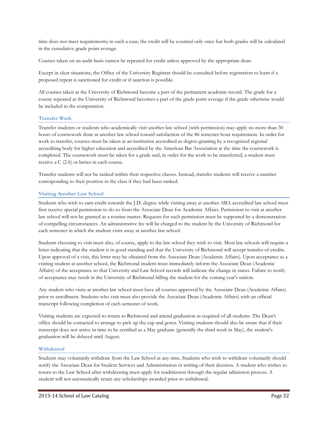time does not meet requirements; in such a case, the credit will be counted only once but both grades will be calculated in the cumulative grade point average.

Courses taken on an audit basis cannot be repeated for credit unless approved by the appropriate dean.

Except in clear situations, the Office of the University Registrar should be consulted before registration to learn if a proposed repeat is sanctioned for credit or if sanction is possible.

All courses taken at the University of Richmond become a part of the permanent academic record. The grade for a course repeated at the University of Richmond becomes a part of the grade point average if the grade otherwise would be included in the computation.

## **Transfer Work**

Transfer students or students who academically visit another law school (with permission) may apply no more than 30 hours of coursework done at another law school toward satisfaction of the 86 semester-hour requirement. In order for work to transfer, courses must be taken at an institution accredited as degree-granting by a recognized regional accrediting body for higher education and accredited by the American Bar Association at the time the coursework is completed. The coursework must be taken for a grade and, in order for the work to be transferred, a student must receive a C (2.0) or better in each course.

Transfer students will not be ranked within their respective classes. Instead, transfer students will receive a number corresponding to their position in the class if they had been ranked.

## **Visiting Another Law School**

Students who wish to earn credit towards the J.D. degree while visiting away at another ABA accredited law school must first receive special permission to do so from the Associate Dean for Academic Affairs. Permission to visit at another law school will not be granted as a routine matter. Requests for such permission must be supported by a demonstration of compelling circumstances. An administrative fee will be charged to the student by the University of Richmond for each semester in which the student visits away at another law school.

Students choosing to visit must also, of course, apply to the law school they wish to visit. Most law schools will require a letter indicating that the student is in good standing and that the University of Richmond will accept transfer of credits. Upon approval of a visit, this letter may be obtained from the Associate Dean (Academic Affairs). Upon acceptance as a visiting student at another school, the Richmond student must immediately inform the Associate Dean (Academic Affairs) of the acceptance so that University and Law School records will indicate the change in status. Failure to notify of acceptance may result in the University of Richmond billing the student for the coming year's tuition.

Any student who visits at another law school must have all courses approved by the Associate Dean (Academic Affairs) prior to enrollment. Students who visit must also provide the Associate Dean (Academic Affairs) with an official transcript following completion of each semester of work.

Visiting students are expected to return to Richmond and attend graduation as required of all students. The Dean's office should be contacted to arrange to pick up the cap and gown. Visiting students should also be aware that if their transcript does not arrive in time to be certified as a May graduate (generally the third week in May), the student's graduation will be delayed until August.

## **Withdrawal**

Students may voluntarily withdraw from the Law School at any time. Students who wish to withdraw voluntarily should notify the Associate Dean for Student Services and Administration in writing of their decision. A student who wishes to return to the Law School after withdrawing must apply for readmission through the regular admission process. A student will not automatically retain any scholarships awarded prior to withdrawal.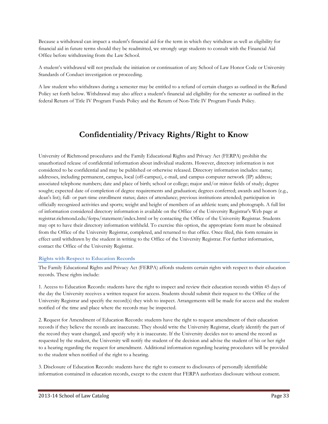Because a withdrawal can impact a student's financial aid for the term in which they withdraw as well as eligibility for financial aid in future terms should they be readmitted, we strongly urge students to consult with the Financial Aid Office before withdrawing from the Law School.

A student's withdrawal will not preclude the initiation or continuation of any School of Law Honor Code or University Standards of Conduct investigation or proceeding.

A law student who withdraws during a semester may be entitled to a refund of certain charges as outlined in the Refund Policy set forth below. Withdrawal may also affect a student's financial aid eligibility for the semester as outlined in the federal Return of Title IV Program Funds Policy and the Return of Non-Title IV Program Funds Policy.

# **Confidentiality/Privacy Rights/Right to Know**

University of Richmond procedures and the Family Educational Rights and Privacy Act (FERPA) prohibit the unauthorized release of confidential information about individual students. However, directory information is not considered to be confidential and may be published or otherwise released. Directory information includes: name; addresses, including permanent, campus, local (off-campus), e-mail, and campus computer network (IP) address; associated telephone numbers; date and place of birth; school or college; major and/or minor fields of study; degree sought; expected date of completion of degree requirements and graduation; degrees conferred; awards and honors (e.g., dean's list); full- or part-time enrollment status; dates of attendance; previous institutions attended; participation in officially recognized activities and sports; weight and height of members of an athletic team; and photograph. A full list of information considered directory information is available on the Office of the University Registrar's Web page at registrar.richmond.edu/ferpa/statement/index.html or by contacting the Office of the University Registrar. Students may opt to have their directory information withheld. To exercise this option, the appropriate form must be obtained from the Office of the University Registrar, completed, and returned to that office. Once filed, this form remains in effect until withdrawn by the student in writing to the Office of the University Registrar. For further information, contact the Office of the University Registrar.

## **Rights with Respect to Education Records**

The Family Educational Rights and Privacy Act (FERPA) affords students certain rights with respect to their education records. These rights include:

1. Access to Education Records: students have the right to inspect and review their education records within 45 days of the day the University receives a written request for access. Students should submit their request to the Office of the University Registrar and specify the record(s) they wish to inspect. Arrangements will be made for access and the student notified of the time and place where the records may be inspected.

2. Request for Amendment of Education Records: students have the right to request amendment of their education records if they believe the records are inaccurate. They should write the University Registrar, clearly identify the part of the record they want changed, and specify why it is inaccurate. If the University decides not to amend the record as requested by the student, the University will notify the student of the decision and advise the student of his or her right to a hearing regarding the request for amendment. Additional information regarding hearing procedures will be provided to the student when notified of the right to a hearing.

3. Disclosure of Education Records: students have the right to consent to disclosures of personally identifiable information contained in education records, except to the extent that FERPA authorizes disclosure without consent.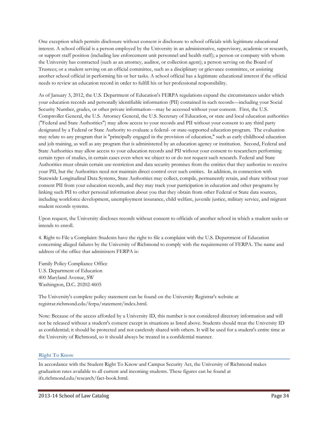One exception which permits disclosure without consent is disclosure to school officials with legitimate educational interest. A school official is a person employed by the University in an administrative, supervisory, academic or research, or support staff position (including law enforcement unit personnel and health staff); a person or company with whom the University has contracted (such as an attorney, auditor, or collection agent); a person serving on the Board of Trustees; or a student serving on an official committee, such as a disciplinary or grievance committee, or assisting another school official in performing his or her tasks. A school official has a legitimate educational interest if the official needs to review an education record in order to fulfill his or her professional responsibility.

As of January 3, 2012, the U.S. Department of Education's FERPA regulations expand the circumstances under which your education records and personally identifiable information (PII) contained in such records—including your Social Security Number, grades, or other private information—may be accessed without your consent. First, the U.S. Comptroller General, the U.S. Attorney General, the U.S. Secretary of Education, or state and local education authorities ("Federal and State Authorities") may allow access to your records and PII without your consent to any third party designated by a Federal or State Authority to evaluate a federal- or state-supported education program. The evaluation may relate to any program that is "principally engaged in the provision of education," such as early childhood education and job training, as well as any program that is administered by an education agency or institution. Second, Federal and State Authorities may allow access to your education records and PII without your consent to researchers performing certain types of studies, in certain cases even when we object to or do not request such research. Federal and State Authorities must obtain certain use-restriction and data security promises from the entities that they authorize to receive your PII, but the Authorities need not maintain direct control over such entities. In addition, in connection with Statewide Longitudinal Data Systems, State Authorities may collect, compile, permanently retain, and share without your consent PII from your education records, and they may track your participation in education and other programs by linking such PII to other personal information about you that they obtain from other Federal or State data sources, including workforce development, unemployment insurance, child welfare, juvenile justice, military service, and migrant student records systems.

Upon request, the University discloses records without consent to officials of another school in which a student seeks or intends to enroll.

4. Right to File a Complaint: Students have the right to file a complaint with the U.S. Department of Education concerning alleged failures by the University of Richmond to comply with the requirements of FERPA. The name and address of the office that administers FERPA is:

Family Policy Compliance Office U.S. Department of Education 400 Maryland Avenue, SW Washington, D.C. 20202-4605

The University's complete policy statement can be found on the University Registrar's website at registrar.richmond.edu/ferpa/statement/index.html.

Note: Because of the access afforded by a University ID, this number is not considered directory information and will not be released without a student's consent except in situations as listed above. Students should treat the University ID as confidential; it should be protected and not carelessly shared with others. It will be used for a student's entire time at the University of Richmond, so it should always be treated in a confidential manner.

## **Right To Know**

In accordance with the Student Right To Know and Campus Security Act, the University of Richmond makes graduation rates available to all current and incoming students. These figures can be found at ifx.richmond.edu/research/fact-book.html.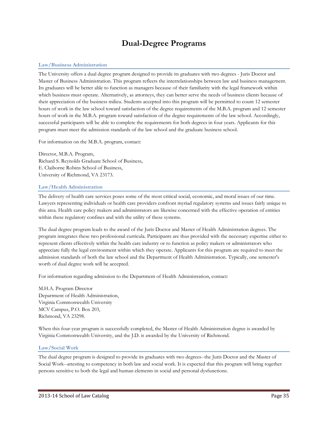## **Dual-Degree Programs**

## **Law/Business Administration**

The University offers a dual degree program designed to provide its graduates with two degrees - Juris Doctor and Master of Business Administration. This program reflects the interrelationships between law and business management. Its graduates will be better able to function as managers because of their familiarity with the legal framework within which business must operate. Alternatively, as attorneys, they can better serve the needs of business clients because of their appreciation of the business milieu. Students accepted into this program will be permitted to count 12 semester hours of work in the law school toward satisfaction of the degree requirements of the M.B.A. program and 12 semester hours of work in the M.B.A. program toward satisfaction of the degree requirements of the law school. Accordingly, successful participants will be able to complete the requirements for both degrees in four years. Applicants for this program must meet the admission standards of the law school and the graduate business school.

For information on the M.B.A. program, contact:

Director, M.B.A. Program, Richard S. Reynolds Graduate School of Business, E. Claiborne Robins School of Business, University of Richmond, VA 23173.

### **Law/Health Administration**

The delivery of health care services poses some of the most critical social, economic, and moral issues of our time. Lawyers representing individuals or health care providers confront myriad regulatory systems and issues fairly unique to this area. Health care policy makers and administrators are likewise concerned with the effective operation of entities within these regulatory confines and with the utility of these systems.

The dual degree program leads to the award of the Juris Doctor and Master of Health Administration degrees. The program integrates these two professional curricula. Participants are thus provided with the necessary expertise either to represent clients effectively within the health care industry or to function as policy makers or administrators who appreciate fully the legal environment within which they operate. Applicants for this program are required to meet the admission standards of both the law school and the Department of Health Administration. Typically, one semester's worth of dual degree work will be accepted.

For information regarding admission to the Department of Health Administration, contact:

M.H.A. Program Director Department of Health Administration, Virginia Commonwealth University MCV Campus, P.O. Box 203, Richmond, VA 23298.

When this four-year program is successfully completed, the Master of Health Administration degree is awarded by Virginia Commonwealth University, and the J.D. is awarded by the University of Richmond.

## **Law/Social Work**

The dual degree program is designed to provide its graduates with two degrees--the Juris Doctor and the Master of Social Work--attesting to competency in both law and social work. It is expected that this program will bring together persons sensitive to both the legal and human elements in social and personal dysfunctions.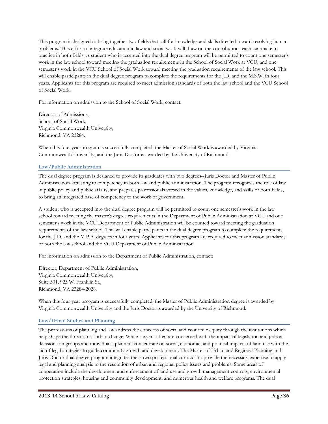This program is designed to bring together two fields that call for knowledge and skills directed toward resolving human problems. This effort to integrate education in law and social work will draw on the contributions each can make to practice in both fields. A student who is accepted into the dual degree program will be permitted to count one semester's work in the law school toward meeting the graduation requirements in the School of Social Work at VCU, and one semester's work in the VCU School of Social Work toward meeting the graduation requirements of the law school. This will enable participants in the dual degree program to complete the requirements for the J.D. and the M.S.W. in four years. Applicants for this program are required to meet admission standards of both the law school and the VCU School of Social Work.

For information on admission to the School of Social Work, contact:

Director of Admissions, School of Social Work, Virginia Commonwealth University, Richmond, VA 23284.

When this four-year program is successfully completed, the Master of Social Work is awarded by Virginia Commonwealth University, and the Juris Doctor is awarded by the University of Richmond.

## **Law/Public Administration**

The dual degree program is designed to provide its graduates with two degrees--Juris Doctor and Master of Public Administration--attesting to competency in both law and public administration. The program recognizes the role of law in public policy and public affairs, and prepares professionals versed in the values, knowledge, and skills of both fields, to bring an integrated base of competency to the work of government.

A student who is accepted into the dual degree program will be permitted to count one semester's work in the law school toward meeting the master's degree requirements in the Department of Public Administration at VCU and one semester's work in the VCU Department of Public Administration will be counted toward meeting the graduation requirements of the law school. This will enable participants in the dual degree program to complete the requirements for the J.D. and the M.P.A. degrees in four years. Applicants for this program are required to meet admission standards of both the law school and the VCU Department of Public Administration.

For information on admission to the Department of Public Administration, contact:

Director, Department of Public Administration, Virginia Commonwealth University, Suite 301, 923 W. Franklin St., Richmond, VA 23284-2028.

When this four-year program is successfully completed, the Master of Public Administration degree is awarded by Virginia Commonwealth University and the Juris Doctor is awarded by the University of Richmond.

## **Law/Urban Studies and Planning**

The professions of planning and law address the concerns of social and economic equity through the institutions which help shape the direction of urban change. While lawyers often are concerned with the impact of legislation and judicial decisions on groups and individuals, planners concentrate on social, economic, and political impacts of land use with the aid of legal strategies to guide community growth and development. The Master of Urban and Regional Planning and Juris Doctor dual degree program integrates these two professional curricula to provide the necessary expertise to apply legal and planning analysis to the resolution of urban and regional policy issues and problems. Some areas of cooperation include the development and enforcement of land use and growth management controls, environmental protection strategies, housing and community development, and numerous health and welfare programs. The dual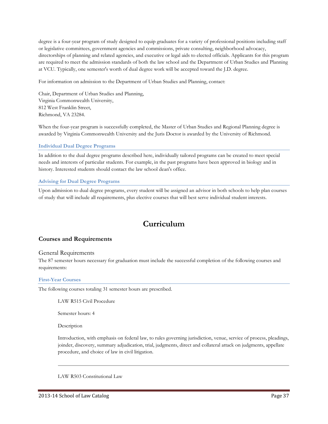degree is a four-year program of study designed to equip graduates for a variety of professional positions including staff or legislative committees, government agencies and commissions, private consulting, neighborhood advocacy, directorships of planning and related agencies, and executive or legal aids to elected officials. Applicants for this program are required to meet the admission standards of both the law school and the Department of Urban Studies and Planning at VCU. Typically, one semester's worth of dual degree work will be accepted toward the J.D. degree.

For information on admission to the Department of Urban Studies and Planning, contact:

Chair, Department of Urban Studies and Planning, Virginia Commonwealth University, 812 West Franklin Street, Richmond, VA 23284.

When the four-year program is successfully completed, the Master of Urban Studies and Regional Planning degree is awarded by Virginia Commonwealth University and the Juris Doctor is awarded by the University of Richmond.

## **Individual Dual Degree Programs**

In addition to the dual degree programs described here, individually tailored programs can be created to meet special needs and interests of particular students. For example, in the past programs have been approved in biology and in history. Interested students should contact the law school dean's office.

## **Advising for Dual Degree Programs**

Upon admission to dual degree programs, every student will be assigned an advisor in both schools to help plan courses of study that will include all requirements, plus elective courses that will best serve individual student interests.

## **Curriculum**

## **Courses and Requirements**

## General Requirements

The 87 semester hours necessary for graduation must include the successful completion of the following courses and requirements:

## **First-Year Courses**

The following courses totaling 31 semester hours are prescribed.

LAW R515 Civil Procedure

Semester hours: 4

Description

Introduction, with emphasis on federal law, to rules governing jurisdiction, venue, service of process, pleadings, joinder, discovery, summary adjudication, trial, judgments, direct and collateral attack on judgments, appellate procedure, and choice of law in civil litigation.

LAW R503 Constitutional Law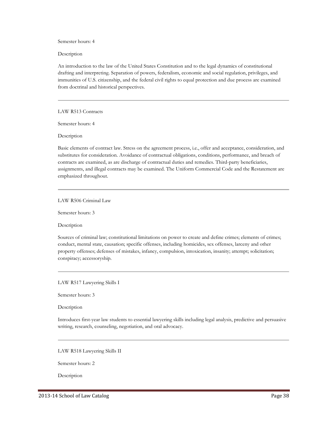Semester hours: 4

Description

An introduction to the law of the United States Constitution and to the legal dynamics of constitutional drafting and interpreting. Separation of powers, federalism, economic and social regulation, privileges, and immunities of U.S. citizenship, and the federal civil rights to equal protection and due process are examined from doctrinal and historical perspectives.

LAW R513 Contracts

Semester hours: 4

Description

Basic elements of contract law. Stress on the agreement process, i.e., offer and acceptance, consideration, and substitutes for consideration. Avoidance of contractual obligations, conditions, performance, and breach of contracts are examined, as are discharge of contractual duties and remedies. Third-party beneficiaries, assignments, and illegal contracts may be examined. The Uniform Commercial Code and the Restatement are emphasized throughout.

LAW R506 Criminal Law

Semester hours: 3

Description

Sources of criminal law; constitutional limitations on power to create and define crimes; elements of crimes; conduct, mental state, causation; specific offenses, including homicides, sex offenses, larceny and other property offenses; defenses of mistakes, infancy, compulsion, intoxication, insanity; attempt; solicitation; conspiracy; accessoryship.

LAW R517 Lawyering Skills I

Semester hours: 3

Description

Introduces first-year law students to essential lawyering skills including legal analysis, predictive and persuasive writing, research, counseling, negotiation, and oral advocacy.

LAW R518 Lawyering Skills II

Semester hours: 2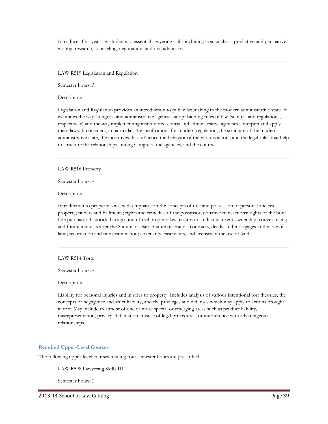Introduces first-year law students to essential lawyering skills including legal analysis, predictive and persuasive writing, research, counseling, negotiation, and oral advocacy.

LAW R519 Legislation and Regulation

Semester hours: 3

Description

Legislation and Regulation provides an introduction to public lawmaking in the modern administrative state. It examines the way Congress and administrative agencies adopt binding rules of law (statutes and regulations, respectively) and the way implementing institutions--courts and administrative agencies--interpret and apply these laws. It considers, in particular, the justifications for modern regulation, the structure of the modern administrative state, the incentives that influence the behavior of the various actors, and the legal rules that help to structure the relationships among Congress, the agencies, and the courts.

LAW R516 Property

Semester hours: 4

Description

Introduction to property laws, with emphasis on the concepts of title and possession of personal and real property; finders and bailments; rights and remedies of the possessor; donative transactions; rights of the bona fide purchaser; historical background of real property law; estates in land; concurrent ownership; conveyancing and future interests after the Statute of Uses; Statute of Frauds; contracts, deeds, and mortgages in the sale of land; recordation and title examination; covenants, easements, and licenses in the use of land.

LAW R514 Torts

Semester hours: 4

Description

Liability for personal injuries and injuries to property. Includes analysis of various intentional tort theories, the concepts of negligence and strict liability, and the privileges and defenses which may apply to actions brought in tort. May include treatment of one or more special or emerging areas such as product liability, misrepresentation, privacy, defamation, misuse of legal procedures, or interference with advantageous relationships.

## **Required Upper-Level Courses**

The following upper-level courses totaling four semester hours are prescribed:

LAW R598 Lawyering Skills III

Semester hours: 2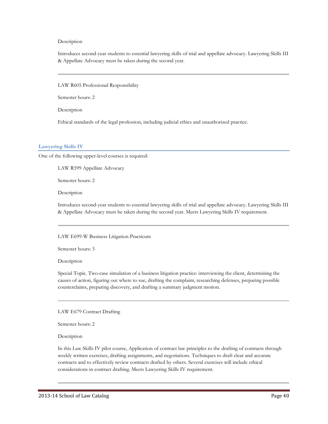### Description

Introduces second-year students to essential lawyering skills of trial and appellate advocacy. Lawyering Skills III & Appellate Advocacy must be taken during the second year.

LAW R605 Professional Responsibility

Semester hours: 2

Description

Ethical standards of the legal profession, including judicial ethics and unauthorized practice.

### **Lawyering Skills IV**

One of the following upper-level courses is required:

LAW R599 Appellate Advocacy

Semester hours: 2

Description

Introduces second-year students to essential lawyering skills of trial and appellate advocacy. Lawyering Skills III & Appellate Advocacy must be taken during the second year. Meets Lawyering Skills IV requirement.

LAW E699-W Business Litigation Practicum

Semester hours: 3

Description

Special Topic. Two-case simulation of a business litigation practice: interviewing the client, determining the causes of action, figuring out where to sue, drafting the complaint, researching defenses, preparing possible counterclaims, preparing discovery, and drafting a summary judgment motion.

LAW E679 Contract Drafting

Semester hours: 2

Description

In this Law Skills IV pilot course, Application of contract law principles to the drafting of contracts through weekly written exercises, drafting assignments, and negotiations. Techniques to draft clear and accurate contracts and to effectively review contracts drafted by others. Several exercises will include ethical considerations in contract drafting. Meets Lawyering Skills IV requirement.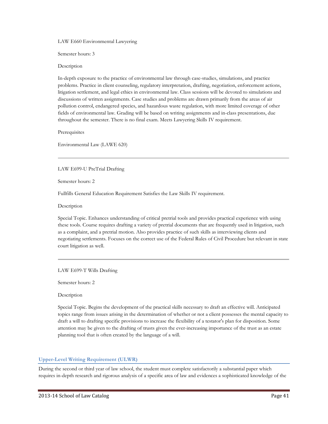LAW E660 Environmental Lawyering

Semester hours: 3

Description

In-depth exposure to the practice of environmental law through case-studies, simulations, and practice problems. Practice in client counseling, regulatory interpretation, drafting, negotiation, enforcement actions, litigation settlement, and legal ethics in environmental law. Class sessions will be devoted to simulations and discussions of written assignments. Case studies and problems are drawn primarily from the areas of air pollution control, endangered species, and hazardous waste regulation, with more limited coverage of other fields of environmental law. Grading will be based on writing assignments and in-class presentations, due throughout the semester. There is no final exam. Meets Lawyering Skills IV requirement.

Prerequisites

Environmental Law (LAWE 620)

LAW E699-U PreTrial Drafting

Semester hours: 2

Fullfills General Education Requirement Satisfies the Law Skills IV requirement.

Description

Special Topic. Enhances understanding of critical pretrial tools and provides practical experience with using these tools. Course requires drafting a variety of pretrial documents that are frequently used in litigation, such as a complaint, and a pretrial motion. Also provides practice of such skills as interviewing clients and negotiating settlements. Focuses on the correct use of the Federal Rules of Civil Procedure but relevant in state court litigation as well.

LAW E699-T Wills Drafting

Semester hours: 2

Description

Special Topic. Begins the development of the practical skills necessary to draft an effective will. Anticipated topics range from issues arising in the determination of whether or not a client possesses the mental capacity to draft a will to drafting specific provisions to increase the flexibility of a testator's plan for disposition. Some attention may be given to the drafting of trusts given the ever-increasing importance of the trust as an estate planning tool that is often created by the language of a will.

### **Upper-Level Writing Requirement (ULWR)**

During the second or third year of law school, the student must complete satisfactorily a substantial paper which requires in-depth research and rigorous analysis of a specific area of law and evidences a sophisticated knowledge of the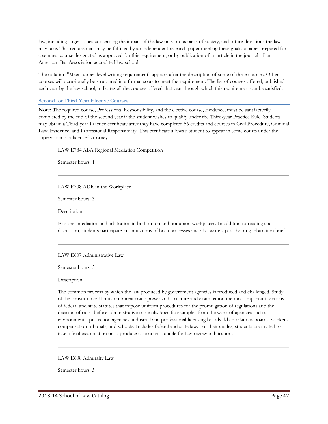law, including larger issues concerning the impact of the law on various parts of society, and future directions the law may take. This requirement may be fulfilled by an independent research paper meeting these goals, a paper prepared for a seminar course designated as approved for this requirement, or by publication of an article in the journal of an American Bar Association accredited law school.

The notation "Meets upper-level writing requirement" appears after the description of some of these courses. Other courses will occasionally be structured in a format so as to meet the requirement. The list of courses offered, published each year by the law school, indicates all the courses offered that year through which this requirement can be satisfied.

### **Second- or Third-Year Elective Courses**

**Note:** The required course, Professional Responsibility, and the elective course, Evidence, must be satisfactorily completed by the end of the second year if the student wishes to qualify under the Third-year Practice Rule. Students may obtain a Third-year Practice certificate after they have completed 56 credits and courses in Civil Procedure, Criminal Law, Evidence, and Professional Responsibility. This certificate allows a student to appear in some courts under the supervision of a licensed attorney.

LAW E784 ABA Regional Mediation Competition

Semester hours: 1

LAW E708 ADR in the Workplace

Semester hours: 3

Description

Explores mediation and arbitration in both union and nonunion workplaces. In addition to reading and discussion, students participate in simulations of both processes and also write a post-hearing arbitration brief.

LAW E607 Administrative Law

Semester hours: 3

Description

The common process by which the law produced by government agencies is produced and challenged. Study of the constitutional limits on bureaucratic power and structure and examination the most important sections of federal and state statutes that impose uniform procedures for the promulgation of regulations and the decision of cases before administrative tribunals. Specific examples from the work of agencies such as environmental protection agencies, industrial and professional licensing boards, labor relations boards, workers' compensation tribunals, and schools. Includes federal and state law. For their grades, students are invited to take a final examination or to produce case notes suitable for law review publication.

LAW E608 Admiralty Law

Semester hours: 3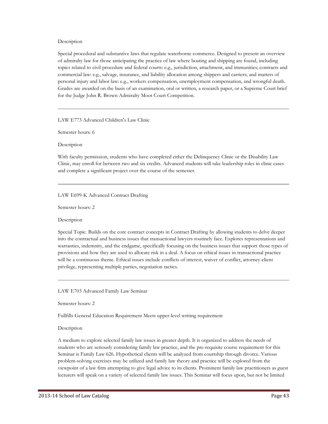### Description

Special procedural and substantive laws that regulate waterborne commerce. Designed to present an overview of admiralty law for those anticipating the practice of law where boating and shipping are found, including topics related to civil procedure and federal courts: e.g., jurisdiction, attachment, and immunities; contracts and commercial law: e.g., salvage, insurance, and liability allocation among shippers and carriers; and matters of personal injury and labor law: e.g., workers compensation, unemployment compensation, and wrongful death. Grades are awarded on the basis of an examination, oral or written, a research paper, or a Supreme Court brief for the Judge John R. Brown Admiralty Moot Court Competition.

LAW E773 Advanced Children's Law Clinic

Semester hours: 6

Description

With faculty permission, students who have completed either the Delinquency Clinic or the Disability Law Clinic, may enroll for between two and six credits. Advanced students will take leadership roles in clinic cases and complete a significant project over the course of the semester.

LAW E699-K Advanced Contract Drafting

Semester hours: 2

Description

Special Topic. Builds on the core contract concepts in Contract Drafting by allowing students to delve deeper into the contractual and business issues that transactional lawyers routinely face. Explores representations and warranties, indemnity, and the endgame, specifically focusing on the business issues that support those types of provisions and how they are used to allocate risk in a deal. A focus on ethical issues in transactional practice will be a continuous theme. Ethical issues include conflicts of interest, waiver of conflict, attorney-client privilege, representing multiple parties, negotiation tactics.

LAW E703 Advanced Family Law Seminar

Semester hours: 2

Fullfills General Education Requirement Meets upper-level writing requirement

Description

A medium to explore selected family law issues in greater depth. It is organized to address the needs of students who are seriously considering family law practice, and the pre-requisite course requirement for this Seminar is Family Law 626. Hypothetical clients will be analyzed from courtship through divorce. Various problem-solving exercises may be utilized and family law theory and practice will be explored from the viewpoint of a law firm attempting to give legal advice to its clients. Prominent family law practitioners as guest lecturers will speak on a variety of selected family law issues. This Seminar will focus upon, but not be limited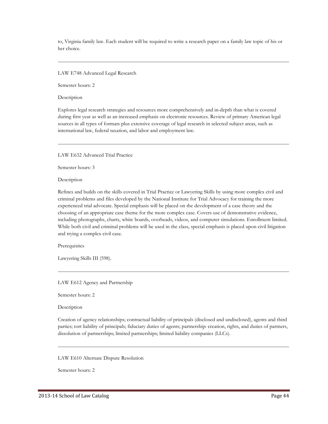to, Virginia family law. Each student will be required to write a research paper on a family law topic of his or her choice.

### LAW E748 Advanced Legal Research

Semester hours: 2

Description

Explores legal research strategies and resources more comprehensively and in-depth than what is covered during first year as well as an increased emphasis on electronic resources. Review of primary American legal sources in all types of formats plus extensive coverage of legal research in selected subject areas, such as international law, federal taxation, and labor and employment law.

LAW E632 Advanced Trial Practice

Semester hours: 3

Description

Refines and builds on the skills covered in Trial Practice or Lawyering Skills by using more complex civil and criminal problems and files developed by the National Institute for Trial Advocacy for training the more experienced trial advocate. Special emphasis will be placed on the development of a case theory and the choosing of an appropriate case theme for the more complex case. Covers use of demonstrative evidence, including photographs, charts, white boards, overheads, videos, and computer simulations. Enrollment limited. While both civil and criminal problems will be used in the class, special emphasis is placed upon civil litigation and trying a complex civil case.

**Prerequisites** 

Lawyering Skills III (598).

LAW E612 Agency and Partnership

Semester hours: 2

Description

Creation of agency relationships; contractual liability of principals (disclosed and undisclosed), agents and third parties; tort liability of principals; fiduciary duties of agents; partnership: creation, rights, and duties of partners, dissolution of partnerships; limited partnerships; limited liability companies (LLCs).

LAW E610 Alternate Dispute Resolution

Semester hours: 2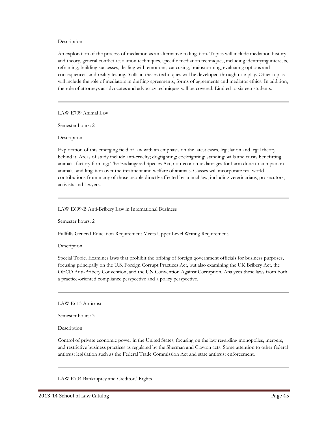### Description

An exploration of the process of mediation as an alternative to litigation. Topics will include mediation history and theory, general conflict resolution techniques, specific mediation techniques, including identifying interests, reframing, building successes, dealing with emotions, caucusing, brainstorming, evaluating options and consequences, and reality testing. Skills in theses techniques will be developed through role-play. Other topics will include the role of mediators in drafting agreements, forms of agreements and mediator ethics. In addition, the role of attorneys as advocates and advocacy techniques will be covered. Limited to sixteen students.

LAW E709 Animal Law

Semester hours: 2

Description

Exploration of this emerging field of law with an emphasis on the latest cases, legislation and legal theory behind it. Areas of study include anti-cruelty; dogfighting; cockfighting; standing; wills and trusts benefitting animals; factory farming; The Endangered Species Act; non-economic damages for harm done to companion animals; and litigation over the treatment and welfare of animals. Classes will incorporate real world contributions from many of those people directly affected by animal law, including veterinarians, prosecutors, activists and lawyers.

LAW E699-B Anti-Bribery Law in International Business

Semester hours: 2

Fullfills General Education Requirement Meets Upper Level Writing Requirement.

**Description** 

Special Topic. Examines laws that prohibit the bribing of foreign government officials for business purposes, focusing principally on the U.S. Foreign Corrupt Practices Act, but also examining the UK Bribery Act, the OECD Anti-Bribery Convention, and the UN Convention Against Corruption. Analyzes these laws from both a practice-oriented compliance perspective and a policy perspective.

LAW E613 Antitrust

Semester hours: 3

Description

Control of private economic power in the United States, focusing on the law regarding monopolies, mergers, and restrictive business practices as regulated by the Sherman and Clayton acts. Some attention to other federal antitrust legislation such as the Federal Trade Commission Act and state antitrust enforcement.

LAW E704 Bankruptcy and Creditors' Rights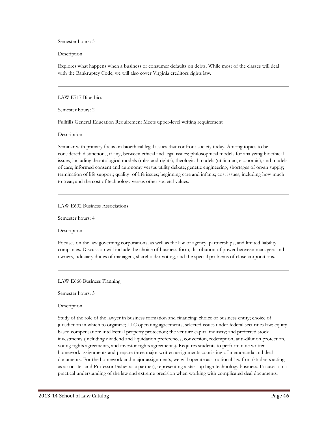Semester hours: 3

Description

Explores what happens when a business or consumer defaults on debts. While most of the classes will deal with the Bankruptcy Code, we will also cover Virginia creditors rights law.

### LAW E717 Bioethics

Semester hours: 2

Fullfills General Education Requirement Meets upper-level writing requirement

Description

Seminar with primary focus on bioethical legal issues that confront society today. Among topics to be considered: distinctions, if any, between ethical and legal issues; philosophical models for analyzing bioethical issues, including deontological models (rules and rights), theological models (utilitarian, economic), and models of care; informed consent and autonomy versus utility debate; genetic engineering; shortages of organ supply; termination of life support; quality- of-life issues; beginning care and infants; cost issues, including how much to treat; and the cost of technology versus other societal values.

LAW E602 Business Associations

Semester hours: 4

Description

Focuses on the law governing corporations, as well as the law of agency, partnerships, and limited liability companies. Discussion will include the choice of business form, distribution of power between managers and owners, fiduciary duties of managers, shareholder voting, and the special problems of close corporations.

LAW E668 Business Planning

Semester hours: 3

Description

Study of the role of the lawyer in business formation and financing; choice of business entity; choice of jurisdiction in which to organize; LLC operating agreements; selected issues under federal securities law; equitybased compensation; intellectual property protection; the venture capital industry; and preferred stock investments (including dividend and liquidation preferences, conversion, redemption, anti-dilution protection, voting rights agreements, and investor rights agreements). Requires students to perform nine written homework assignments and prepare three major written assignments consisting of memoranda and deal documents. For the homework and major assignments, we will operate as a notional law firm (students acting as associates and Professor Fisher as a partner), representing a start-up high technology business. Focuses on a practical understanding of the law and extreme precision when working with complicated deal documents.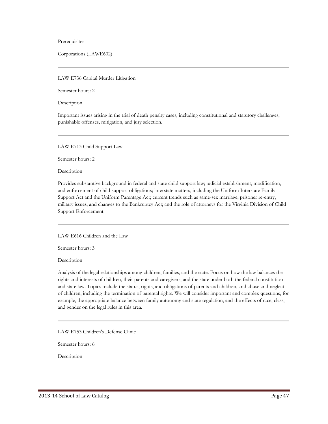Prerequisites

Corporations (LAWE602)

### LAW E736 Capital Murder Litigation

Semester hours: 2

Description

Important issues arising in the trial of death penalty cases, including constitutional and statutory challenges, punishable offenses, mitigation, and jury selection.

LAW E713 Child Support Law

Semester hours: 2

Description

Provides substantive background in federal and state child support law; judicial establishment, modification, and enforcement of child support obligations; interstate matters, including the Uniform Interstate Family Support Act and the Uniform Parentage Act; current trends such as same-sex marriage, prisoner re-entry, military issues, and changes to the Bankruptcy Act; and the role of attorneys for the Virginia Division of Child Support Enforcement.

LAW E616 Children and the Law

Semester hours: 3

Description

Analysis of the legal relationships among children, families, and the state. Focus on how the law balances the rights and interests of children, their parents and caregivers, and the state under both the federal constitution and state law. Topics include the status, rights, and obligations of parents and children, and abuse and neglect of children, including the termination of parental rights. We will consider important and complex questions, for example, the appropriate balance between family autonomy and state regulation, and the effects of race, class, and gender on the legal rules in this area.

LAW E753 Children's Defense Clinic

Semester hours: 6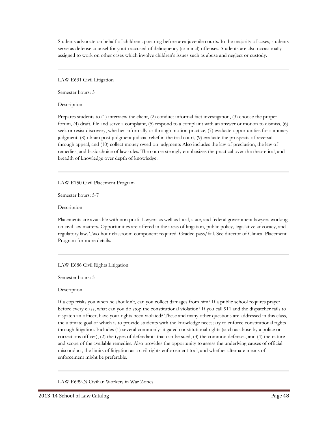Students advocate on behalf of children appearing before area juvenile courts. In the majority of cases, students serve as defense counsel for youth accused of delinquency (criminal) offenses. Students are also occasionally assigned to work on other cases which involve children's issues such as abuse and neglect or custody.

LAW E631 Civil Litigation

Semester hours: 3

**Description** 

Prepares students to (1) interview the client, (2) conduct informal fact investigation, (3) choose the proper forum, (4) draft, file and serve a complaint, (5) respond to a complaint with an answer or motion to dismiss, (6) seek or resist discovery, whether informally or through motion practice, (7) evaluate opportunities for summary judgment, (8) obtain post-judgment judicial relief in the trial court, (9) evaluate the prospects of reversal through appeal, and (10) collect money owed on judgments Also includes the law of preclusion, the law of remedies, and basic choice of law rules. The course strongly emphasizes the practical over the theoretical, and breadth of knowledge over depth of knowledge.

LAW E750 Civil Placement Program

Semester hours: 5-7

Description

Placements are available with non profit lawyers as well as local, state, and federal government lawyers working on civil law matters. Opportunities are offered in the areas of litigation, public policy, legislative advocacy, and regulatory law. Two-hour classroom component required. Graded pass/fail. See director of Clinical Placement Program for more details.

LAW E686 Civil Rights Litigation

Semester hours: 3

**Description** 

If a cop frisks you when he shouldn't, can you collect damages from him? If a public school requires prayer before every class, what can you do stop the constitutional violation? If you call 911 and the dispatcher fails to dispatch an officer, have your rights been violated? These and many other questions are addressed in this class, the ultimate goal of which is to provide students with the knowledge necessary to enforce constitutional rights through litigation. Includes (1) several commonly-litigated constitutional rights (such as abuse by a police or corrections officer), (2) the types of defendants that can be sued, (3) the common defenses, and (4) the nature and scope of the available remedies. Also provides the opportunity to assess the underlying causes of official misconduct, the limits of litigation as a civil rights enforcement tool, and whether alternate means of enforcement might be preferable.

LAW E699-N Civilian Workers in War Zones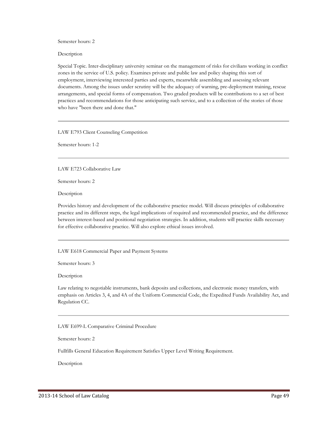Semester hours: 2

Description

Special Topic. Inter-disciplinary university seminar on the management of risks for civilians working in conflict zones in the service of U.S. policy. Examines private and public law and policy shaping this sort of employment, interviewing interested parties and experts, meanwhile assembling and assessing relevant documents. Among the issues under scrutiny will be the adequacy of warning, pre-deployment training, rescue arrangements, and special forms of compensation. Two graded products will be contributions to a set of best practices and recommendations for those anticipating such service, and to a collection of the stories of those who have "been there and done that."

LAW E793 Client Counseling Competition

Semester hours: 1-2

LAW E723 Collaborative Law

Semester hours: 2

Description

Provides history and development of the collaborative practice model. Will discuss principles of collaborative practice and its different steps, the legal implications of required and recommended practice, and the difference between interest-based and positional negotiation strategies. In addition, students will practice skills necessary for effective collaborative practice. Will also explore ethical issues involved.

LAW E618 Commercial Paper and Payment Systems

Semester hours: 3

Description

Law relating to negotiable instruments, bank deposits and collections, and electronic money transfers, with emphasis on Articles 3, 4, and 4A of the Uniform Commercial Code, the Expedited Funds Availability Act, and Regulation CC.

LAW E699-L Comparative Criminal Procedure

Semester hours: 2

Fullfills General Education Requirement Satisfies Upper Level Writing Requirement.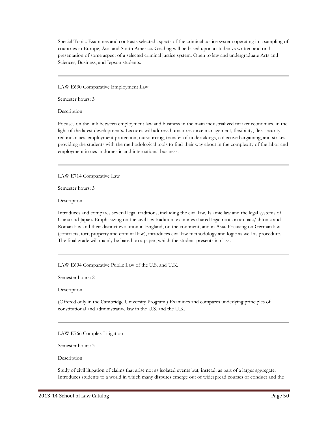Special Topic. Examines and contrasts selected aspects of the criminal justice system operating in a sampling of countries in Europe, Asia and South America. Grading will be based upon a student¿s written and oral presentation of some aspect of a selected criminal justice system. Open to law and undergraduate Arts and Sciences, Business, and Jepson students.

LAW E630 Comparative Employment Law

Semester hours: 3

Description

Focuses on the link between employment law and business in the main industrialized market economies, in the light of the latest developments. Lectures will address human resource management, flexibility, flex-security, redundancies, employment protection, outsourcing, transfer of undertakings, collective bargaining, and strikes, providing the students with the methodological tools to find their way about in the complexity of the labor and employment issues in domestic and international business.

LAW E714 Comparative Law

Semester hours: 3

Description

Introduces and compares several legal traditions, including the civil law, Islamic law and the legal systems of China and Japan. Emphasizing on the civil law tradition, examines shared legal roots in archaic/chtonic and Roman law and their distinct evolution in England, on the continent, and in Asia. Focusing on German law (contracts, tort, property and criminal law), introduces civil law methodology and logic as well as procedure. The final grade will mainly be based on a paper, which the student presents in class.

LAW E694 Comparative Public Law of the U.S. and U.K.

Semester hours: 2

**Description** 

(Offered only in the Cambridge University Program.) Examines and compares underlying principles of constitutional and administrative law in the U.S. and the U.K.

LAW E766 Complex Litigation

Semester hours: 3

Description

Study of civil litigation of claims that arise not as isolated events but, instead, as part of a larger aggregate. Introduces students to a world in which many disputes emerge out of widespread courses of conduct and the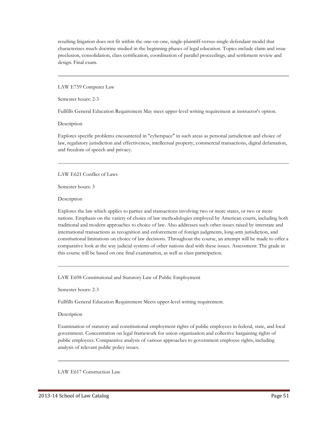resulting litigation does not fit within the one-on-one, single-plaintiff-versus-single-defendant model that characterizes much doctrine studied in the beginning phases of legal education. Topics include claim and issue preclusion, consolidation, class certification, coordination of parallel proceedings, and settlement review and design. Final exam.

LAW E759 Computer Law

Semester hours: 2-3

Fullfills General Education Requirement May meet upper-level writing requirement at instructor's option.

Description

Explores specific problems encountered in "cyberspace" in such areas as personal jurisdiction and choice of law, regulatory jurisdiction and effectiveness, intellectual property, commercial transactions, digital defamation, and freedom of speech and privacy.

## LAW E621 Conflict of Laws

Semester hours: 3

Description

Explores the law which applies to parties and transactions involving two or more states, or two or more nations. Emphasis on the variety of choice of law methodologies employed by American courts, including both traditional and modern approaches to choice of law. Also addresses such other issues raised by interstate and international transactions as recognition and enforcement of foreign judgments, long-arm jurisdiction, and constitutional limitations on choice of law decisions. Throughout the course, an attempt will be made to offer a comparative look at the way judicial systems of other nations deal with these issues. Assessment: The grade in this course will be based on one final examination, as well as class participation.

LAW E698 Constitutional and Statutory Law of Public Employment

Semester hours: 2-3

Fullfills General Education Requirement Meets upper-level writing requirement.

## Description

Examination of statutory and constitutional employment rights of public employees in federal, state, and local government. Concentration on legal framework for union organization and collective bargaining rights of public employees. Comparative analysis of various approaches to government employee rights, including analysis of relevant public policy issues.

LAW E617 Construction Law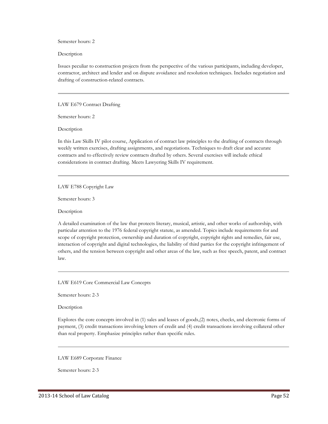Semester hours: 2

Description

Issues peculiar to construction projects from the perspective of the various participants, including developer, contractor, architect and lender and on dispute avoidance and resolution techniques. Includes negotiation and drafting of construction-related contracts.

LAW E679 Contract Drafting

Semester hours: 2

Description

In this Law Skills IV pilot course, Application of contract law principles to the drafting of contracts through weekly written exercises, drafting assignments, and negotiations. Techniques to draft clear and accurate contracts and to effectively review contracts drafted by others. Several exercises will include ethical considerations in contract drafting. Meets Lawyering Skills IV requirement.

LAW E788 Copyright Law

Semester hours: 3

Description

A detailed examination of the law that protects literary, musical, artistic, and other works of authorship, with particular attention to the 1976 federal copyright statute, as amended. Topics include requirements for and scope of copyright protection, ownership and duration of copyright, copyright rights and remedies, fair use, interaction of copyright and digital technologies, the liability of third parties for the copyright infringement of others, and the tension between copyright and other areas of the law, such as free speech, patent, and contract law.

LAW E619 Core Commercial Law Concepts

Semester hours: 2-3

Description

Explores the core concepts involved in (1) sales and leases of goods,(2) notes, checks, and electronic forms of payment, (3) credit transactions involving letters of credit and (4) credit transactions involving collateral other than real property. Emphasize principles rather than specific rules.

LAW E689 Corporate Finance

Semester hours: 2-3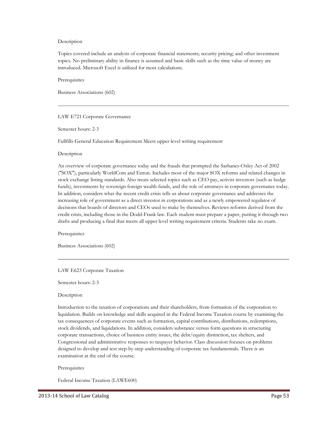### Description

Topics covered include an analysis of corporate financial statements; security pricing; and other investment topics. No preliminary ability in finance is assumed and basic skills such as the time value of money are introduced. Microsoft Excel is utilized for most calculations.

**Prerequisites** 

Business Associations (602)

LAW E721 Corporate Governance

Semester hours: 2-3

Fullfills General Education Requirement Meets upper-level writing requirement

Description

An overview of corporate governance today and the frauds that prompted the Sarbanes-Oxley Act of 2002 ("SOX"), particularly WorldCom and Enron. Includes most of the major SOX reforms and related changes in stock exchange listing standards. Also treats selected topics such as CEO pay, activist investors (such as hedge funds), investments by sovereign foreign wealth funds, and the role of attorneys in corporate governance today. In addition, considers what the recent credit crisis tells us about corporate governance and addresses the increasing role of government as a direct investor in corporations and as a newly empowered regulator of decisions that boards of directors and CEOs used to make by themselves. Reviews reforms derived from the credit crisis, including those in the Dodd-Frank law. Each student must prepare a paper, putting it through two drafts and producing a final that meets all upper level writing requirement criteria. Students take no exam.

**Prerequisites** 

Business Associations (602)

LAW E623 Corporate Taxation

Semester hours: 2-3

Description

Introduction to the taxation of corporations and their shareholders, from formation of the corporation to liquidation. Builds on knowledge and skills acquired in the Federal Income Taxation course by examining the tax consequences of corporate events such as formation, capital contributions, distributions, redemptions, stock dividends, and liquidations. In addition, considers substance versus form questions in structuring corporate transactions, choice of business entity issues, the debt/equity distinction, tax shelters, and Congressional and administrative responses to taxpayer behavior. Class discussion focuses on problems designed to develop and test step-by-step understanding of corporate tax fundamentals. There is an examination at the end of the course.

### **Prerequisites**

Federal Income Taxation (LAWE600)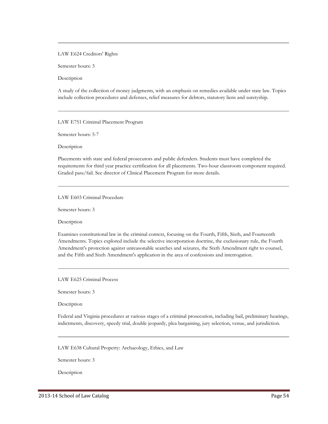### LAW E624 Creditors' Rights

Semester hours: 3

Description

A study of the collection of money judgments, with an emphasis on remedies available under state law. Topics include collection procedures and defenses, relief measures for debtors, statutory liens and suretyship.

LAW E751 Criminal Placement Program

Semester hours: 5-7

Description

Placements with state and federal prosecutors and public defenders. Students must have completed the requirements for third year practice certification for all placements. Two-hour classroom component required. Graded pass/fail. See director of Clinical Placement Program for more details.

## LAW E603 Criminal Procedure

Semester hours: 3

Description

Examines constitutional law in the criminal context, focusing on the Fourth, Fifth, Sixth, and Fourteenth Amendments. Topics explored include the selective incorporation doctrine, the exclusionary rule, the Fourth Amendment's protection against unreasonable searches and seizures, the Sixth Amendment right to counsel, and the Fifth and Sixth Amendment's application in the area of confessions and interrogation.

LAW E625 Criminal Process

Semester hours: 3

Description

Federal and Virginia procedures at various stages of a criminal prosecution, including bail, preliminary hearings, indictments, discovery, speedy trial, double jeopardy, plea bargaining, jury selection, venue, and jurisdiction.

LAW E638 Cultural Property: Archaeology, Ethics, and Law

Semester hours: 3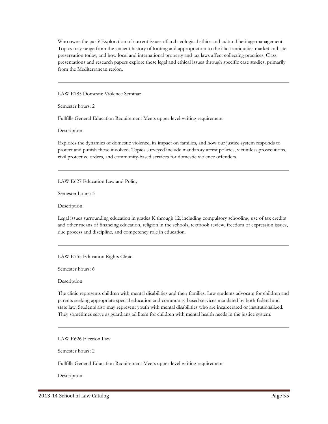Who owns the past? Exploration of current issues of archaeological ethics and cultural heritage management. Topics may range from the ancient history of looting and appropriation to the illicit antiquities market and site preservation today, and how local and international property and tax laws affect collecting practices. Class presentations and research papers explore these legal and ethical issues through specific case studies, primarily from the Mediterranean region.

LAW E785 Domestic Violence Seminar

Semester hours: 2

Fullfills General Education Requirement Meets upper-level writing requirement

Description

Explores the dynamics of domestic violence, its impact on families, and how our justice system responds to protect and punish those involved. Topics surveyed include mandatory arrest policies, victimless prosecutions, civil protective orders, and community-based services for domestic violence offenders.

LAW E627 Education Law and Policy

Semester hours: 3

Description

Legal issues surrounding education in grades K through 12, including compulsory schooling, use of tax credits and other means of financing education, religion in the schools, textbook review, freedom of expression issues, due process and discipline, and competency role in education.

LAW E755 Education Rights Clinic

Semester hours: 6

**Description** 

The clinic represents children with mental disabilities and their families. Law students advocate for children and parents seeking appropriate special education and community-based services mandated by both federal and state law. Students also may represent youth with mental disabilities who are incarcerated or institutionalized. They sometimes serve as guardians ad litem for children with mental health needs in the justice system.

LAW E626 Election Law

Semester hours: 2

Fullfills General Education Requirement Meets upper-level writing requirement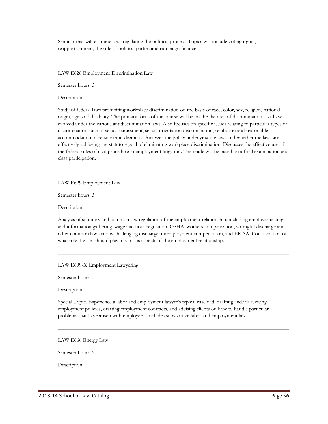Seminar that will examine laws regulating the political process. Topics will include voting rights, reapportionment, the role of political parties and campaign finance.

LAW E628 Employment Discrimination Law

Semester hours: 3

Description

Study of federal laws prohibiting workplace discrimination on the basis of race, color, sex, religion, national origin, age, and disability. The primary focus of the course will be on the theories of discrimination that have evolved under the various antidiscrimination laws. Also focuses on specific issues relating to particular types of discrimination such as sexual harassment, sexual orientation discrimination, retaliation and reasonable accommodation of religion and disability. Analyzes the policy underlying the laws and whether the laws are effectively achieving the statutory goal of eliminating workplace discrimination. Discusses the effective use of the federal rules of civil procedure in employment litigation. The grade will be based on a final examination and class participation.

LAW E629 Employment Law

Semester hours: 3

Description

Analysis of statutory and common law regulation of the employment relationship, including employer testing and information gathering, wage and hour regulation, OSHA, workers compensation, wrongful discharge and other common law actions challenging discharge, unemployment compensation, and ERISA. Consideration of what role the law should play in various aspects of the employment relationship.

LAW E699-X Employment Lawyering

Semester hours: 3

**Description** 

Special Topic. Experience a labor and employment lawyer's typical caseload: drafting and/or revising employment policies, drafting employment contracts, and advising clients on how to handle particular problems that have arisen with employees. Includes substantive labor and employment law.

LAW E666 Energy Law

Semester hours: 2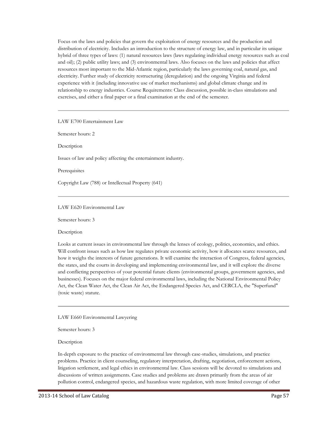Focus on the laws and policies that govern the exploitation of energy resources and the production and distribution of electricity. Includes an introduction to the structure of energy law, and in particular its unique hybrid of three types of laws: (1) natural resources laws (laws regulating individual energy resources such as coal and oil); (2) public utility laws; and (3) environmental laws. Also focuses on the laws and policies that affect resources most important to the Mid-Atlantic region, particularly the laws governing coal, natural gas, and electricity. Further study of electricity restructuring (deregulation) and the ongoing Virginia and federal experience with it (including innovative use of market mechanisms) and global climate change and its relationship to energy industries. Course Requirements: Class discussion, possible in-class simulations and exercises, and either a final paper or a final examination at the end of the semester.

LAW E700 Entertainment Law

Semester hours: 2

Description

Issues of law and policy affecting the entertainment industry.

Prerequisites

Copyright Law (788) or Intellectual Property (641)

LAW E620 Environmental Law

Semester hours: 3

Description

Looks at current issues in environmental law through the lenses of ecology, politics, economics, and ethics. Will confront issues such as how law regulates private economic activity, how it allocates scarce resources, and how it weighs the interests of future generations. It will examine the interaction of Congress, federal agencies, the states, and the courts in developing and implementing environmental law, and it will explore the diverse and conflicting perspectives of your potential future clients (environmental groups, government agencies, and businesses). Focuses on the major federal environmental laws, including the National Environmental Policy Act, the Clean Water Act, the Clean Air Act, the Endangered Species Act, and CERCLA, the "Superfund" (toxic waste) statute.

LAW E660 Environmental Lawyering

Semester hours: 3

Description

In-depth exposure to the practice of environmental law through case-studies, simulations, and practice problems. Practice in client counseling, regulatory interpretation, drafting, negotiation, enforcement actions, litigation settlement, and legal ethics in environmental law. Class sessions will be devoted to simulations and discussions of written assignments. Case studies and problems are drawn primarily from the areas of air pollution control, endangered species, and hazardous waste regulation, with more limited coverage of other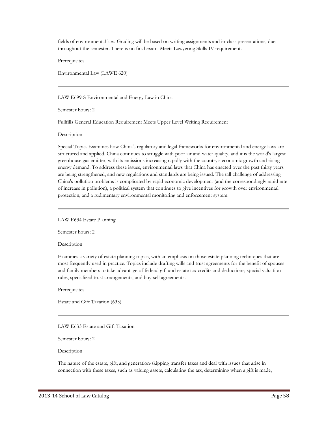fields of environmental law. Grading will be based on writing assignments and in-class presentations, due throughout the semester. There is no final exam. Meets Lawyering Skills IV requirement.

**Prerequisites** 

Environmental Law (LAWE 620)

LAW E699-S Environmental and Energy Law in China

Semester hours: 2

Fullfills General Education Requirement Meets Upper Level Writing Requirement

Description

Special Topic. Examines how China's regulatory and legal frameworks for environmental and energy laws are structured and applied. China continues to struggle with poor air and water quality, and it is the world's largest greenhouse gas emitter, with its emissions increasing rapidly with the country's economic growth and rising energy demand. To address these issues, environmental laws that China has enacted over the past thirty years are being strengthened, and new regulations and standards are being issued. The tall challenge of addressing China's pollution problems is complicated by rapid economic development (and the correspondingly rapid rate of increase in pollution), a political system that continues to give incentives for growth over environmental protection, and a rudimentary environmental monitoring and enforcement system.

LAW E634 Estate Planning

Semester hours: 2

Description

Examines a variety of estate planning topics, with an emphasis on those estate planning techniques that are most frequently used in practice. Topics include drafting wills and trust agreements for the benefit of spouses and family members to take advantage of federal gift and estate tax credits and deductions; special valuation rules, specialized trust arrangements, and buy-sell agreements.

**Prerequisites** 

Estate and Gift Taxation (633).

LAW E633 Estate and Gift Taxation

Semester hours: 2

Description

The nature of the estate, gift, and generation-skipping transfer taxes and deal with issues that arise in connection with these taxes, such as valuing assets, calculating the tax, determining when a gift is made,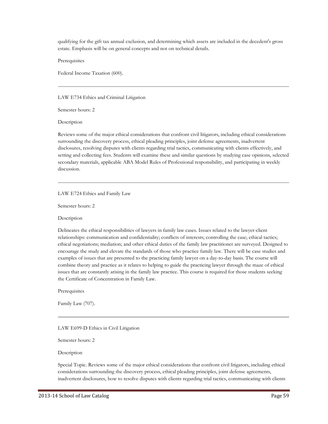qualifying for the gift tax annual exclusion, and determining which assets are included in the decedent's gross estate. Emphasis will be on general concepts and not on technical details.

**Prerequisites** 

Federal Income Taxation (600).

LAW E734 Ethics and Criminal Litigation

Semester hours: 2

Description

Reviews some of the major ethical considerations that confront civil litigators, including ethical considerations surrounding the discovery process, ethical pleading principles, joint defense agreements, inadvertent disclosures, resolving disputes with clients regarding trial tactics, communicating with clients effectively, and setting and collecting fees. Students will examine these and similar questions by studying case opinions, selected secondary materials, applicable ABA Model Rules of Professional responsibility, and participating in weekly discussion.

LAW E724 Ethics and Family Law

Semester hours: 2

Description

Delineates the ethical responsibilities of lawyers in family law cases. Issues related to the lawyer-client relationships: communication and confidentiality; conflicts of interests; controlling the case; ethical tactics; ethical negotiations; mediation; and other ethical duties of the family law practitioner are surveyed. Designed to encourage the study and elevate the standards of those who practice family law. There will be case studies and examples of issues that are presented to the practicing family lawyer on a day-to-day basis. The course will combine theory and practice as it relates to helping to guide the practicing lawyer through the maze of ethical issues that are constantly arising in the family law practice. This course is required for those students seeking the Certificate of Concentration in Family Law.

**Prerequisites** 

Family Law (707).

LAW E699-D Ethics in Civil Litigation

Semester hours: 2

Description

Special Topic. Reviews some of the major ethical considerations that confront civil litigators, including ethical considerations surrounding the discovery process, ethical pleading principles, joint defense agreements, inadvertent disclosures, how to resolve disputes with clients regarding trial tactics, communicating with clients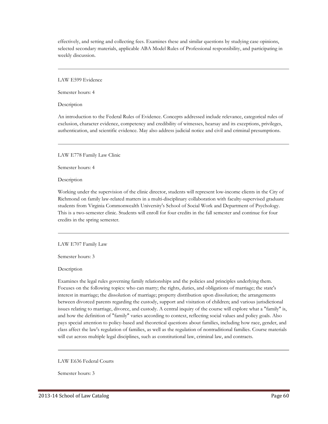effectively, and setting and collecting fees. Examines these and similar questions by studying case opinions, selected secondary materials, applicable ABA Model Rules of Professional responsibility, and participating in weekly discussion.

LAW E599 Evidence

Semester hours: 4

**Description** 

An introduction to the Federal Rules of Evidence. Concepts addressed include relevance, categorical rules of exclusion, character evidence, competency and credibility of witnesses, hearsay and its exceptions, privileges, authentication, and scientific evidence. May also address judicial notice and civil and criminal presumptions.

LAW E778 Family Law Clinic

Semester hours: 4

Description

Working under the supervision of the clinic director, students will represent low-income clients in the City of Richmond on family law-related matters in a multi-disciplinary collaboration with faculty-supervised graduate students from Virginia Commonwealth University's School of Social Work and Department of Psychology. This is a two-semester clinic. Students will enroll for four credits in the fall semester and continue for four credits in the spring semester.

LAW E707 Family Law

Semester hours: 3

Description

Examines the legal rules governing family relationships and the policies and principles underlying them. Focuses on the following topics: who can marry; the rights, duties, and obligations of marriage; the state's interest in marriage; the dissolution of marriage; property distribution upon dissolution; the arrangements between divorced parents regarding the custody, support and visitation of children; and various jurisdictional issues relating to marriage, divorce, and custody. A central inquiry of the course will explore what a "family" is, and how the definition of "family" varies according to context, reflecting social values and policy goals. Also pays special attention to policy-based and theoretical questions about families, including how race, gender, and class affect the law's regulation of families, as well as the regulation of nontraditional families. Course materials will cut across multiple legal disciplines, such as constitutional law, criminal law, and contracts.

LAW E636 Federal Courts

Semester hours: 3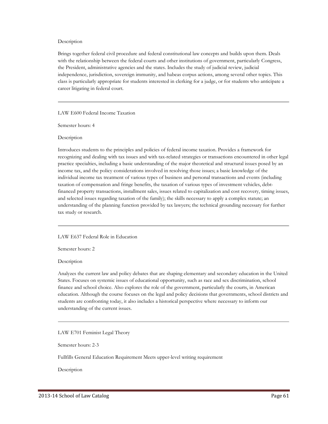### Description

Brings together federal civil procedure and federal constitutional law concepts and builds upon them. Deals with the relationship between the federal courts and other institutions of government, particularly Congress, the President, administrative agencies and the states. Includes the study of judicial review, judicial independence, jurisdiction, sovereign immunity, and habeas corpus actions, among several other topics. This class is particularly appropriate for students interested in clerking for a judge, or for students who anticipate a career litigating in federal court.

LAW E600 Federal Income Taxation

Semester hours: 4

Description

Introduces students to the principles and policies of federal income taxation. Provides a framework for recognizing and dealing with tax issues and with tax-related strategies or transactions encountered in other legal practice specialties, including a basic understanding of the major theoretical and structural issues posed by an income tax, and the policy considerations involved in resolving those issues; a basic knowledge of the individual income tax treatment of various types of business and personal transactions and events (including taxation of compensation and fringe benefits, the taxation of various types of investment vehicles, debtfinanced property transactions, installment sales, issues related to capitalization and cost recovery, timing issues, and selected issues regarding taxation of the family); the skills necessary to apply a complex statute; an understanding of the planning function provided by tax lawyers; the technical grounding necessary for further tax study or research.

LAW E637 Federal Role in Education

Semester hours: 2

Description

Analyzes the current law and policy debates that are shaping elementary and secondary education in the United States. Focuses on systemic issues of educational opportunity, such as race and sex discrimination, school finance and school choice. Also explores the role of the government, particularly the courts, in American education. Although the course focuses on the legal and policy decisions that governments, school districts and students are confronting today, it also includes a historical perspective where necessary to inform our understanding of the current issues.

LAW E701 Feminist Legal Theory

Semester hours: 2-3

Fullfills General Education Requirement Meets upper-level writing requirement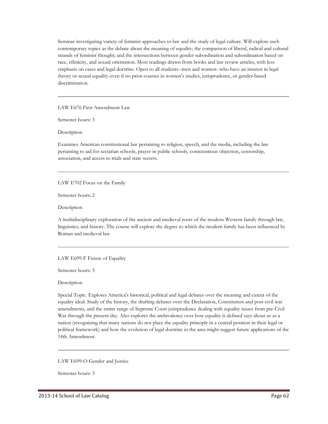Seminar investigating variety of feminist approaches to law and the study of legal culture. Will explore such contemporary topics as the debate about the meaning of equality; the comparison of liberal, radical and cultural strands of feminist thought; and the intersections between gender subordination and subordination based on race, ethnicity, and sexual orientation. Most readings drawn from books and law review articles, with less emphasis on cases and legal doctrine. Open to all students--men and women--who have an interest in legal theory or sexual equality-even if no prior courses in women's studies, jurisprudence, or gender-based discrimination.

LAW E676 First Amendment Law

Semester hours: 3

Description

Examines American constitutional law pertaining to religion, speech, and the media, including the law pertaining to aid for sectarian schools, prayer in public schools, conscientious objection, censorship, association, and access to trials and state secrets.

LAW E702 Focus on the Family

Semester hours: 2

Description

A multidisciplinary exploration of the ancient and medieval roots of the modern Western family through law, linguistics, and history. The course will explore the degree to which the modern family has been influenced by Roman and medieval law

LAW E699-F Future of Equality

Semester hours: 3

Description

Special Topic. Explores America's historical, political and legal debates over the meaning and extent of the equality ideal. Study of the history, the drafting debates over the Declaration, Constitution and post-civil war amendments, and the entire range of Supreme Court jurisprudence dealing with equality issues from pre-Civil War through the present day. Also explores the ambivalence over how equality is defined says about us as a nation (recognizing that many nations do not place the equality principle in a central position in their legal or political framework) and how the evolution of legal doctrine in the area might suggest future applications of the 14th Amendment.

LAW E699-O Gender and Justice

Semester hours: 3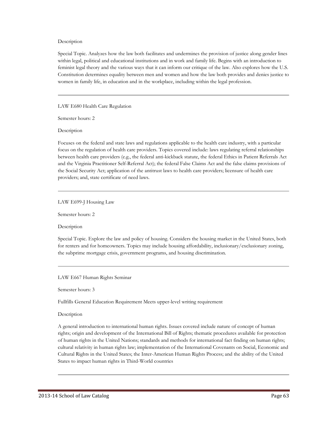### Description

Special Topic. Analyzes how the law both facilitates and undermines the provision of justice along gender lines within legal, political and educational institutions and in work and family life. Begins with an introduction to feminist legal theory and the various ways that it can inform our critique of the law. Also explores how the U.S. Constitution determines equality between men and women and how the law both provides and denies justice to women in family life, in education and in the workplace, including within the legal profession.

LAW E680 Health Care Regulation

Semester hours: 2

Description

Focuses on the federal and state laws and regulations applicable to the health care industry, with a particular focus on the regulation of health care providers. Topics covered include: laws regulating referral relationships between health care providers (e.g., the federal anti-kickback statute, the federal Ethics in Patient Referrals Act and the Virginia Practitioner Self-Referral Act); the federal False Claims Act and the false claims provisions of the Social Security Act; application of the antitrust laws to health care providers; licensure of health care providers; and, state certificate of need laws.

### LAW E699-J Housing Law

Semester hours: 2

Description

Special Topic. Explore the law and policy of housing. Considers the housing market in the United States, both for renters and for homeowners. Topics may include housing affordability, inclusionary/exclusionary zoning, the subprime mortgage crisis, government programs, and housing discrimination.

LAW E667 Human Rights Seminar

Semester hours: 3

Fullfills General Education Requirement Meets upper-level writing requirement

## Description

A general introduction to international human rights. Issues covered include nature of concept of human rights; origin and development of the International Bill of Rights; thematic procedures available for protection of human rights in the United Nations; standards and methods for international fact finding on human rights; cultural relativity in human rights law; implementation of the International Covenants on Social, Economic and Cultural Rights in the United States; the Inter-American Human Rights Process; and the ability of the United States to impact human rights in Third-World countries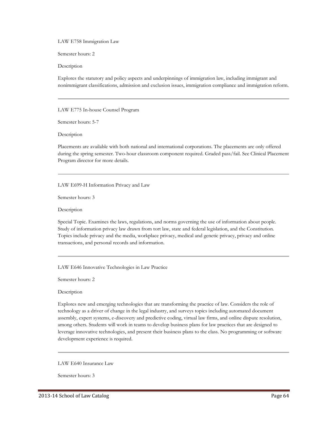LAW E758 Immigration Law

Semester hours: 2

Description

Explores the statutory and policy aspects and underpinnings of immigration law, including immigrant and nonimmigrant classifications, admission and exclusion issues, immigration compliance and immigration reform.

LAW E775 In-house Counsel Program

Semester hours: 5-7

Description

Placements are available with both national and international corporations. The placements are only offered during the spring semester. Two-hour classroom component required. Graded pass/fail. See Clinical Placement Program director for more details.

LAW E699-H Information Privacy and Law

Semester hours: 3

Description

Special Topic. Examines the laws, regulations, and norms governing the use of information about people. Study of information privacy law drawn from tort law, state and federal legislation, and the Constitution. Topics include privacy and the media, workplace privacy, medical and genetic privacy, privacy and online transactions, and personal records and information.

LAW E646 Innovative Technologies in Law Practice

Semester hours: 2

Description

Explores new and emerging technologies that are transforming the practice of law. Considers the role of technology as a driver of change in the legal industry, and surveys topics including automated document assembly, expert systems, e-discovery and predictive coding, virtual law firms, and online dispute resolution, among others. Students will work in teams to develop business plans for law practices that are designed to leverage innovative technologies, and present their business plans to the class. No programming or software development experience is required.

LAW E640 Insurance Law

Semester hours: 3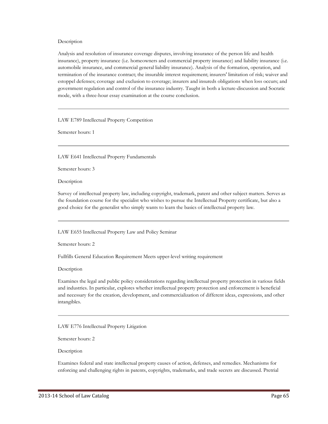#### Description

Analysis and resolution of insurance coverage disputes, involving insurance of the person life and health insurance), property insurance (i.e. homeowners and commercial property insurance) and liability insurance (i.e. automobile insurance, and commercial general liability insurance). Analysis of the formation, operation, and termination of the insurance contract; the insurable interest requirement; insurers' limitation of risk; waiver and estoppel defenses; coverage and exclusion to coverage; insurers and insureds obligations when loss occurs; and government regulation and control of the insurance industry. Taught in both a lecture-discussion and Socratic mode, with a three-hour essay examination at the course conclusion.

LAW E789 Intellectual Property Competition

Semester hours: 1

LAW E641 Intellectual Property Fundamentals

Semester hours: 3

Description

Survey of intellectual property law, including copyright, trademark, patent and other subject matters. Serves as the foundation course for the specialist who wishes to pursue the Intellectual Property certificate, but also a good choice for the generalist who simply wants to learn the basics of intellectual property law.

LAW E655 Intellectual Property Law and Policy Seminar

Semester hours: 2

Fullfills General Education Requirement Meets upper-level writing requirement

Description

Examines the legal and public policy considerations regarding intellectual property protection in various fields and industries. In particular, explores whether intellectual property protection and enforcement is beneficial and necessary for the creation, development, and commercialization of different ideas, expressions, and other intangibles.

LAW E776 Intellectual Property Litigation

Semester hours: 2

Description

Examines federal and state intellectual property causes of action, defenses, and remedies. Mechanisms for enforcing and challenging rights in patents, copyrights, trademarks, and trade secrets are discussed. Pretrial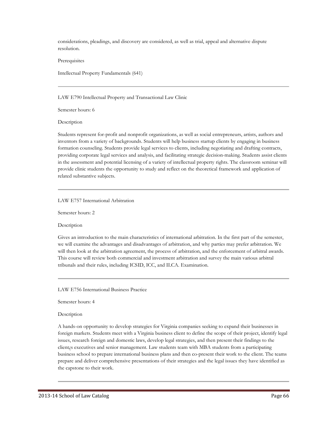considerations, pleadings, and discovery are considered, as well as trial, appeal and alternative dispute resolution.

**Prerequisites** 

Intellectual Property Fundamentals (641)

LAW E790 Intellectual Property and Transactional Law Clinic

Semester hours: 6

Description

Students represent for-profit and nonprofit organizations, as well as social entrepreneurs, artists, authors and inventors from a variety of backgrounds. Students will help business startup clients by engaging in business formation counseling. Students provide legal services to clients, including negotiating and drafting contracts, providing corporate legal services and analysis, and facilitating strategic decision-making. Students assist clients in the assessment and potential licensing of a variety of intellectual property rights. The classroom seminar will provide clinic students the opportunity to study and reflect on the theoretical framework and application of related substantive subjects.

#### LAW E757 International Arbitration

Semester hours: 2

Description

Gives an introduction to the main characteristics of international arbitration. In the first part of the semester, we will examine the advantages and disadvantages of arbitration, and why parties may prefer arbitration. We will then look at the arbitration agreement, the process of arbitration, and the enforcement of arbitral awards. This course will review both commercial and investment arbitration and survey the main various arbitral tribunals and their rules, including ICSID, ICC, and ILCA. Examination.

LAW E756 International Business Practice

Semester hours: 4

Description

A hands-on opportunity to develop strategies for Virginia companies seeking to expand their businesses in foreign markets. Students meet with a Virginia business client to define the scope of their project, identify legal issues, research foreign and domestic laws, develop legal strategies, and then present their findings to the client¿s executives and senior management. Law students team with MBA students from a participating business school to prepare international business plans and then co-present their work to the client. The teams prepare and deliver comprehensive presentations of their strategies and the legal issues they have identified as the capstone to their work.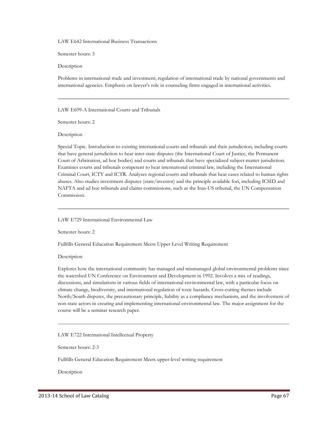LAW E642 International Business Transactions

Semester hours: 3

Description

Problems in international trade and investment; regulation of international trade by national governments and international agencies. Emphasis on lawyer's role in counseling firms engaged in international activities.

LAW E699-A International Courts and Tribunals

Semester hours: 2

Description

Special Topic. Introduction to existing international courts and tribunals and their jurisdiction, including courts that have general jurisdiction to hear inter-state disputes (the International Court of Justice, the Permanent Court of Arbitration, ad hoc bodies) and courts and tribunals that have specialized subject-matter jurisdiction. Examines courts and tribunals competent to hear international criminal law, including the International Criminal Court, ICTY and ICTR. Analyzes regional courts and tribunals that hear cases related to human rights abuses. Also studies investment disputes (state/investor) and the principle available fori, including ICSID and NAFTA and ad hoc tribunals and claims commissions, such as the Iran-US tribunal, the UN Compensation Commission.

LAW E729 International Environmental Law

Semester hours: 2

Fullfills General Education Requirement Meets Upper Level Writing Requirement

Description

Explores how the international community has managed and mismanaged global environmental problems since the watershed UN Conference on Environment and Development in 1992. Involves a mix of readings, discussions, and simulations in various fields of international environmental law, with a particular focus on climate change, biodiversity, and international regulation of toxic hazards. Cross-cutting themes include North/South disputes, the precautionary principle, liability as a compliance mechanism, and the involvement of non-state actors in creating and implementing international environmental law. The major assignment for the course will be a seminar research paper.

LAW E722 International Intellectual Property

Semester hours: 2-3

Fullfills General Education Requirement Meets upper-level writing requirement

Description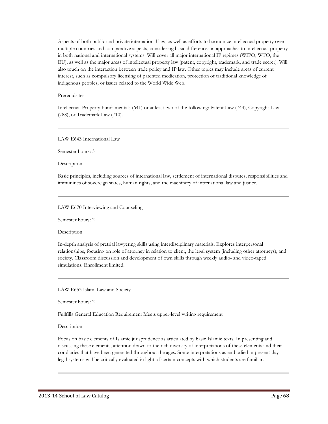Aspects of both public and private international law, as well as efforts to harmonize intellectual property over multiple countries and comparative aspects, considering basic differences in approaches to intellectual property in both national and international systems. Will cover all major international IP regimes (WIPO, WTO, the EU), as well as the major areas of intellectual property law (patent, copyright, trademark, and trade secret). Will also touch on the interaction between trade policy and IP law. Other topics may include areas of current interest, such as compulsory licensing of patented medication, protection of traditional knowledge of indigenous peoples, or issues related to the World Wide Web.

#### **Prerequisites**

Intellectual Property Fundamentals (641) or at least two of the following: Patent Law (744), Copyright Law (788), or Trademark Law (710).

LAW E643 International Law

Semester hours: 3

Description

Basic principles, including sources of international law, settlement of international disputes, responsibilities and immunities of sovereign states, human rights, and the machinery of international law and justice.

LAW E670 Interviewing and Counseling

Semester hours: 2

Description

In-depth analysis of pretrial lawyering skills using interdisciplinary materials. Explores interpersonal relationships, focusing on role of attorney in relation to client, the legal system (including other attorneys), and society. Classroom discussion and development of own skills through weekly audio- and video-taped simulations. Enrollment limited.

LAW E653 Islam, Law and Society

Semester hours: 2

Fullfills General Education Requirement Meets upper-level writing requirement

Description

Focus on basic elements of Islamic jurisprudence as articulated by basic Islamic texts. In presenting and discussing these elements, attention drawn to the rich diversity of interpretations of these elements and their corollaries that have been generated throughout the ages. Some interpretations as embodied in present-day legal systems will be critically evaluated in light of certain concepts with which students are familiar.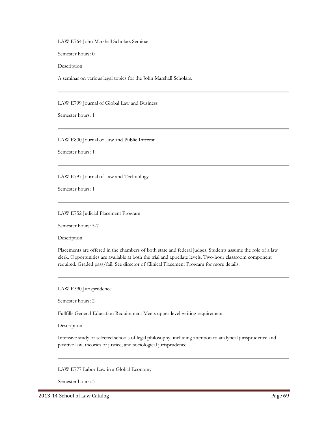LAW E764 John Marshall Scholars Seminar

Semester hours: 0

Description

A seminar on various legal topics for the John Marshall Scholars.

LAW E799 Journal of Global Law and Business

Semester hours: 1

LAW E800 Journal of Law and Public Interest

Semester hours: 1

LAW E797 Journal of Law and Technology

Semester hours: 1

#### LAW E752 Judicial Placement Program

Semester hours: 5-7

Description

Placements are offered in the chambers of both state and federal judges. Students assume the role of a law clerk. Opportunities are available at both the trial and appellate levels. Two-hour classroom component required. Graded pass/fail. See director of Clinical Placement Program for more details.

LAW E590 Jurisprudence

Semester hours: 2

Fullfills General Education Requirement Meets upper-level writing requirement

Description

Intensive study of selected schools of legal philosophy, including attention to analytical jurisprudence and positive law, theories of justice, and sociological jurisprudence.

LAW E777 Labor Law in a Global Economy

Semester hours: 3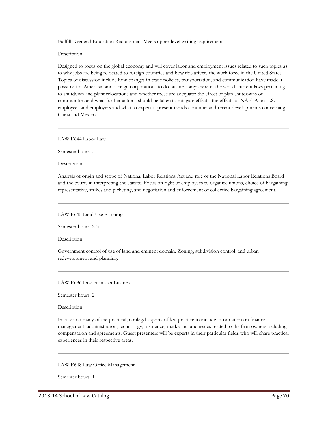Fullfills General Education Requirement Meets upper-level writing requirement

Description

Designed to focus on the global economy and will cover labor and employment issues related to such topics as to why jobs are being relocated to foreign countries and how this affects the work force in the United States. Topics of discussion include how changes in trade policies, transportation, and communication have made it possible for American and foreign corporations to do business anywhere in the world; current laws pertaining to shutdown and plant relocations and whether these are adequate; the effect of plan shutdowns on communities and what further actions should be taken to mitigate effects; the effects of NAFTA on U.S. employees and employers and what to expect if present trends continue; and recent developments concerning China and Mexico.

LAW E644 Labor Law

Semester hours: 3

Description

Analysis of origin and scope of National Labor Relations Act and role of the National Labor Relations Board and the courts in interpreting the statute. Focus on right of employees to organize unions, choice of bargaining representative, strikes and picketing, and negotiation and enforcement of collective bargaining agreement.

LAW E645 Land Use Planning

Semester hours: 2-3

Description

Government control of use of land and eminent domain. Zoning, subdivision control, and urban redevelopment and planning.

LAW E696 Law Firm as a Business

Semester hours: 2

Description

Focuses on many of the practical, nonlegal aspects of law practice to include information on financial management, administration, technology, insurance, marketing, and issues related to the firm owners including compensation and agreements. Guest presenters will be experts in their particular fields who will share practical experiences in their respective areas.

LAW E648 Law Office Management

Semester hours: 1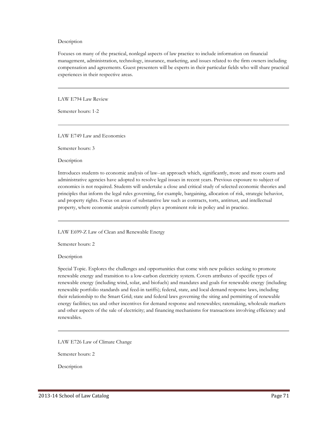#### Description

Focuses on many of the practical, nonlegal aspects of law practice to include information on financial management, administration, technology, insurance, marketing, and issues related to the firm owners including compensation and agreements. Guest presenters will be experts in their particular fields who will share practical experiences in their respective areas.

LAW E794 Law Review

Semester hours: 1-2

LAW E749 Law and Economics

Semester hours: 3

Description

Introduces students to economic analysis of law--an approach which, significantly, more and more courts and administrative agencies have adopted to resolve legal issues in recent years. Previous exposure to subject of economics is not required. Students will undertake a close and critical study of selected economic theories and principles that inform the legal rules governing, for example, bargaining, allocation of risk, strategic behavior, and property rights. Focus on areas of substantive law such as contracts, torts, antitrust, and intellectual property, where economic analysis currently plays a prominent role in policy and in practice.

LAW E699-Z Law of Clean and Renewable Energy

Semester hours: 2

Description

Special Topic. Explores the challenges and opportunities that come with new policies seeking to promote renewable energy and transition to a low-carbon electricity system. Covers attributes of specific types of renewable energy (including wind, solar, and biofuels) and mandates and goals for renewable energy (including renewable portfolio standards and feed-in tariffs); federal, state, and local demand response laws, including their relationship to the Smart Grid; state and federal laws governing the siting and permitting of renewable energy facilities; tax and other incentives for demand response and renewables; ratemaking, wholesale markets and other aspects of the sale of electricity; and financing mechanisms for transactions involving efficiency and renewables.

LAW E726 Law of Climate Change

Semester hours: 2

Description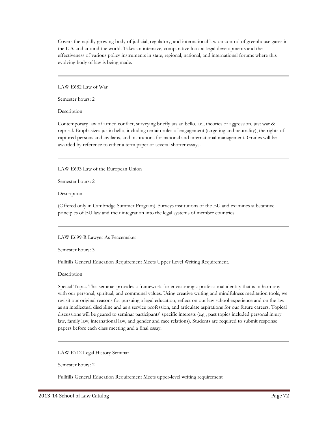Covers the rapidly growing body of judicial, regulatory, and international law on control of greenhouse gases in the U.S. and around the world. Takes an intensive, comparative look at legal developments and the effectiveness of various policy instruments in state, regional, national, and international forums where this evolving body of law is being made.

LAW E682 Law of War

Semester hours: 2

Description

Contemporary law of armed conflict, surveying briefly jus ad bello, i.e., theories of aggression, just war & reprisal. Emphasizes jus in bello, including certain rules of engagement (targeting and neutrality), the rights of captured persons and civilians, and institutions for national and international management. Grades will be awarded by reference to either a term paper or several shorter essays.

LAW E693 Law of the European Union

Semester hours: 2

Description

(Offered only in Cambridge Summer Program). Surveys institutions of the EU and examines substantive principles of EU law and their integration into the legal systems of member countries.

LAW E699-R Lawyer As Peacemaker

Semester hours: 3

Fullfills General Education Requirement Meets Upper Level Writing Requirement.

Description

Special Topic. This seminar provides a framework for envisioning a professional identity that is in harmony with our personal, spiritual, and communal values. Using creative writing and mindfulness meditation tools, we revisit our original reasons for pursuing a legal education, reflect on our law school experience and on the law as an intellectual discipline and as a service profession, and articulate aspirations for our future careers. Topical discussions will be geared to seminar participants' specific interests (e.g., past topics included personal injury law, family law, international law, and gender and race relations). Students are required to submit response papers before each class meeting and a final essay.

LAW E712 Legal History Seminar

Semester hours: 2

Fullfills General Education Requirement Meets upper-level writing requirement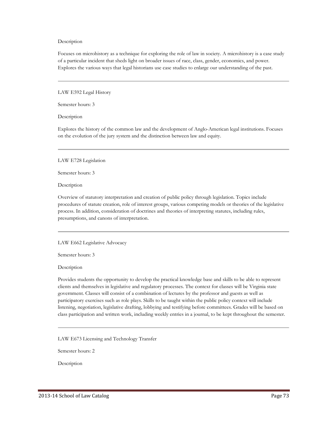#### Description

Focuses on microhistory as a technique for exploring the role of law in society. A microhistory is a case study of a particular incident that sheds light on broader issues of race, class, gender, economics, and power. Explores the various ways that legal historians use case studies to enlarge our understanding of the past.

LAW E592 Legal History

Semester hours: 3

Description

Explores the history of the common law and the development of Anglo-American legal institutions. Focuses on the evolution of the jury system and the distinction between law and equity.

LAW E728 Legislation

Semester hours: 3

Description

Overview of statutory interpretation and creation of public policy through legislation. Topics include procedures of statute creation, role of interest groups, various competing models or theories of the legislative process. In addition, consideration of doctrines and theories of interpreting statutes, including rules, presumptions, and canons of interpretation.

LAW E662 Legislative Advocacy

Semester hours: 3

Description

Provides students the opportunity to develop the practical knowledge base and skills to be able to represent clients and themselves in legislative and regulatory processes. The context for classes will be Virginia state government. Classes will consist of a combination of lectures by the professor and guests as well as participatory exercises such as role plays. Skills to be taught within the public policy context will include listening, negotiation, legislative drafting, lobbying and testifying before committees. Grades will be based on class participation and written work, including weekly entries in a journal, to be kept throughout the semester.

LAW E673 Licensing and Technology Transfer

Semester hours: 2

Description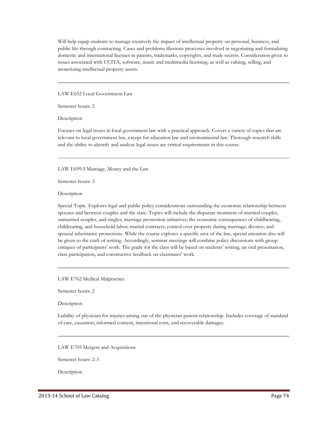Will help equip students to manage creatively the impact of intellectual property on personal, business, and public life through contracting. Cases and problems illustrate processes involved in negotiating and formalizing domestic and international licenses in patents, trademarks, copyrights, and trade secrets. Consideration given to issues associated with UCITA, software, music and multimedia licensing, as well as valuing, selling, and monetizing intellectual property assets.

LAW E652 Local Government Law

Semester hours: 2

Description

Focuses on legal issues in local government law with a practical approach. Covers a variety of topics that are relevant to local government law, except for education law and environmental law. Thorough research skills and the ability to identify and analyze legal issues are critical requirements in this course.

LAW E699-I Marriage, Money and the Law

Semester hours: 3

Description

Special Topic. Explores legal and public policy considerations surrounding the economic relationship between spouses and between couples and the state. Topics will include the disparate treatment of married couples, unmarried couples, and singles; marriage promotion initiatives; the economic consequences of childbearing, childrearing, and household labor; marital contracts; control over property during marriage; divorce; and spousal inheritance protections. While the course explores a specific area of the law, special attention also will be given to the craft of writing. Accordingly, seminar meetings will combine policy discussions with group critiques of participants' work. The grade for the class will be based on students' writing, an oral presentation, class participation, and constructive feedback on classmates' work.

LAW E762 Medical Malpractice

Semester hours: 2

Description

Liability of physician for injuries arising out of the physician patient relationship. Includes coverage of standard of care, causation, informed consent, intentional torts, and recoverable damages.

LAW E705 Mergers and Acquisitions

Semester hours: 2-3

Description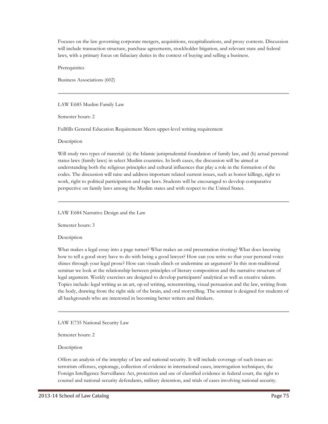Focuses on the law governing corporate mergers, acquisitions, recapitalizations, and proxy contests. Discussion will include transaction structure, purchase agreements, stockholder litigation, and relevant state and federal laws, with a primary focus on fiduciary duties in the context of buying and selling a business.

Prerequisites

Business Associations (602)

LAW E685 Muslim Family Law

Semester hours: 2

Fullfills General Education Requirement Meets upper-level writing requirement

Description

Will study two types of material: (a) the Islamic jurisprudential foundation of family law, and (b) actual personal status laws (family laws) in select Muslim countries. In both cases, the discussion will be aimed at understanding both the religious principles and cultural influences that play a role in the formation of the codes. The discussion will raise and address important related current issues, such as honor killings, right to work, right to political participation and rape laws. Students will be encouraged to develop comparative perspective on family laws among the Muslim states and with respect to the United States.

LAW E684 Narrative Design and the Law

Semester hours: 3

Description

What makes a legal essay into a page turner? What makes an oral presentation riveting? What does knowing how to tell a good story have to do with being a good lawyer? How can you write so that your personal voice shines through your legal prose? How can visuals clinch or undermine an argument? In this non-traditional seminar we look at the relationship between principles of literary composition and the narrative structure of legal argument. Weekly exercises are designed to develop participants' analytical as well as creative talents. Topics include: legal writing as an art, op-ed writing, screenwriting, visual persuasion and the law, writing from the body, drawing from the right side of the brain, and oral storytelling. The seminar is designed for students of all backgrounds who are interested in becoming better writers and thinkers.

LAW E735 National Security Law

Semester hours: 2

Description

Offers an analysis of the interplay of law and national security. It will include coverage of such issues as: terrorism offenses, espionage, collection of evidence in international cases, interrogation techniques, the Foreign Intelligence Surveillance Act, protection and use of classified evidence in federal court, the right to counsel and national security defendants, military detention, and trials of cases involving national security.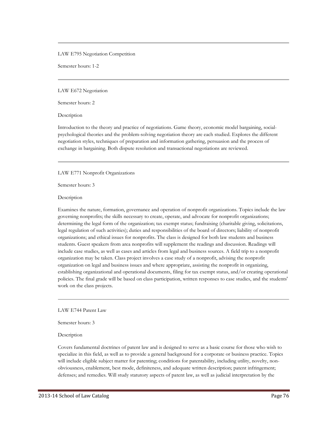LAW E795 Negotiation Competition

Semester hours: 1-2

LAW E672 Negotiation

Semester hours: 2

Description

Introduction to the theory and practice of negotiations. Game theory, economic model bargaining, socialpsychological theories and the problem-solving negotiation theory are each studied. Explores the different negotiation styles, techniques of preparation and information gathering, persuasion and the process of exchange in bargaining. Both dispute resolution and transactional negotiations are reviewed.

#### LAW E771 Nonprofit Organizations

Semester hours: 3

Description

Examines the nature, formation, governance and operation of nonprofit organizations. Topics include the law governing nonprofits; the skills necessary to create, operate, and advocate for nonprofit organizations; determining the legal form of the organization; tax exempt status; fundraising (charitable giving, solicitations, legal regulation of such activities); duties and responsibilities of the board of directors; liability of nonprofit organizations; and ethical issues for nonprofits. The class is designed for both law students and business students. Guest speakers from area nonprofits will supplement the readings and discussion. Readings will include case studies, as well as cases and articles from legal and business sources. A field trip to a nonprofit organization may be taken. Class project involves a case study of a nonprofit, advising the nonprofit organization on legal and business issues and where appropriate, assisting the nonprofit in organizing, establishing organizational and operational documents, filing for tax exempt status, and/or creating operational policies. The final grade will be based on class participation, written responses to case studies, and the students' work on the class projects.

LAW E744 Patent Law

Semester hours: 3

Description

Covers fundamental doctrines of patent law and is designed to serve as a basic course for those who wish to specialize in this field, as well as to provide a general background for a corporate or business practice. Topics will include eligible subject matter for patenting; conditions for patentability, including utility, novelty, nonobviousness, enablement, best mode, definiteness, and adequate written description; patent infringement; defenses; and remedies. Will study statutory aspects of patent law, as well as judicial interpretation by the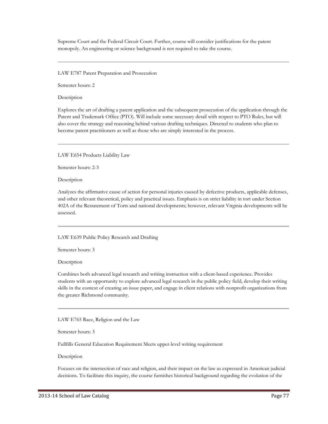Supreme Court and the Federal Circuit Court. Further, course will consider justifications for the patent monopoly. An engineering or science background is not required to take the course.

LAW E787 Patent Preparation and Prosecution

Semester hours: 2

Description

Explores the art of drafting a patent application and the subsequent prosecution of the application through the Patent and Trademark Office (PTO). Will include some necessary detail with respect to PTO Rules, but will also cover the strategy and reasoning behind various drafting techniques. Directed to students who plan to become patent practitioners as well as those who are simply interested in the process.

LAW E654 Products Liability Law

Semester hours: 2-3

Description

Analyzes the affirmative cause of action for personal injuries caused by defective products, applicable defenses, and other relevant theoretical, policy and practical issues. Emphasis is on strict liability in tort under Section 402A of the Restatement of Torts and national developments; however, relevant Virginia developments will be assessed.

LAW E639 Public Policy Research and Drafting

Semester hours: 3

Description

Combines both advanced legal research and writing instruction with a client-based experience. Provides students with an opportunity to explore advanced legal research in the public policy field, develop their writing skills in the context of creating an issue paper, and engage in client relations with nonprofit organizations from the greater Richmond community.

LAW E765 Race, Religion and the Law

Semester hours: 3

Fullfills General Education Requirement Meets upper-level writing requirement

Description

Focuses on the intersection of race and religion, and their impact on the law as expressed in American judicial decisions. To facilitate this inquiry, the course furnishes historical background regarding the evolution of the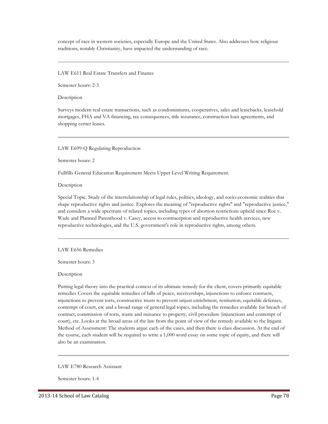concept of race in western societies, especially Europe and the United States. Also addresses how religious traditions, notably Christianity, have impacted the understanding of race.

#### LAW E611 Real Estate Transfers and Finance

Semester hours: 2-3

Description

Surveys modern real estate transactions, such as condominiums, cooperatives, sales and leasebacks, leasehold mortgages, FHA and VA financing, tax consequences, title insurance, construction loan agreements, and shopping center leases.

LAW E699-Q Regulating Reproduction

Semester hours: 2

Fullfills General Education Requirement Meets Upper Level Writing Requirement.

Description

Special Topic. Study of the interrelationship of legal rules, politics, ideology, and socio-economic realities that shape reproductive rights and justice. Explores the meaning of "reproductive rights" and "reproductive justice," and considers a wide spectrum of related topics, including types of abortion restrictions upheld since Roe v. Wade and Planned Parenthood v. Casey, access to contraception and reproductive health services, new reproductive technologies, and the U.S. government's role in reproductive rights, among others.

LAW E656 Remedies

Semester hours: 3

Description

Putting legal theory into the practical context of its ultimate remedy for the client, covers primarily equitable remedies Covers the equitable remedies of bills of peace, receiverships, injunctions to enforce contracts, injunctions to prevent torts, constructive trusts to prevent unjust enrichment, restitution, equitable defenses, contempt of court, etc and a broad range of general legal topics, including the remedies available for breach of contract, commission of torts, waste and nuisance to property, civil procedure (injunctions and contempt of court), etc. Looks at the broad areas of the law from the point of view of the remedy available to the litigant. Method of Assessment: The students argue each of the cases, and then there is class discussion. At the end of the course, each student will be required to write a 1,000 word essay on some topic of equity, and there will also be an examination.

#### LAW E780 Research Assistant

Semester hours: 1-4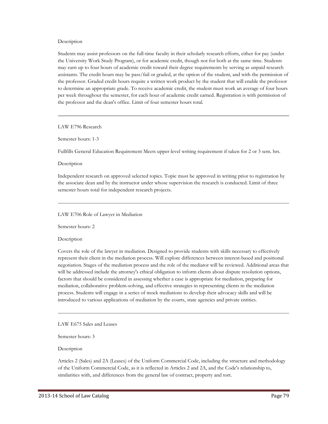#### Description

Students may assist professors on the full-time faculty in their scholarly research efforts, either for pay (under the University Work Study Program), or for academic credit, though not for both at the same time. Students may earn up to four hours of academic credit toward their degree requirements by serving as unpaid research assistants. The credit hours may be pass/fail or graded, at the option of the student, and with the permission of the professor. Graded credit hours require a written work product by the student that will enable the professor to determine an appropriate grade. To receive academic credit, the student must work an average of four hours per week throughout the semester, for each hour of academic credit earned. Registration is with permission of the professor and the dean's office. Limit of four semester hours total.

LAW E796 Research

Semester hours: 1-3

Fullfills General Education Requirement Meets upper-level writing requirement if taken for 2 or 3 sem. hrs.

Description

Independent research on approved selected topics. Topic must be approved in writing prior to registration by the associate dean and by the instructor under whose supervision the research is conducted. Limit of three semester hours total for independent research projects.

#### LAW E706 Role of Lawyer in Mediation

Semester hours: 2

Description

Covers the role of the lawyer in mediation. Designed to provide students with skills necessary to effectively represent their client in the mediation process. Will explore differences between interest-based and positional negotiation. Stages of the mediation process and the role of the mediator will be reviewed. Additional areas that will be addressed include the attorney's ethical obligation to inform clients about dispute resolution options, factors that should be considered in assessing whether a case is appropriate for mediation, preparing for mediation, collaborative problem-solving, and effective strategies in representing clients in the mediation process. Students will engage in a series of mock mediations to develop their advocacy skills and will be introduced to various applications of mediation by the courts, state agencies and private entities.

LAW E675 Sales and Leases

Semester hours: 3

Description

Articles 2 (Sales) and 2A (Leases) of the Uniform Commercial Code, including the structure and methodology of the Uniform Commercial Code, as it is reflected in Articles 2 and 2A, and the Code's relationship to, similarities with, and differences from the general law of contract, property and tort.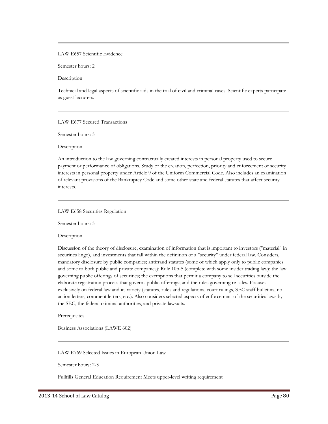## LAW E657 Scientific Evidence

Semester hours: 2

Description

Technical and legal aspects of scientific aids in the trial of civil and criminal cases. Scientific experts participate as guest lecturers.

#### LAW E677 Secured Transactions

Semester hours: 3

Description

An introduction to the law governing contractually created interests in personal property used to secure payment or performance of obligations. Study of the creation, perfection, priority and enforcement of security interests in personal property under Article 9 of the Uniform Commercial Code. Also includes an examination of relevant provisions of the Bankruptcy Code and some other state and federal statutes that affect security interests.

#### LAW E658 Securities Regulation

Semester hours: 3

#### Description

Discussion of the theory of disclosure, examination of information that is important to investors ("material" in securities lingo), and investments that fall within the definition of a "security" under federal law. Considers, mandatory disclosure by public companies; antifraud statutes (some of which apply only to public companies and some to both public and private companies); Rule 10b-5 (complete with some insider trading law); the law governing public offerings of securities; the exemptions that permit a company to sell securities outside the elaborate registration process that governs public offerings; and the rules governing re-sales. Focuses exclusively on federal law and its variety (statutes, rules and regulations, court rulings, SEC staff bulletins, no action letters, comment letters, etc.). Also considers selected aspects of enforcement of the securities laws by the SEC, the federal criminal authorities, and private lawsuits.

**Prerequisites** 

Business Associations (LAWE 602)

LAW E769 Selected Issues in European Union Law

Semester hours: 2-3

Fullfills General Education Requirement Meets upper-level writing requirement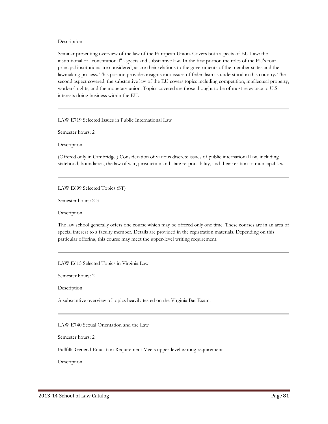#### Description

Seminar presenting overview of the law of the European Union. Covers both aspects of EU Law: the institutional or "constitutional" aspects and substantive law. In the first portion the roles of the EU's four principal institutions are considered, as are their relations to the governments of the member states and the lawmaking process. This portion provides insights into issues of federalism as understood in this country. The second aspect covered, the substantive law of the EU covers topics including competition, intellectual property, workers' rights, and the monetary union. Topics covered are those thought to be of most relevance to U.S. interests doing business within the EU.

LAW E719 Selected Issues in Public International Law

Semester hours: 2

Description

(Offered only in Cambridge.) Consideration of various discrete issues of public international law, including statehood, boundaries, the law of war, jurisdiction and state responsibility, and their relation to municipal law.

LAW E699 Selected Topics (ST)

Semester hours: 2-3

Description

The law school generally offers one course which may be offered only one time. These courses are in an area of special interest to a faculty member. Details are provided in the registration materials. Depending on this particular offering, this course may meet the upper-level writing requirement.

LAW E615 Selected Topics in Virginia Law

Semester hours: 2

Description

A substantive overview of topics heavily tested on the Virginia Bar Exam.

LAW E740 Sexual Orientation and the Law

Semester hours: 2

Fullfills General Education Requirement Meets upper-level writing requirement

Description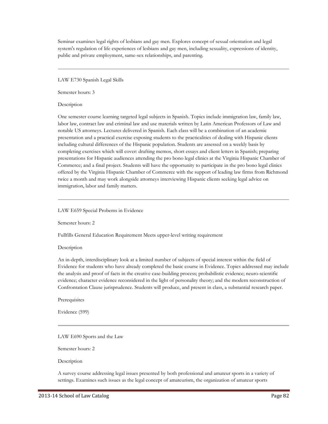Seminar examines legal rights of lesbians and gay men. Explores concept of sexual orientation and legal system's regulation of life experiences of lesbians and gay men, including sexuality, expressions of identity, public and private employment, same-sex relationships, and parenting.

LAW E730 Spanish Legal Skills

Semester hours: 3

**Description** 

One semester course learning targeted legal subjects in Spanish. Topics include immigration law, family law, labor law, contract law and criminal law and use materials written by Latin American Professors of Law and notable US attorneys. Lectures delivered in Spanish. Each class will be a combination of an academic presentation and a practical exercise exposing students to the practicalities of dealing with Hispanic clients including cultural differences of the Hispanic population. Students are assessed on a weekly basis by completing exercises which will cover: drafting memos, short essays and client letters in Spanish; preparing presentations for Hispanic audiences attending the pro bono legal clinics at the Virginia Hispanic Chamber of Commerce; and a final project. Students will have the opportunity to participate in the pro bono legal clinics offered by the Virginia Hispanic Chamber of Commerce with the support of leading law firms from Richmond twice a month and may work alongside attorneys interviewing Hispanic clients seeking legal advice on immigration, labor and family matters.

LAW E659 Special Probems in Evidence

Semester hours: 2

Fullfills General Education Requirement Meets upper-level writing requirement

Description

An in-depth, interdisciplinary look at a limited number of subjects of special interest within the field of Evidence for students who have already completed the basic course in Evidence. Topics addressed may include the analysis and proof of facts in the creative case-building process; probabilistic evidence; neuro-scientific evidence; character evidence reconsidered in the light of personality theory; and the modern reconstruction of Confrontation Clause jurisprudence. Students will produce, and present in class, a substantial research paper.

Prerequisites

Evidence (599)

LAW E690 Sports and the Law

Semester hours: 2

Description

A survey course addressing legal issues presented by both professional and amateur sports in a variety of settings. Examines such issues as the legal concept of amateurism, the organization of amateur sports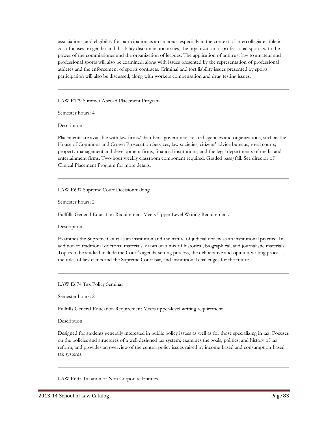associations, and eligibility for participation as an amateur, especially in the context of intercollegiate athletics Also focuses on gender and disability discrimination issues, the organization of professional sports with the power of the commissioner and the organization of leagues. The application of antitrust law to amateur and professional sports will also be examined, along with issues presented by the representation of professional athletes and the enforcement of sports contracts. Criminal and tort liability issues presented by sports participation will also be discussed, along with workers compensation and drug testing issues.

LAW E779 Summer Abroad Placement Program

Semester hours: 4

Description

Placements are available with law firms/chambers; government related agencies and organizations, such as the House of Commons and Crown Prosecution Services; law societies; citizens' advice bureaus; royal courts; property management and development firms, financial institutions; and the legal departments of media and entertainment firms. Two-hour weekly classroom component required. Graded pass/fail. See director of Clinical Placement Program for more details.

LAW E697 Supreme Court Decisionmaking

Semester hours: 2

Fullfills General Education Requirement Meets Upper Level Writing Requirement.

Description

Examines the Supreme Court as an institution and the nature of judicial review as an institutional practice. In addition to traditional doctrinal materials, draws on a mix of historical, biographical, and journalistic materials. Topics to be studied include the Court's agenda-setting process, the deliberative and opinion-writing process, the roles of law clerks and the Supreme Court bar, and institutional challenges for the future.

## LAW E674 Tax Policy Seminar

Semester hours: 2

Fullfills General Education Requirement Meets upper-level writing requirement

Description

Designed for students generally interested in public policy issues as well as for those specializing in tax. Focuses on the policies and structures of a well designed tax system; examines the goals, politics, and history of tax reform; and provides an overview of the central policy issues raised by income-based and consumption-based tax systems.

LAW E635 Taxation of Non Corporate Entities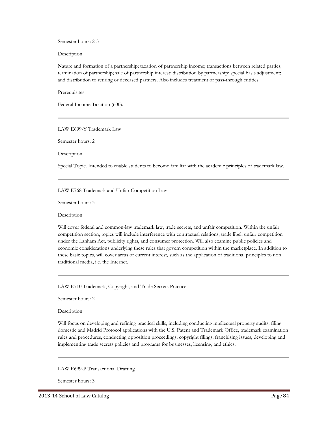Semester hours: 2-3

Description

Nature and formation of a partnership; taxation of partnership income; transactions between related parties; termination of partnership; sale of partnership interest; distribution by partnership; special basis adjustment; and distribution to retiring or deceased partners. Also includes treatment of pass-through entities.

**Prerequisites** 

Federal Income Taxation (600).

LAW E699-Y Trademark Law

Semester hours: 2

Description

Special Topic. Intended to enable students to become familiar with the academic principles of trademark law.

LAW E768 Trademark and Unfair Competition Law

Semester hours: 3

Description

Will cover federal and common-law trademark law, trade secrets, and unfair competition. Within the unfair competition section, topics will include interference with contractual relations, trade libel, unfair competition under the Lanham Act, publicity rights, and consumer protection. Will also examine public policies and economic considerations underlying these rules that govern competition within the marketplace. In addition to these basic topics, will cover areas of current interest, such as the application of traditional principles to non traditional media, i.e. the Internet.

LAW E710 Trademark, Copyright, and Trade Secrets Practice

Semester hours: 2

**Description** 

Will focus on developing and refining practical skills, including conducting intellectual property audits, filing domestic and Madrid Protocol applications with the U.S. Patent and Trademark Office, trademark examination rules and procedures, conducting opposition proceedings, copyright filings, franchising issues, developing and implementing trade secrets policies and programs for businesses, licensing, and ethics.

LAW E699-P Transactional Drafting

Semester hours: 3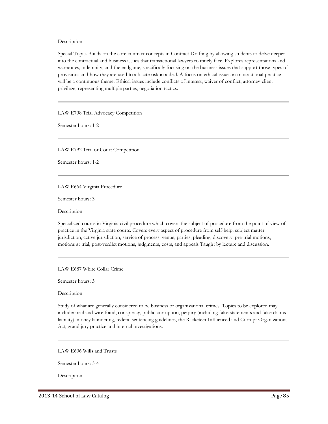Description

Special Topic. Builds on the core contract concepts in Contract Drafting by allowing students to delve deeper into the contractual and business issues that transactional lawyers routinely face. Explores representations and warranties, indemnity, and the endgame, specifically focusing on the business issues that support those types of provisions and how they are used to allocate risk in a deal. A focus on ethical issues in transactional practice will be a continuous theme. Ethical issues include conflicts of interest, waiver of conflict, attorney-client privilege, representing multiple parties, negotiation tactics.

LAW E798 Trial Advocacy Competition

Semester hours: 1-2

LAW E792 Trial or Court Competition

Semester hours: 1-2

LAW E664 Virginia Procedure

Semester hours: 3

Description

Specialized course in Virginia civil procedure which covers the subject of procedure from the point of view of practice in the Virginia state courts. Covers every aspect of procedure from self-help, subject matter jurisdiction, active jurisdiction, service of process, venue, parties, pleading, discovery, pre-trial motions, motions at trial, post-verdict motions, judgments, costs, and appeals Taught by lecture and discussion.

LAW E687 White Collar Crime

Semester hours: 3

Description

Study of what are generally considered to be business or organizational crimes. Topics to be explored may include: mail and wire fraud, conspiracy, public corruption, perjury (including false statements and false claims liability), money laundering, federal sentencing guidelines, the Racketeer Influenced and Corrupt Organizations Act, grand jury practice and internal investigations.

LAW E606 Wills and Trusts

Semester hours: 3-4

**Description**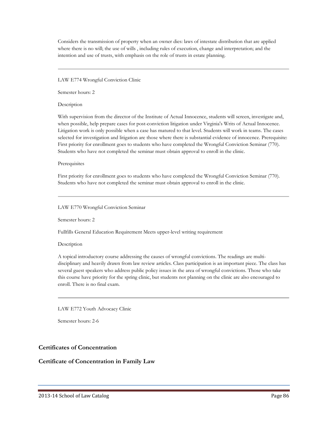Considers the transmission of property when an owner dies: laws of intestate distribution that are applied where there is no will; the use of wills , including rules of execution, change and interpretation; and the intention and use of trusts, with emphasis on the role of trusts in estate planning.

LAW E774 Wrongful Conviction Clinic

Semester hours: 2

**Description** 

With supervision from the director of the Institute of Actual Innocence, students will screen, investigate and, when possible, help prepare cases for post-conviction litigation under Virginia's Writs of Actual Innocence. Litigation work is only possible when a case has matured to that level. Students will work in teams. The cases selected for investigation and litigation are those where there is substantial evidence of innocence. Prerequisite: First priority for enrollment goes to students who have completed the Wrongful Conviction Seminar (770). Students who have not completed the seminar must obtain approval to enroll in the clinic.

# **Prerequisites**

First priority for enrollment goes to students who have completed the Wrongful Conviction Seminar (770). Students who have not completed the seminar must obtain approval to enroll in the clinic.

LAW E770 Wrongful Conviction Seminar

Semester hours: 2

Fullfills General Education Requirement Meets upper-level writing requirement

# Description

A topical introductory course addressing the causes of wrongful convictions. The readings are multidisciplinary and heavily drawn from law review articles. Class participation is an important piece. The class has several guest speakers who address public policy issues in the area of wrongful convictions. Those who take this course have priority for the spring clinic, but students not planning on the clinic are also encouraged to enroll. There is no final exam.

LAW E772 Youth Advocacy Clinic

Semester hours: 2-6

# **Certificates of Concentration**

# **Certificate of Concentration in Family Law**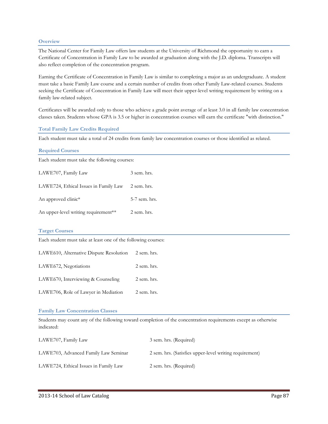## **Overview**

The National Center for Family Law offers law students at the University of Richmond the opportunity to earn a Certificate of Concentration in Family Law to be awarded at graduation along with the J.D. diploma. Transcripts will also reflect completion of the concentration program.

Earning the Certificate of Concentration in Family Law is similar to completing a major as an undergraduate. A student must take a basic Family Law course and a certain number of credits from other Family Law-related courses. Students seeking the Certificate of Concentration in Family Law will meet their upper-level writing requirement by writing on a family law-related subject.

Certificates will be awarded only to those who achieve a grade point average of at least 3.0 in all family law concentration classes taken. Students whose GPA is 3.5 or higher in concentration courses will earn the certificate "with distinction."

#### **Total Family Law Credits Required**

Each student must take a total of 24 credits from family law concentration courses or those identified as related.

| <b>Required Courses</b>                                       |               |  |
|---------------------------------------------------------------|---------------|--|
| Each student must take the following courses:                 |               |  |
| LAWE707, Family Law                                           | 3 sem. hrs.   |  |
| LAWE724, Ethical Issues in Family Law                         | 2 sem. hrs.   |  |
| An approved clinic*                                           | 5-7 sem. hrs. |  |
| An upper-level writing requirement**                          | 2 sem. hrs.   |  |
| <b>Target Courses</b>                                         |               |  |
| Each student must take at least one of the following courses: |               |  |
| LAWE610, Alternative Dispute Resolution                       | 2 sem. hrs.   |  |
| LAWE672, Negotiations                                         | 2 sem. hrs.   |  |
| LAWE670, Interviewing & Counseling                            | 2 sem. hrs.   |  |
| LAWE706, Role of Lawyer in Mediation                          | 2 sem. hrs.   |  |
|                                                               |               |  |

#### **Family Law Concentration Classes**

Students may count any of the following toward completion of the concentration requirements except as otherwise indicated:

| LAWE707, Family Law                   | 3 sem. hrs. (Required)                                  |
|---------------------------------------|---------------------------------------------------------|
| LAWE703, Advanced Family Law Seminar  | 2 sem. hrs. (Satisfies upper-level writing requirement) |
| LAWE724, Ethical Issues in Family Law | 2 sem. hrs. (Required)                                  |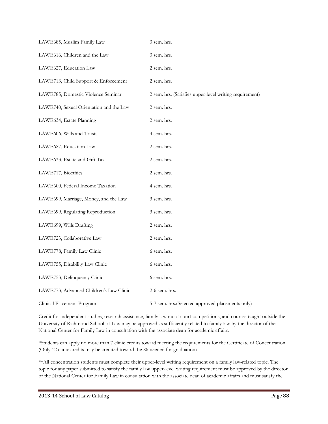| LAWE685, Muslim Family Law              | 3 sem. hrs.                                             |
|-----------------------------------------|---------------------------------------------------------|
| LAWE616, Children and the Law           | 3 sem. hrs.                                             |
| LAWE627, Education Law                  | 2 sem. hrs.                                             |
| LAWE713, Child Support & Enforcement    | 2 sem. hrs.                                             |
| LAWE785, Domestic Violence Seminar      | 2 sem. hrs. (Satisfies upper-level writing requirement) |
| LAWE740, Sexual Orientation and the Law | 2 sem. hrs.                                             |
| LAWE634, Estate Planning                | 2 sem. hrs.                                             |
| LAWE606, Wills and Trusts               | 4 sem. hrs.                                             |
| LAWE627, Education Law                  | 2 sem. hrs.                                             |
| LAWE633, Estate and Gift Tax            | 2 sem. hrs.                                             |
| LAWE717, Bioethics                      | 2 sem. hrs.                                             |
| LAWE600, Federal Income Taxation        | 4 sem. hrs.                                             |
| LAWE699, Marriage, Money, and the Law   | 3 sem. hrs.                                             |
| LAWE699, Regulating Reproduction        | 3 sem. hrs.                                             |
| LAWE699, Wills Drafting                 | 2 sem. hrs.                                             |
| LAWE723, Collaborative Law              | 2 sem. hrs.                                             |
| LAWE778, Family Law Clinic              | 6 sem. hrs.                                             |
| LAWE755, Disability Law Clinic          | 6 sem. hrs.                                             |
| LAWE753, Delinquency Clinic             | 6 sem. hrs.                                             |
| LAWE773, Advanced Children's Law Clinic | 2-6 sem. hrs.                                           |
| Clinical Placement Program              | 5-7 sem. hrs. (Selected approved placements only)       |

Credit for independent studies, research assistance, family law moot court competitions, and courses taught outside the University of Richmond School of Law may be approved as sufficiently related to family law by the director of the National Center for Family Law in consultation with the associate dean for academic affairs.

\*Students can apply no more than 7 clinic credits toward meeting the requirements for the Certificate of Concentration. (Only 12 clinic credits may be credited toward the 86 needed for graduation)

\*\*All concentration students must complete their upper-level writing requirement on a family law-related topic. The topic for any paper submitted to satisfy the family law upper-level writing requirement must be approved by the director of the National Center for Family Law in consultation with the associate dean of academic affairs and must satisfy the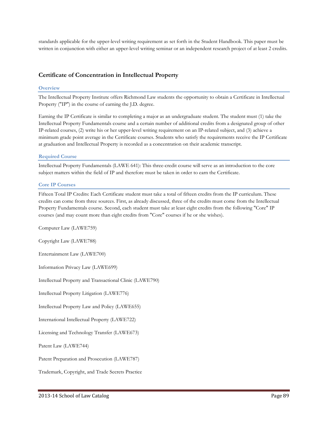standards applicable for the upper-level writing requirement as set forth in the Student Handbook. This paper must be written in conjunction with either an upper-level writing seminar or an independent research project of at least 2 credits.

# **Certificate of Concentration in Intellectual Property**

## **Overview**

The Intellectual Property Institute offers Richmond Law students the opportunity to obtain a Certificate in Intellectual Property ("IP") in the course of earning the J.D. degree.

Earning the IP Certificate is similar to completing a major as an undergraduate student. The student must (1) take the Intellectual Property Fundamentals course and a certain number of additional credits from a designated group of other IP-related courses, (2) write his or her upper-level writing requirement on an IP-related subject, and (3) achieve a minimum grade point average in the Certificate courses. Students who satisfy the requirements receive the IP Certificate at graduation and Intellectual Property is recorded as a concentration on their academic transcript.

## **Required Course**

Intellectual Property Fundamentals (LAWE 641): This three-credit course will serve as an introduction to the core subject matters within the field of IP and therefore must be taken in order to earn the Certificate.

#### **Core IP Courses**

Fifteen Total IP Credits: Each Certificate student must take a total of fifteen credits from the IP curriculum. These credits can come from three sources. First, as already discussed, three of the credits must come from the Intellectual Property Fundamentals course. Second, each student must take at least eight credits from the following "Core" IP courses (and may count more than eight credits from "Core" courses if he or she wishes).

Computer Law (LAWE759)

Copyright Law (LAWE788)

Entertainment Law (LAWE700)

Information Privacy Law (LAWE699)

Intellectual Property and Transactional Clinic (LAWE790)

Intellectual Property Litigation (LAWE776)

Intellectual Property Law and Policy (LAWE655)

International Intellectual Property (LAWE722)

Licensing and Technology Transfer (LAWE673)

Patent Law (LAWE744)

Patent Preparation and Prosecution (LAWE787)

Trademark, Copyright, and Trade Secrets Practice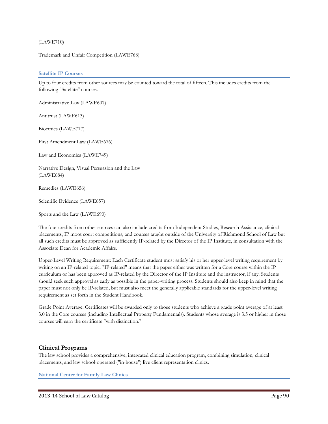## (LAWE710)

Trademark and Unfair Competition (LAWE768)

#### **Satellite IP Courses**

Up to four credits from other sources may be counted toward the total of fifteen. This includes credits from the following "Satellite" courses.

Administrative Law (LAWE607)

Antitrust (LAWE613)

Bioethics (LAWE717)

First Amendment Law (LAWE676)

Law and Economics (LAWE749)

Narrative Design, Visual Persuasion and the Law (LAWE684)

Remedies (LAWE656)

Scientific Evidence (LAWE657)

Sports and the Law (LAWE690)

The four credits from other sources can also include credits from Independent Studies, Research Assistance, clinical placements, IP moot court competitions, and courses taught outside of the University of Richmond School of Law but all such credits must be approved as sufficiently IP-related by the Director of the IP Institute, in consultation with the Associate Dean for Academic Affairs.

Upper-Level Writing Requirement: Each Certificate student must satisfy his or her upper-level writing requirement by writing on an IP-related topic. "IP-related" means that the paper either was written for a Core course within the IP curriculum or has been approved as IP-related by the Director of the IP Institute and the instructor, if any. Students should seek such approval as early as possible in the paper-writing process. Students should also keep in mind that the paper must not only be IP-related, but must also meet the generally applicable standards for the upper-level writing requirement as set forth in the Student Handbook.

Grade Point Average: Certificates will be awarded only to those students who achieve a grade point average of at least 3.0 in the Core courses (including Intellectual Property Fundamentals). Students whose average is 3.5 or higher in those courses will earn the certificate "with distinction."

# **Clinical Programs**

The law school provides a comprehensive, integrated clinical education program, combining simulation, clinical placements, and law school-operated ("in-house") live client representation clinics.

**National Center for Family Law Clinics**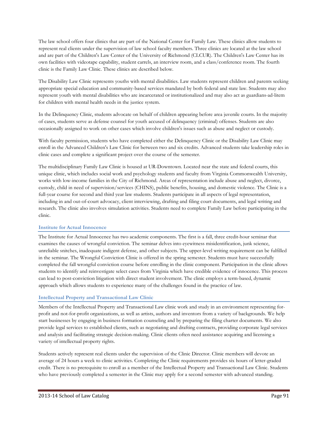The law school offers four clinics that are part of the National Center for Family Law. These clinics allow students to represent real clients under the supervision of law school faculty members. Three clinics are located at the law school and are part of the Children's Law Center of the University of Richmond (CLCUR). The Children's Law Center has its own facilities with videotape capability, student carrels, an interview room, and a class/conference room. The fourth clinic is the Family Law Clinic. These clinics are described below.

The Disability Law Clinic represents youths with mental disabilities. Law students represent children and parents seeking appropriate special education and community-based services mandated by both federal and state law. Students may also represent youth with mental disabilities who are incarcerated or institutionalized and may also act as guardians-ad-litem for children with mental health needs in the justice system.

In the Delinquency Clinic, students advocate on behalf of children appearing before area juvenile courts. In the majority of cases, students serve as defense counsel for youth accused of delinquency (criminal) offenses. Students are also occasionally assigned to work on other cases which involve children's issues such as abuse and neglect or custody.

With faculty permission, students who have completed either the Delinquency Clinic or the Disability Law Clinic may enroll in the Advanced Children's Law Clinic for between two and six credits. Advanced students take leadership roles in clinic cases and complete a significant project over the course of the semester.

The multidisciplinary Family Law Clinic is housed at UR-Downtown. Located near the state and federal courts, this unique clinic, which includes social work and psychology students and faculty from Virginia Commonwealth University, works with low-income families in the City of Richmond. Areas of representation include abuse and neglect, divorce, custody, child in need of supervision/services (CHINS), public benefits, housing, and domestic violence. The Clinic is a full-year course for second and third year law students. Students participate in all aspects of legal representation, including in and out-of-court advocacy, client interviewing, drafting and filing court documents, and legal writing and research. The clinic also involves simulation activities. Students need to complete Family Law before participating in the clinic.

# **Institute for Actual Innocence**

The Institute for Actual Innocence has two academic components. The first is a fall, three credit-hour seminar that examines the causes of wrongful conviction. The seminar delves into eyewitness misidentification, junk science, unreliable snitches, inadequate indigent defense, and other subjects. The upper-level writing requirement can be fulfilled in the seminar. The Wrongful Conviction Clinic is offered in the spring semester. Students must have successfully completed the fall wrongful conviction course before enrolling in the clinic component. Participation in the clinic allows students to identify and reinvestigate select cases from Virginia which have credible evidence of innocence. This process can lead to post-conviction litigation with direct student involvement. The clinic employs a term-based, dynamic approach which allows students to experience many of the challenges found in the practice of law.

# **Intellectual Property and Transactional Law Clinic**

Members of the Intellectual Property and Transactional Law clinic work and study in an environment representing forprofit and not-for-profit organizations, as well as artists, authors and inventors from a variety of backgrounds. We help start businesses by engaging in business formation counseling and by preparing the filing charter documents. We also provide legal services to established clients, such as negotiating and drafting contracts, providing corporate legal services and analysis and facilitating strategic decision-making. Clinic clients often need assistance acquiring and licensing a variety of intellectual property rights.

Students actively represent real clients under the supervision of the Clinic Director. Clinic members will devote an average of 24 hours a week to clinic activities. Completing the Clinic requirements provides six hours of letter-graded credit. There is no prerequisite to enroll as a member of the Intellectual Property and Transactional Law Clinic. Students who have previously completed a semester in the Clinic may apply for a second semester with advanced standing.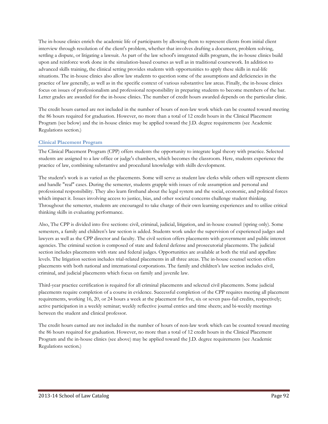The in-house clinics enrich the academic life of participants by allowing them to represent clients from initial client interview through resolution of the client's problem, whether that involves drafting a document, problem solving, settling a dispute, or litigating a lawsuit. As part of the law school's integrated skills program, the in-house clinics build upon and reinforce work done in the simulation-based courses as well as in traditional coursework. In addition to advanced skills training, the clinical setting provides students with opportunities to apply these skills in real-life situations. The in-house clinics also allow law students to question some of the assumptions and deficiencies in the practice of law generally, as well as in the specific context of various substantive law areas. Finally, the in-house clinics focus on issues of professionalism and professional responsibility in preparing students to become members of the bar. Letter grades are awarded for the in-house clinics. The number of credit hours awarded depends on the particular clinic.

The credit hours earned are not included in the number of hours of non-law work which can be counted toward meeting the 86 hours required for graduation. However, no more than a total of 12 credit hours in the Clinical Placement Program (see below) and the in-house clinics may be applied toward the J.D. degree requirements (see Academic Regulations section.)

# **Clinical Placement Program**

The Clinical Placement Program (CPP) offers students the opportunity to integrate legal theory with practice. Selected students are assigned to a law office or judge's chambers, which becomes the classroom. Here, students experience the practice of law, combining substantive and procedural knowledge with skills development.

The student's work is as varied as the placements. Some will serve as student law clerks while others will represent clients and handle "real" cases. During the semester, students grapple with issues of role assumption and personal and professional responsibility. They also learn firsthand about the legal system and the social, economic, and political forces which impact it. Issues involving access to justice, bias, and other societal concerns challenge student thinking. Throughout the semester, students are encouraged to take charge of their own learning experiences and to utilize critical thinking skills in evaluating performance.

Also, The CPP is divided into five sections: civil, criminal, judicial, litigation, and in-house counsel (spring only). Some semesters, a family and children's law section is added. Students work under the supervision of experienced judges and lawyers as well as the CPP director and faculty. The civil section offers placements with government and public interest agencies. The criminal section is composed of state and federal defense and prosecutorial placements. The judicial section includes placements with state and federal judges. Opportunities are available at both the trial and appellate levels. The litigation section includes trial-related placements in all three areas. The in-house counsel section offers placements with both national and international corporations. The family and children's law section includes civil, criminal, and judicial placements which focus on family and juvenile law.

Third-year practice certification is required for all criminal placements and selected civil placements. Some judicial placements require completion of a course in evidence. Successful completion of the CPP requires meeting all placement requirements, working 16, 20, or 24 hours a week at the placement for five, six or seven pass-fail credits, respectively; active participation in a weekly seminar; weekly reflective journal entries and time sheets; and bi-weekly meetings between the student and clinical professor.

The credit hours earned are not included in the number of hours of non-law work which can be counted toward meeting the 86 hours required for graduation. However, no more than a total of 12 credit hours in the Clinical Placement Program and the in-house clinics (see above) may be applied toward the J.D. degree requirements (see Academic Regulations section.)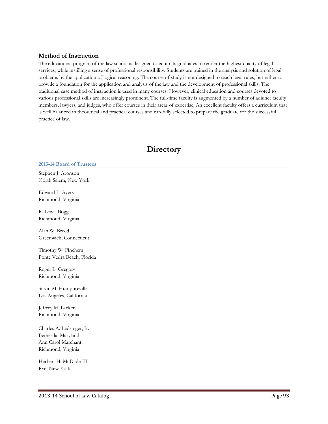# **Method of Instruction**

The educational program of the law school is designed to equip its graduates to render the highest quality of legal services, while instilling a sense of professional responsibility. Students are trained in the analysis and solution of legal problems by the application of logical reasoning. The course of study is not designed to teach legal rules, but rather to provide a foundation for the application and analysis of the law and the development of professional skills. The traditional case method of instruction is used in many courses. However, clinical education and courses devoted to various professional skills are increasingly prominent. The full-time faculty is augmented by a number of adjunct faculty members, lawyers, and judges, who offer courses in their areas of expertise. An excellent faculty offers a curriculum that is well balanced in theoretical and practical courses and carefully selected to prepare the graduate for the successful practice of law.

# **Directory**

**2013-14 Board of Trustees**

Stephen J. Aronson North Salem, New York

Edward L. Ayers Richmond, Virginia

R. Lewis Boggs Richmond, Virginia

Alan W. Breed Greenwich, Connecticut

Timothy W. Finchem Ponte Vedra Beach, Florida

Roger L. Gregory Richmond, Virginia

Susan M. Humphreville Los Angeles, California

Jeffrey M. Lacker Richmond, Virginia

Charles A. Ledsinger, Jr. Bethesda, Maryland Ann Carol Marchant Richmond, Virginia

Herbert H. McDade III Rye, New York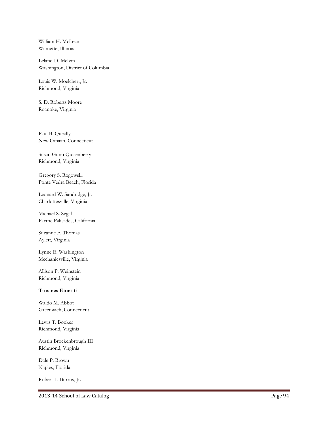William H. McLean Wilmette, Illinois

Leland D. Melvin Washington, District of Columbia

Louis W. Moelchert, Jr. Richmond, Virginia

S. D. Roberts Moore Roanoke, Virginia

Paul B. Queally New Canaan, Connecticut

Susan Gunn Quisenberry Richmond, Virginia

Gregory S. Rogowski Ponte Vedra Beach, Florida

Leonard W. Sandridge, Jr. Charlottesville, Virginia

Michael S. Segal Pacific Palisades, California

Suzanne F. Thomas Aylett, Virginia

Lynne E. Washington Mechanicsville, Virginia

Allison P. Weinstein Richmond, Virginia

# **Trustees Emeriti**

Waldo M. Abbot Greenwich, Connecticut

Lewis T. Booker Richmond, Virginia

Austin Brockenbrough III Richmond, Virginia

Dale P. Brown Naples, Florida

Robert L. Burrus, Jr.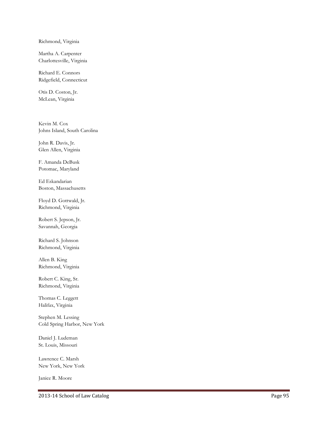Richmond, Virginia

Martha A. Carpenter Charlottesville, Virginia

Richard E. Connors Ridgefield, Connecticut

Otis D. Coston, Jr. McLean, Virginia

Kevin M. Cox Johns Island, South Carolina

John R. Davis, Jr. Glen Allen, Virginia

F. Amanda DeBusk Potomac, Maryland

Ed Eskandarian Boston, Massachusetts

Floyd D. Gottwald, Jr. Richmond, Virginia

Robert S. Jepson, Jr. Savannah, Georgia

Richard S. Johnson Richmond, Virginia

Allen B. King Richmond, Virginia

Robert C. King, Sr. Richmond, Virginia

Thomas C. Leggett Halifax, Virginia

Stephen M. Lessing Cold Spring Harbor, New York

Daniel J. Ludeman St. Louis, Missouri

Lawrence C. Marsh New York, New York

Janice R. Moore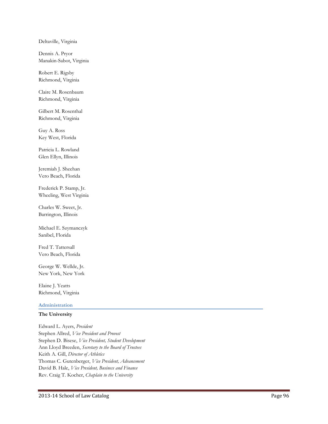Deltaville, Virginia

Dennis A. Pryor Manakin-Sabot, Virginia

Robert E. Rigsby Richmond, Virginia

Claire M. Rosenbaum Richmond, Virginia

Gilbert M. Rosenthal Richmond, Virginia

Guy A. Ross Key West, Florida

Patricia L. Rowland Glen Ellyn, Illinois

Jeremiah J. Sheehan Vero Beach, Florida

Frederick P. Stamp, Jr. Wheeling, West Virginia

Charles W. Sweet, Jr. Barrington, Illinois

Michael E. Szymanczyk Sanibel, Florida

Fred T. Tattersall Vero Beach, Florida

George W. Wellde, Jr. New York, New York

Elaine J. Yeatts Richmond, Virginia

# **Administration**

## **The University**

Edward L. Ayers, *President* Stephen Allred, *Vice President and Provost* Stephen D. Bisese, *Vice President, Student Development* Ann Lloyd Breeden, *Secretary to the Board of Trustees* Keith A. Gill, *Director of Athletics* Thomas C. Gutenberger, *Vice President, Advancement* David B. Hale, *Vice President, Business and Finance* Rev. Craig T. Kocher, *Chaplain to the University*